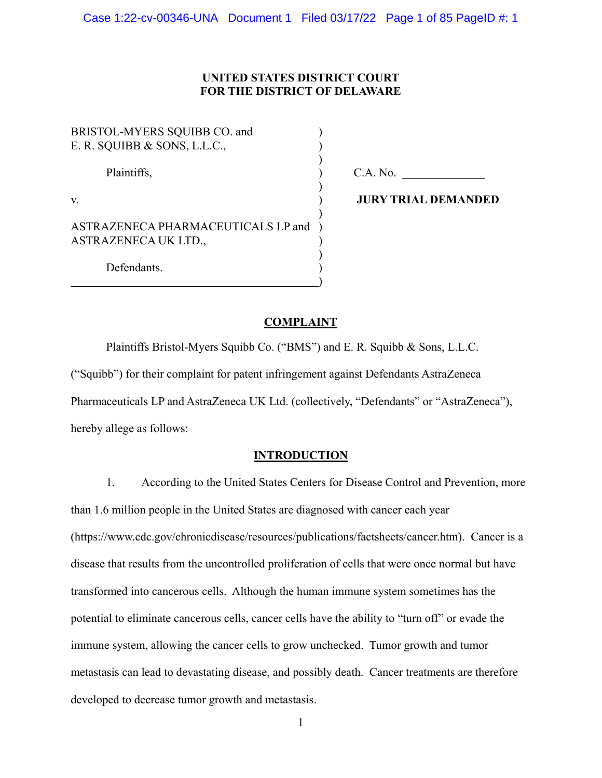# **UNITED STATES DISTRICT COURT FOR THE DISTRICT OF DELAWARE**

BRISTOL-MYERS SOUIBB CO. and E. R. SQUIBB & SONS, L.L.C.,

ASTRAZENECA PHARMACEUTICALS LP and ) ASTRAZENECA UK LTD., )

 $)$ 

 $)$ 

 $\overline{\phantom{a}}$ 

 $)$ 

 $\overline{\phantom{a}}$ 

Plaintiffs,  $C.A. No.$ 

v. ) **JURY TRIAL DEMANDED**

Defendants.

# **COMPLAINT**

 Plaintiffs Bristol-Myers Squibb Co. ("BMS") and E. R. Squibb & Sons, L.L.C. ("Squibb") for their complaint for patent infringement against Defendants AstraZeneca Pharmaceuticals LP and AstraZeneca UK Ltd. (collectively, "Defendants" or "AstraZeneca"), hereby allege as follows:

# **INTRODUCTION**

1. According to the United States Centers for Disease Control and Prevention, more than 1.6 million people in the United States are diagnosed with cancer each year (https://www.cdc.gov/chronicdisease/resources/publications/factsheets/cancer.htm). Cancer is a disease that results from the uncontrolled proliferation of cells that were once normal but have transformed into cancerous cells. Although the human immune system sometimes has the potential to eliminate cancerous cells, cancer cells have the ability to "turn off" or evade the immune system, allowing the cancer cells to grow unchecked. Tumor growth and tumor metastasis can lead to devastating disease, and possibly death. Cancer treatments are therefore developed to decrease tumor growth and metastasis.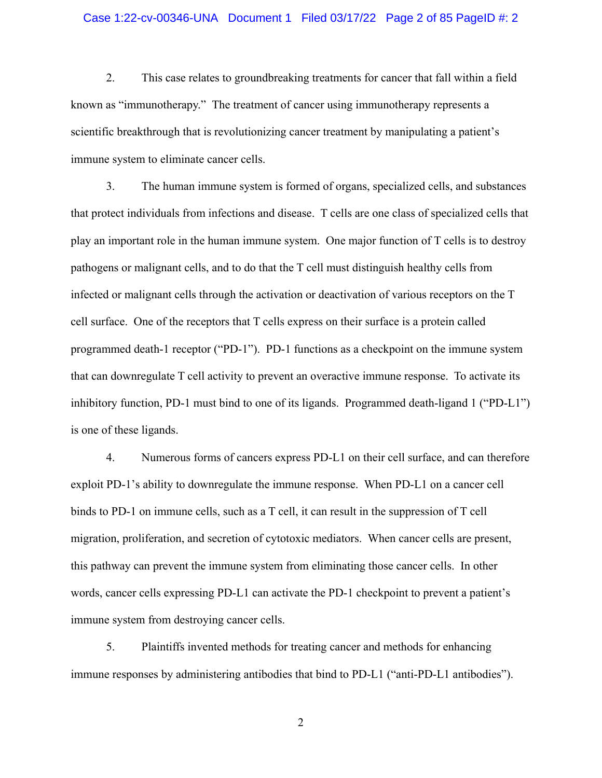### Case 1:22-cv-00346-UNA Document 1 Filed 03/17/22 Page 2 of 85 PageID #: 2

2. This case relates to groundbreaking treatments for cancer that fall within a field known as "immunotherapy." The treatment of cancer using immunotherapy represents a scientific breakthrough that is revolutionizing cancer treatment by manipulating a patient's immune system to eliminate cancer cells.

3. The human immune system is formed of organs, specialized cells, and substances that protect individuals from infections and disease. T cells are one class of specialized cells that play an important role in the human immune system. One major function of T cells is to destroy pathogens or malignant cells, and to do that the T cell must distinguish healthy cells from infected or malignant cells through the activation or deactivation of various receptors on the T cell surface. One of the receptors that T cells express on their surface is a protein called programmed death-1 receptor ("PD-1"). PD-1 functions as a checkpoint on the immune system that can downregulate T cell activity to prevent an overactive immune response. To activate its inhibitory function, PD-1 must bind to one of its ligands. Programmed death-ligand 1 ("PD-L1") is one of these ligands.

4. Numerous forms of cancers express PD-L1 on their cell surface, and can therefore exploit PD-1's ability to downregulate the immune response. When PD-L1 on a cancer cell binds to PD-1 on immune cells, such as a T cell, it can result in the suppression of T cell migration, proliferation, and secretion of cytotoxic mediators. When cancer cells are present, this pathway can prevent the immune system from eliminating those cancer cells. In other words, cancer cells expressing PD-L1 can activate the PD-1 checkpoint to prevent a patient's immune system from destroying cancer cells.

5. Plaintiffs invented methods for treating cancer and methods for enhancing immune responses by administering antibodies that bind to PD-L1 ("anti-PD-L1 antibodies").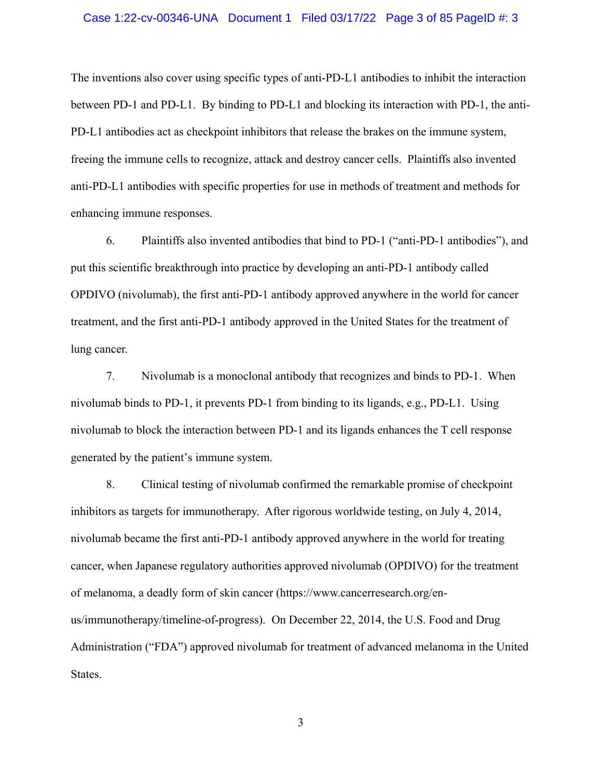### Case 1:22-cv-00346-UNA Document 1 Filed 03/17/22 Page 3 of 85 PageID #: 3

The inventions also cover using specific types of anti-PD-L1 antibodies to inhibit the interaction between PD-1 and PD-L1. By binding to PD-L1 and blocking its interaction with PD-1, the anti-PD-L1 antibodies act as checkpoint inhibitors that release the brakes on the immune system, freeing the immune cells to recognize, attack and destroy cancer cells. Plaintiffs also invented anti-PD-L1 antibodies with specific properties for use in methods of treatment and methods for enhancing immune responses.

6. Plaintiffs also invented antibodies that bind to PD-1 ("anti-PD-1 antibodies"), and put this scientific breakthrough into practice by developing an anti-PD-1 antibody called OPDIVO (nivolumab), the first anti-PD-1 antibody approved anywhere in the world for cancer treatment, and the first anti-PD-1 antibody approved in the United States for the treatment of lung cancer.

7. Nivolumab is a monoclonal antibody that recognizes and binds to PD-1. When nivolumab binds to PD-1, it prevents PD-1 from binding to its ligands, e.g., PD-L1. Using nivolumab to block the interaction between PD-1 and its ligands enhances the T cell response generated by the patient's immune system.

8. Clinical testing of nivolumab confirmed the remarkable promise of checkpoint inhibitors as targets for immunotherapy. After rigorous worldwide testing, on July 4, 2014, nivolumab became the first anti-PD-1 antibody approved anywhere in the world for treating cancer, when Japanese regulatory authorities approved nivolumab (OPDIVO) for the treatment of melanoma, a deadly form of skin cancer (https://www.cancerresearch.org/enus/immunotherapy/timeline-of-progress). On December 22, 2014, the U.S. Food and Drug Administration ("FDA") approved nivolumab for treatment of advanced melanoma in the United States.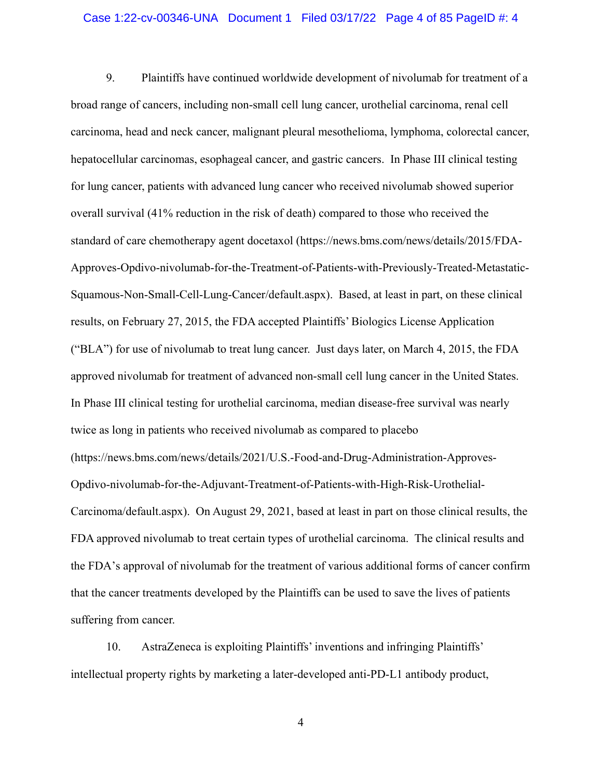### Case 1:22-cv-00346-UNA Document 1 Filed 03/17/22 Page 4 of 85 PageID #: 4

9. Plaintiffs have continued worldwide development of nivolumab for treatment of a broad range of cancers, including non-small cell lung cancer, urothelial carcinoma, renal cell carcinoma, head and neck cancer, malignant pleural mesothelioma, lymphoma, colorectal cancer, hepatocellular carcinomas, esophageal cancer, and gastric cancers. In Phase III clinical testing for lung cancer, patients with advanced lung cancer who received nivolumab showed superior overall survival (41% reduction in the risk of death) compared to those who received the standard of care chemotherapy agent docetaxol (https://news.bms.com/news/details/2015/FDA-Approves-Opdivo-nivolumab-for-the-Treatment-of-Patients-with-Previously-Treated-Metastatic-Squamous-Non-Small-Cell-Lung-Cancer/default.aspx). Based, at least in part, on these clinical results, on February 27, 2015, the FDA accepted Plaintiffs' Biologics License Application ("BLA") for use of nivolumab to treat lung cancer. Just days later, on March 4, 2015, the FDA approved nivolumab for treatment of advanced non-small cell lung cancer in the United States. In Phase III clinical testing for urothelial carcinoma, median disease-free survival was nearly twice as long in patients who received nivolumab as compared to placebo (https://news.bms.com/news/details/2021/U.S.-Food-and-Drug-Administration-Approves-Opdivo-nivolumab-for-the-Adjuvant-Treatment-of-Patients-with-High-Risk-Urothelial-Carcinoma/default.aspx). On August 29, 2021, based at least in part on those clinical results, the FDA approved nivolumab to treat certain types of urothelial carcinoma. The clinical results and the FDA's approval of nivolumab for the treatment of various additional forms of cancer confirm that the cancer treatments developed by the Plaintiffs can be used to save the lives of patients suffering from cancer.

10. AstraZeneca is exploiting Plaintiffs' inventions and infringing Plaintiffs' intellectual property rights by marketing a later-developed anti-PD-L1 antibody product,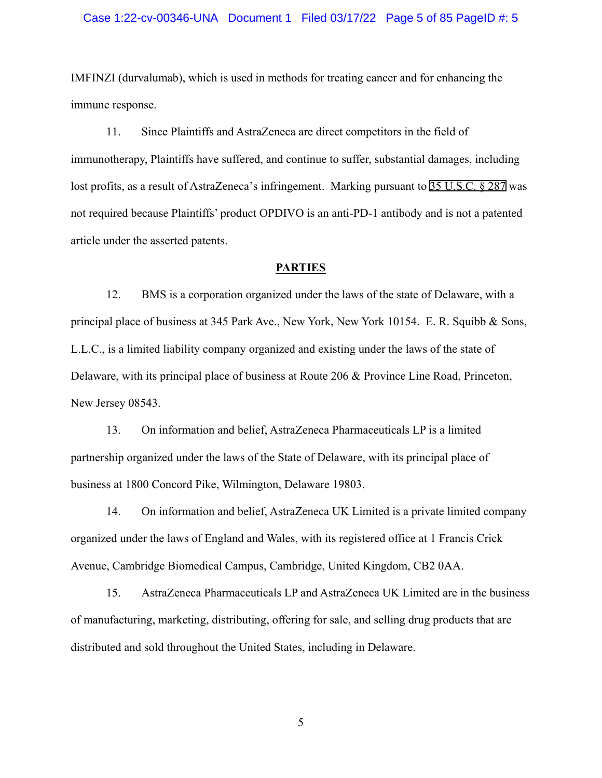### Case 1:22-cv-00346-UNA Document 1 Filed 03/17/22 Page 5 of 85 PageID #: 5

IMFINZI (durvalumab), which is used in methods for treating cancer and for enhancing the immune response.

11. Since Plaintiffs and AstraZeneca are direct competitors in the field of immunotherapy, Plaintiffs have suffered, and continue to suffer, substantial damages, including lost profits, as a result of AstraZeneca's infringement. Marking pursuant to [35 U.S.C. § 287](http://www.google.com/search?q=35+u.s.c.++287) was not required because Plaintiffs' product OPDIVO is an anti-PD-1 antibody and is not a patented article under the asserted patents.

#### **PARTIES**

12. BMS is a corporation organized under the laws of the state of Delaware, with a principal place of business at 345 Park Ave., New York, New York 10154. E. R. Squibb & Sons, L.L.C., is a limited liability company organized and existing under the laws of the state of Delaware, with its principal place of business at Route 206 & Province Line Road, Princeton, New Jersey 08543.

13. On information and belief, AstraZeneca Pharmaceuticals LP is a limited partnership organized under the laws of the State of Delaware, with its principal place of business at 1800 Concord Pike, Wilmington, Delaware 19803.

14. On information and belief, AstraZeneca UK Limited is a private limited company organized under the laws of England and Wales, with its registered office at 1 Francis Crick Avenue, Cambridge Biomedical Campus, Cambridge, United Kingdom, CB2 0AA.

15. AstraZeneca Pharmaceuticals LP and AstraZeneca UK Limited are in the business of manufacturing, marketing, distributing, offering for sale, and selling drug products that are distributed and sold throughout the United States, including in Delaware.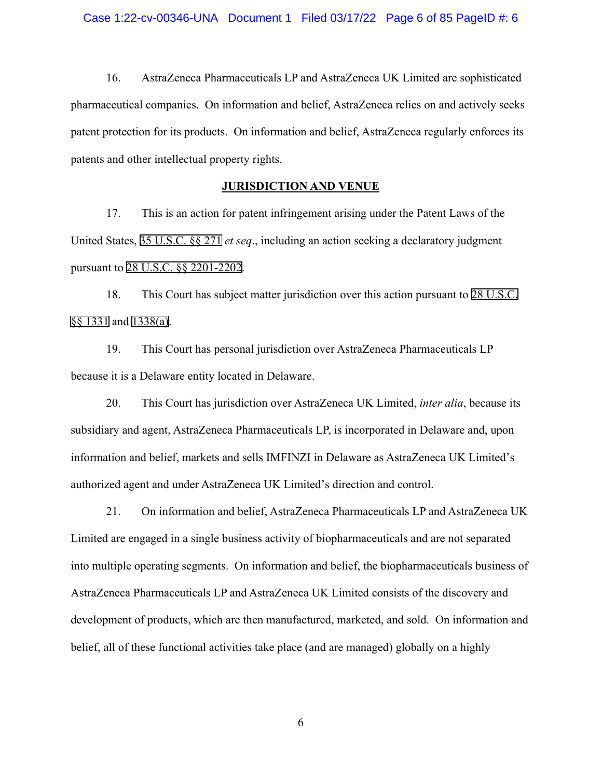16. AstraZeneca Pharmaceuticals LP and AstraZeneca UK Limited are sophisticated pharmaceutical companies. On information and belief, AstraZeneca relies on and actively seeks patent protection for its products. On information and belief, AstraZeneca regularly enforces its patents and other intellectual property rights.

### **JURISDICTION AND VENUE**

17. This is an action for patent infringement arising under the Patent Laws of the United States, [35 U.S.C. §§ 271](http://www.google.com/search?q=35+u.s.c.++271) *et seq*., including an action seeking a declaratory judgment pursuant to [28 U.S.C. §§ 2201-2202.](http://www.google.com/search?q=28+u.s.c.++2201)

18. This Court has subject matter jurisdiction over this action pursuant to [28 U.S.C.](http://www.google.com/search?q=28+u.s.c.+++1331)  [§§ 1331](http://www.google.com/search?q=28+u.s.c.+++1331) and [1338\(a\).](http://www.google.com/search?q=28+u.s.c.++1338(a))

19. This Court has personal jurisdiction over AstraZeneca Pharmaceuticals LP because it is a Delaware entity located in Delaware.

20. This Court has jurisdiction over AstraZeneca UK Limited, *inter alia*, because its subsidiary and agent, AstraZeneca Pharmaceuticals LP, is incorporated in Delaware and, upon information and belief, markets and sells IMFINZI in Delaware as AstraZeneca UK Limited's authorized agent and under AstraZeneca UK Limited's direction and control.

21. On information and belief, AstraZeneca Pharmaceuticals LP and AstraZeneca UK Limited are engaged in a single business activity of biopharmaceuticals and are not separated into multiple operating segments. On information and belief, the biopharmaceuticals business of AstraZeneca Pharmaceuticals LP and AstraZeneca UK Limited consists of the discovery and development of products, which are then manufactured, marketed, and sold. On information and belief, all of these functional activities take place (and are managed) globally on a highly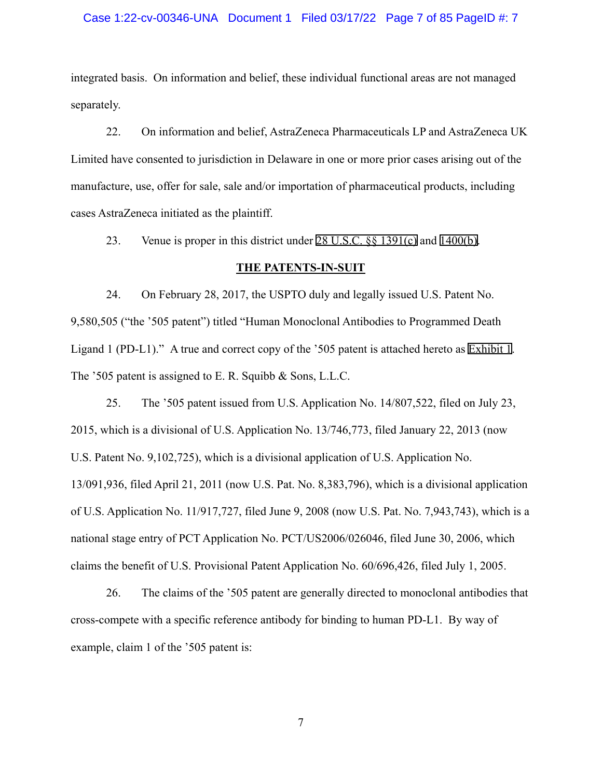### Case 1:22-cv-00346-UNA Document 1 Filed 03/17/22 Page 7 of 85 PageID #: 7

integrated basis. On information and belief, these individual functional areas are not managed separately.

22. On information and belief, AstraZeneca Pharmaceuticals LP and AstraZeneca UK Limited have consented to jurisdiction in Delaware in one or more prior cases arising out of the manufacture, use, offer for sale, sale and/or importation of pharmaceutical products, including cases AstraZeneca initiated as the plaintiff.

23. Venue is proper in this district under [28 U.S.C. §§ 1391\(c\)](http://www.google.com/search?q=28+u.s.c.++1391(c)) and [1400\(b\).](http://www.google.com/search?q=28+u.s.c.+1400(b))

### **THE PATENTS-IN-SUIT**

24. On February 28, 2017, the USPTO duly and legally issued U.S. Patent No. 9,580,505 ("the '505 patent") titled "Human Monoclonal Antibodies to Programmed Death Ligand 1 (PD-L1)." A true and correct copy of the '505 patent is attached hereto as [Exhibit 1.](https://ded-ecf.sso.dcn/cgi-bin/find_doc_by_pageid.pl?case_year=1999&case_num=09999&case_type=mc&case_office=1&page_id=1) The '505 patent is assigned to E. R. Squibb & Sons, L.L.C.

25. The '505 patent issued from U.S. Application No. 14/807,522, filed on July 23, 2015, which is a divisional of U.S. Application No. 13/746,773, filed January 22, 2013 (now U.S. Patent No. 9,102,725), which is a divisional application of U.S. Application No. 13/091,936, filed April 21, 2011 (now U.S. Pat. No. 8,383,796), which is a divisional application of U.S. Application No. 11/917,727, filed June 9, 2008 (now U.S. Pat. No. 7,943,743), which is a national stage entry of PCT Application No. PCT/US2006/026046, filed June 30, 2006, which claims the benefit of U.S. Provisional Patent Application No. 60/696,426, filed July 1, 2005.

26. The claims of the '505 patent are generally directed to monoclonal antibodies that cross-compete with a specific reference antibody for binding to human PD-L1. By way of example, claim 1 of the '505 patent is: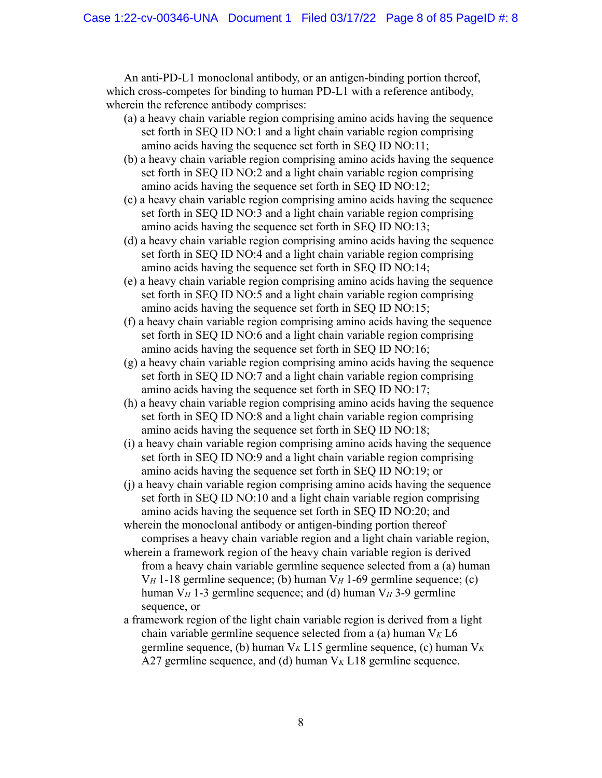An anti-PD-L1 monoclonal antibody, or an antigen-binding portion thereof, which cross-competes for binding to human PD-L1 with a reference antibody, wherein the reference antibody comprises:

- (a) a heavy chain variable region comprising amino acids having the sequence set forth in SEQ ID NO:1 and a light chain variable region comprising amino acids having the sequence set forth in SEQ ID NO:11;
- (b) a heavy chain variable region comprising amino acids having the sequence set forth in SEQ ID NO:2 and a light chain variable region comprising amino acids having the sequence set forth in SEQ ID NO:12;
- (c) a heavy chain variable region comprising amino acids having the sequence set forth in SEQ ID NO:3 and a light chain variable region comprising amino acids having the sequence set forth in SEQ ID NO:13;
- (d) a heavy chain variable region comprising amino acids having the sequence set forth in SEQ ID NO:4 and a light chain variable region comprising amino acids having the sequence set forth in SEQ ID NO:14;
- (e) a heavy chain variable region comprising amino acids having the sequence set forth in SEQ ID NO:5 and a light chain variable region comprising amino acids having the sequence set forth in SEQ ID NO:15;
- (f) a heavy chain variable region comprising amino acids having the sequence set forth in SEQ ID NO:6 and a light chain variable region comprising amino acids having the sequence set forth in SEQ ID NO:16;
- (g) a heavy chain variable region comprising amino acids having the sequence set forth in SEQ ID NO:7 and a light chain variable region comprising amino acids having the sequence set forth in SEQ ID NO:17;
- (h) a heavy chain variable region comprising amino acids having the sequence set forth in SEQ ID NO:8 and a light chain variable region comprising amino acids having the sequence set forth in SEQ ID NO:18;
- (i) a heavy chain variable region comprising amino acids having the sequence set forth in SEQ ID NO:9 and a light chain variable region comprising amino acids having the sequence set forth in SEQ ID NO:19; or
- (j) a heavy chain variable region comprising amino acids having the sequence set forth in SEQ ID NO:10 and a light chain variable region comprising amino acids having the sequence set forth in SEQ ID NO:20; and
- wherein the monoclonal antibody or antigen-binding portion thereof comprises a heavy chain variable region and a light chain variable region,
- wherein a framework region of the heavy chain variable region is derived from a heavy chain variable germline sequence selected from a (a) human V*H* 1-18 germline sequence; (b) human V*H* 1-69 germline sequence; (c) human V*H* 1-3 germline sequence; and (d) human V*H* 3-9 germline sequence, or
- a framework region of the light chain variable region is derived from a light chain variable germline sequence selected from a (a) human V*K* L6 germline sequence, (b) human V*K* L15 germline sequence, (c) human V*<sup>K</sup>* A27 germline sequence, and (d) human V*K* L18 germline sequence.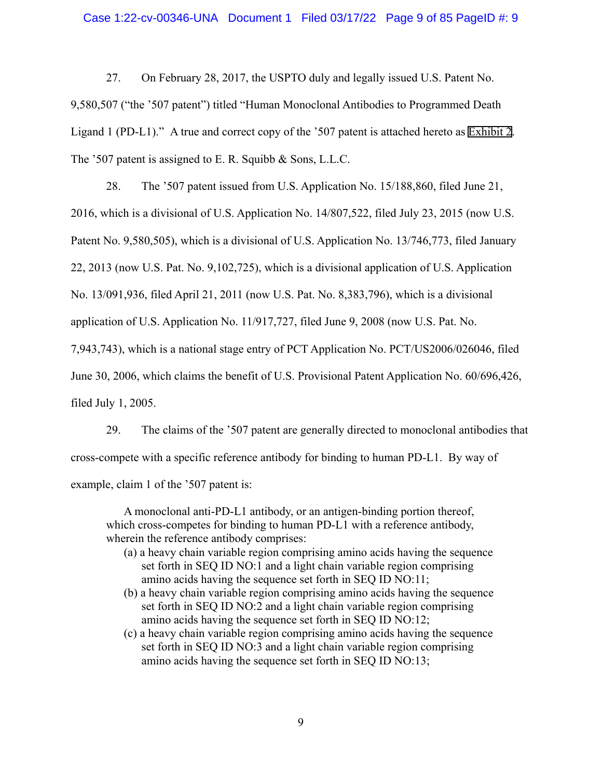27. On February 28, 2017, the USPTO duly and legally issued U.S. Patent No. 9,580,507 ("the '507 patent") titled "Human Monoclonal Antibodies to Programmed Death Ligand 1 (PD-L1)." A true and correct copy of the '507 patent is attached hereto as [Exhibit 2.](https://ded-ecf.sso.dcn/cgi-bin/find_doc_by_pageid.pl?case_year=1999&case_num=09999&case_type=mc&case_office=1&page_id=2) The '507 patent is assigned to E. R. Squibb & Sons, L.L.C.

28. The '507 patent issued from U.S. Application No. 15/188,860, filed June 21, 2016, which is a divisional of U.S. Application No. 14/807,522, filed July 23, 2015 (now U.S. Patent No. 9,580,505), which is a divisional of U.S. Application No. 13/746,773, filed January 22, 2013 (now U.S. Pat. No. 9,102,725), which is a divisional application of U.S. Application No. 13/091,936, filed April 21, 2011 (now U.S. Pat. No. 8,383,796), which is a divisional application of U.S. Application No. 11/917,727, filed June 9, 2008 (now U.S. Pat. No. 7,943,743), which is a national stage entry of PCT Application No. PCT/US2006/026046, filed June 30, 2006, which claims the benefit of U.S. Provisional Patent Application No. 60/696,426, filed July 1, 2005.

29. The claims of the '507 patent are generally directed to monoclonal antibodies that cross-compete with a specific reference antibody for binding to human PD-L1. By way of example, claim 1 of the '507 patent is:

A monoclonal anti-PD-L1 antibody, or an antigen-binding portion thereof, which cross-competes for binding to human PD-L1 with a reference antibody, wherein the reference antibody comprises:

- (a) a heavy chain variable region comprising amino acids having the sequence set forth in SEQ ID NO:1 and a light chain variable region comprising amino acids having the sequence set forth in SEQ ID NO:11;
- (b) a heavy chain variable region comprising amino acids having the sequence set forth in SEQ ID NO:2 and a light chain variable region comprising amino acids having the sequence set forth in SEQ ID NO:12;
- (c) a heavy chain variable region comprising amino acids having the sequence set forth in SEQ ID NO:3 and a light chain variable region comprising amino acids having the sequence set forth in SEQ ID NO:13;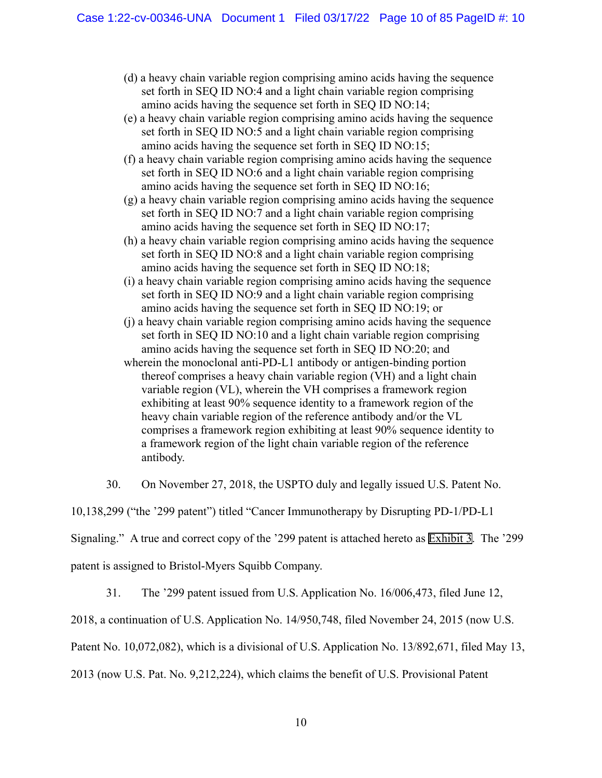- (d) a heavy chain variable region comprising amino acids having the sequence set forth in SEQ ID NO:4 and a light chain variable region comprising amino acids having the sequence set forth in SEQ ID NO:14;
- (e) a heavy chain variable region comprising amino acids having the sequence set forth in SEQ ID NO:5 and a light chain variable region comprising amino acids having the sequence set forth in SEQ ID NO:15;
- (f) a heavy chain variable region comprising amino acids having the sequence set forth in SEQ ID NO:6 and a light chain variable region comprising amino acids having the sequence set forth in SEQ ID NO:16;
- (g) a heavy chain variable region comprising amino acids having the sequence set forth in SEQ ID NO:7 and a light chain variable region comprising amino acids having the sequence set forth in SEQ ID NO:17;
- (h) a heavy chain variable region comprising amino acids having the sequence set forth in SEQ ID NO:8 and a light chain variable region comprising amino acids having the sequence set forth in SEQ ID NO:18;
- (i) a heavy chain variable region comprising amino acids having the sequence set forth in SEQ ID NO:9 and a light chain variable region comprising amino acids having the sequence set forth in SEQ ID NO:19; or
- (j) a heavy chain variable region comprising amino acids having the sequence set forth in SEQ ID NO:10 and a light chain variable region comprising amino acids having the sequence set forth in SEQ ID NO:20; and
- wherein the monoclonal anti-PD-L1 antibody or antigen-binding portion thereof comprises a heavy chain variable region (VH) and a light chain variable region (VL), wherein the VH comprises a framework region exhibiting at least 90% sequence identity to a framework region of the heavy chain variable region of the reference antibody and/or the VL comprises a framework region exhibiting at least 90% sequence identity to a framework region of the light chain variable region of the reference antibody.
- 30. On November 27, 2018, the USPTO duly and legally issued U.S. Patent No.

10,138,299 ("the '299 patent") titled "Cancer Immunotherapy by Disrupting PD-1/PD-L1

Signaling." A true and correct copy of the '299 patent is attached hereto as [Exhibit 3](https://ded-ecf.sso.dcn/cgi-bin/find_doc_by_pageid.pl?case_year=1999&case_num=09999&case_type=mc&case_office=1&page_id=3). The '299

patent is assigned to Bristol-Myers Squibb Company.

31. The '299 patent issued from U.S. Application No. 16/006,473, filed June 12,

2018, a continuation of U.S. Application No. 14/950,748, filed November 24, 2015 (now U.S.

Patent No. 10,072,082), which is a divisional of U.S. Application No. 13/892,671, filed May 13,

2013 (now U.S. Pat. No. 9,212,224), which claims the benefit of U.S. Provisional Patent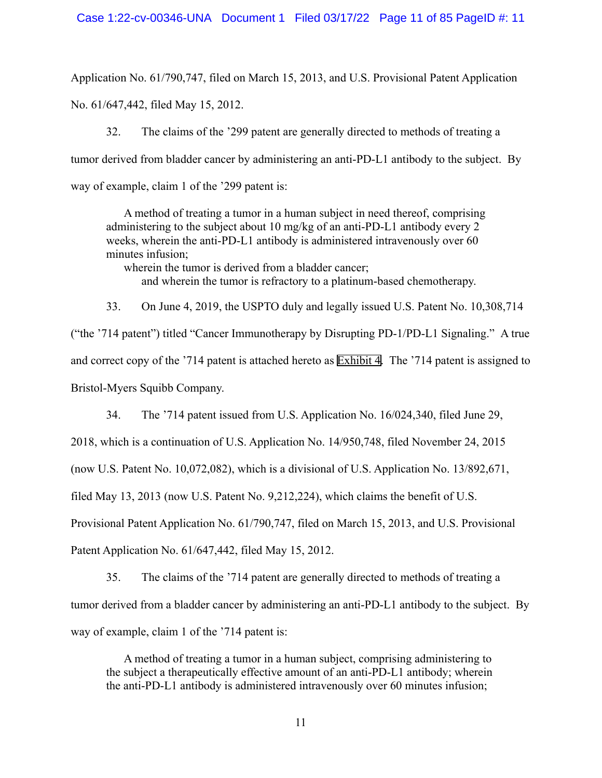Application No. 61/790,747, filed on March 15, 2013, and U.S. Provisional Patent Application No. 61/647,442, filed May 15, 2012.

32. The claims of the '299 patent are generally directed to methods of treating a tumor derived from bladder cancer by administering an anti-PD-L1 antibody to the subject. By way of example, claim 1 of the '299 patent is:

A method of treating a tumor in a human subject in need thereof, comprising administering to the subject about 10 mg/kg of an anti-PD-L1 antibody every 2 weeks, wherein the anti-PD-L1 antibody is administered intravenously over 60 minutes infusion;

wherein the tumor is derived from a bladder cancer; and wherein the tumor is refractory to a platinum-based chemotherapy.

33. On June 4, 2019, the USPTO duly and legally issued U.S. Patent No. 10,308,714 ("the '714 patent") titled "Cancer Immunotherapy by Disrupting PD-1/PD-L1 Signaling." A true and correct copy of the '714 patent is attached hereto as [Exhibit 4](https://ded-ecf.sso.dcn/cgi-bin/find_doc_by_pageid.pl?case_year=1999&case_num=09999&case_type=mc&case_office=1&page_id=4). The '714 patent is assigned to Bristol-Myers Squibb Company.

34. The '714 patent issued from U.S. Application No. 16/024,340, filed June 29,

2018, which is a continuation of U.S. Application No. 14/950,748, filed November 24, 2015

(now U.S. Patent No. 10,072,082), which is a divisional of U.S. Application No. 13/892,671,

filed May 13, 2013 (now U.S. Patent No. 9,212,224), which claims the benefit of U.S.

Provisional Patent Application No. 61/790,747, filed on March 15, 2013, and U.S. Provisional

Patent Application No. 61/647,442, filed May 15, 2012.

35. The claims of the '714 patent are generally directed to methods of treating a tumor derived from a bladder cancer by administering an anti-PD-L1 antibody to the subject. By way of example, claim 1 of the '714 patent is:

A method of treating a tumor in a human subject, comprising administering to the subject a therapeutically effective amount of an anti-PD-L1 antibody; wherein the anti-PD-L1 antibody is administered intravenously over 60 minutes infusion;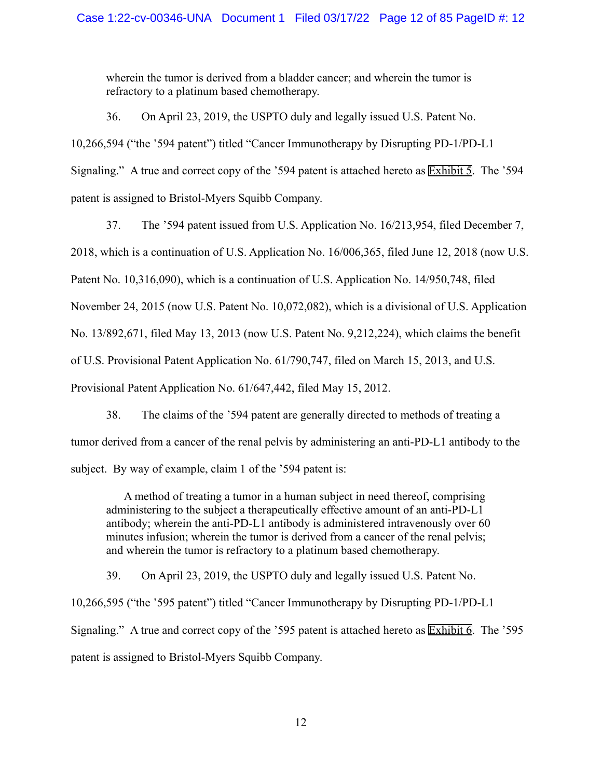wherein the tumor is derived from a bladder cancer; and wherein the tumor is refractory to a platinum based chemotherapy.

36. On April 23, 2019, the USPTO duly and legally issued U.S. Patent No. 10,266,594 ("the '594 patent") titled "Cancer Immunotherapy by Disrupting PD-1/PD-L1 Signaling." A true and correct copy of the '594 patent is attached hereto as [Exhibit 5](https://ded-ecf.sso.dcn/cgi-bin/find_doc_by_pageid.pl?case_year=1999&case_num=09999&case_type=mc&case_office=1&page_id=5). The '594 patent is assigned to Bristol-Myers Squibb Company.

37. The '594 patent issued from U.S. Application No. 16/213,954, filed December 7, 2018, which is a continuation of U.S. Application No. 16/006,365, filed June 12, 2018 (now U.S. Patent No. 10,316,090), which is a continuation of U.S. Application No. 14/950,748, filed November 24, 2015 (now U.S. Patent No. 10,072,082), which is a divisional of U.S. Application No. 13/892,671, filed May 13, 2013 (now U.S. Patent No. 9,212,224), which claims the benefit of U.S. Provisional Patent Application No. 61/790,747, filed on March 15, 2013, and U.S. Provisional Patent Application No. 61/647,442, filed May 15, 2012.

38. The claims of the '594 patent are generally directed to methods of treating a tumor derived from a cancer of the renal pelvis by administering an anti-PD-L1 antibody to the subject. By way of example, claim 1 of the '594 patent is:

A method of treating a tumor in a human subject in need thereof, comprising administering to the subject a therapeutically effective amount of an anti-PD-L1 antibody; wherein the anti-PD-L1 antibody is administered intravenously over 60 minutes infusion; wherein the tumor is derived from a cancer of the renal pelvis; and wherein the tumor is refractory to a platinum based chemotherapy.

39. On April 23, 2019, the USPTO duly and legally issued U.S. Patent No. 10,266,595 ("the '595 patent") titled "Cancer Immunotherapy by Disrupting PD-1/PD-L1 Signaling." A true and correct copy of the '595 patent is attached hereto as [Exhibit 6](https://ded-ecf.sso.dcn/cgi-bin/find_doc_by_pageid.pl?case_year=1999&case_num=09999&case_type=mc&case_office=1&page_id=6). The '595 patent is assigned to Bristol-Myers Squibb Company.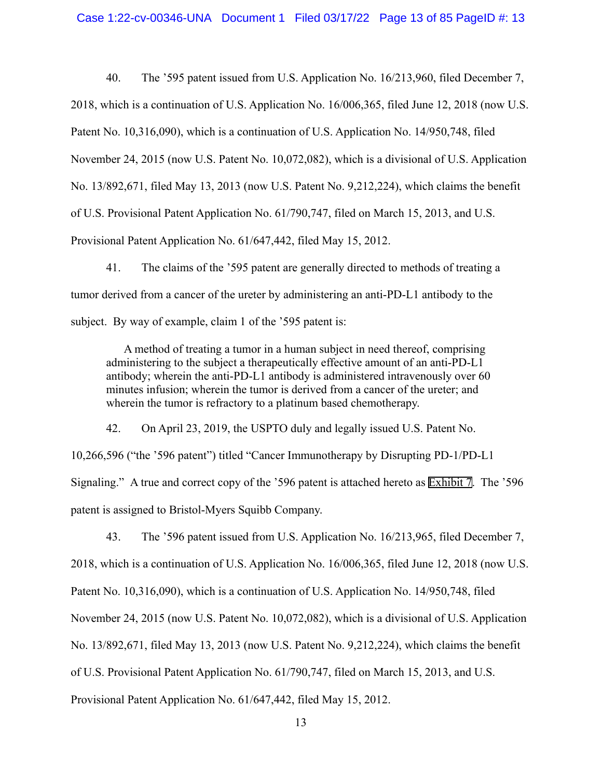40. The '595 patent issued from U.S. Application No. 16/213,960, filed December 7, 2018, which is a continuation of U.S. Application No. 16/006,365, filed June 12, 2018 (now U.S. Patent No. 10,316,090), which is a continuation of U.S. Application No. 14/950,748, filed November 24, 2015 (now U.S. Patent No. 10,072,082), which is a divisional of U.S. Application No. 13/892,671, filed May 13, 2013 (now U.S. Patent No. 9,212,224), which claims the benefit of U.S. Provisional Patent Application No. 61/790,747, filed on March 15, 2013, and U.S. Provisional Patent Application No. 61/647,442, filed May 15, 2012.

41. The claims of the '595 patent are generally directed to methods of treating a tumor derived from a cancer of the ureter by administering an anti-PD-L1 antibody to the subject. By way of example, claim 1 of the '595 patent is:

A method of treating a tumor in a human subject in need thereof, comprising administering to the subject a therapeutically effective amount of an anti-PD-L1 antibody; wherein the anti-PD-L1 antibody is administered intravenously over 60 minutes infusion; wherein the tumor is derived from a cancer of the ureter; and wherein the tumor is refractory to a platinum based chemotherapy.

42. On April 23, 2019, the USPTO duly and legally issued U.S. Patent No.

10,266,596 ("the '596 patent") titled "Cancer Immunotherapy by Disrupting PD-1/PD-L1 Signaling." A true and correct copy of the '596 patent is attached hereto as [Exhibit 7](https://ded-ecf.sso.dcn/cgi-bin/find_doc_by_pageid.pl?case_year=1999&case_num=09999&case_type=mc&case_office=1&page_id=7). The '596 patent is assigned to Bristol-Myers Squibb Company.

43. The '596 patent issued from U.S. Application No. 16/213,965, filed December 7, 2018, which is a continuation of U.S. Application No. 16/006,365, filed June 12, 2018 (now U.S. Patent No. 10,316,090), which is a continuation of U.S. Application No. 14/950,748, filed November 24, 2015 (now U.S. Patent No. 10,072,082), which is a divisional of U.S. Application No. 13/892,671, filed May 13, 2013 (now U.S. Patent No. 9,212,224), which claims the benefit of U.S. Provisional Patent Application No. 61/790,747, filed on March 15, 2013, and U.S. Provisional Patent Application No. 61/647,442, filed May 15, 2012.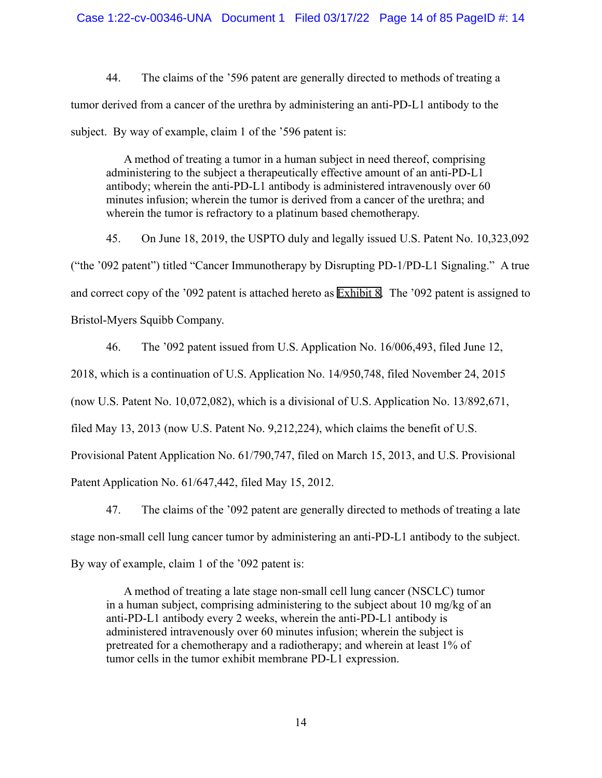44. The claims of the '596 patent are generally directed to methods of treating a tumor derived from a cancer of the urethra by administering an anti-PD-L1 antibody to the subject. By way of example, claim 1 of the '596 patent is:

A method of treating a tumor in a human subject in need thereof, comprising administering to the subject a therapeutically effective amount of an anti-PD-L1 antibody; wherein the anti-PD-L1 antibody is administered intravenously over 60 minutes infusion; wherein the tumor is derived from a cancer of the urethra; and wherein the tumor is refractory to a platinum based chemotherapy.

45. On June 18, 2019, the USPTO duly and legally issued U.S. Patent No. 10,323,092 ("the '092 patent") titled "Cancer Immunotherapy by Disrupting PD-1/PD-L1 Signaling." A true and correct copy of the '092 patent is attached hereto as [Exhibit 8](https://ded-ecf.sso.dcn/cgi-bin/find_doc_by_pageid.pl?case_year=1999&case_num=09999&case_type=mc&case_office=1&page_id=8). The '092 patent is assigned to Bristol-Myers Squibb Company.

46. The '092 patent issued from U.S. Application No. 16/006,493, filed June 12,

2018, which is a continuation of U.S. Application No. 14/950,748, filed November 24, 2015

(now U.S. Patent No. 10,072,082), which is a divisional of U.S. Application No. 13/892,671,

filed May 13, 2013 (now U.S. Patent No. 9,212,224), which claims the benefit of U.S.

Provisional Patent Application No. 61/790,747, filed on March 15, 2013, and U.S. Provisional

Patent Application No. 61/647,442, filed May 15, 2012.

47. The claims of the '092 patent are generally directed to methods of treating a late stage non-small cell lung cancer tumor by administering an anti-PD-L1 antibody to the subject. By way of example, claim 1 of the '092 patent is:

A method of treating a late stage non-small cell lung cancer (NSCLC) tumor in a human subject, comprising administering to the subject about 10 mg/kg of an anti-PD-L1 antibody every 2 weeks, wherein the anti-PD-L1 antibody is administered intravenously over 60 minutes infusion; wherein the subject is pretreated for a chemotherapy and a radiotherapy; and wherein at least 1% of tumor cells in the tumor exhibit membrane PD-L1 expression.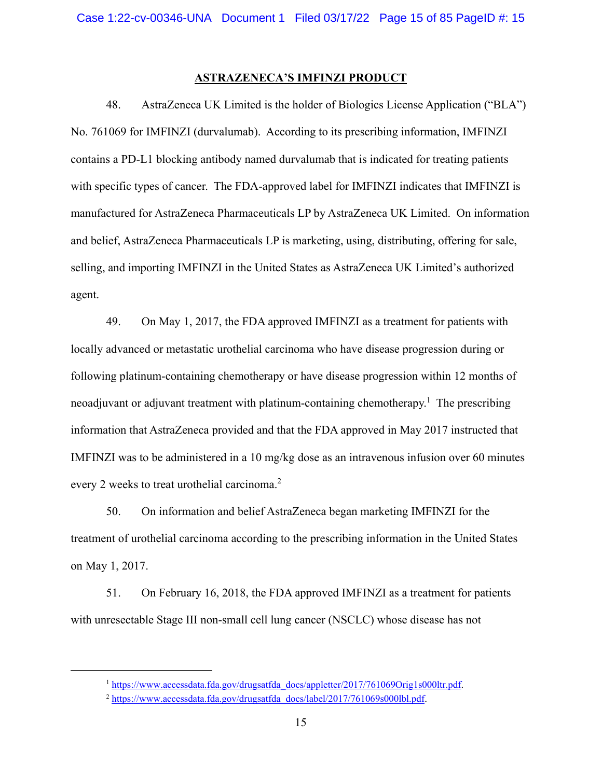### **ASTRAZENECA'S IMFINZI PRODUCT**

48. AstraZeneca UK Limited is the holder of Biologics License Application ("BLA") No. 761069 for IMFINZI (durvalumab). According to its prescribing information, IMFINZI contains a PD-L1 blocking antibody named durvalumab that is indicated for treating patients with specific types of cancer. The FDA-approved label for IMFINZI indicates that IMFINZI is manufactured for AstraZeneca Pharmaceuticals LP by AstraZeneca UK Limited. On information and belief, AstraZeneca Pharmaceuticals LP is marketing, using, distributing, offering for sale, selling, and importing IMFINZI in the United States as AstraZeneca UK Limited's authorized agent.

49. On May 1, 2017, the FDA approved IMFINZI as a treatment for patients with locally advanced or metastatic urothelial carcinoma who have disease progression during or following platinum-containing chemotherapy or have disease progression within 12 months of neoadjuvant or adjuvant treatment with platinum-containing chemotherapy.<sup>1</sup> The prescribing information that AstraZeneca provided and that the FDA approved in May 2017 instructed that IMFINZI was to be administered in a 10 mg/kg dose as an intravenous infusion over 60 minutes every 2 weeks to treat urothelial carcinoma.<sup>2</sup>

50. On information and belief AstraZeneca began marketing IMFINZI for the treatment of urothelial carcinoma according to the prescribing information in the United States on May 1, 2017.

51. On February 16, 2018, the FDA approved IMFINZI as a treatment for patients with unresectable Stage III non-small cell lung cancer (NSCLC) whose disease has not

<sup>&</sup>lt;sup>1</sup> https://www.accessdata.fda.gov/drugsatfda\_docs/appletter/2017/761069Orig1s000ltr.pdf.

<sup>&</sup>lt;sup>2</sup> https://www.accessdata.fda.gov/drugsatfda\_docs/label/2017/761069s000lbl.pdf.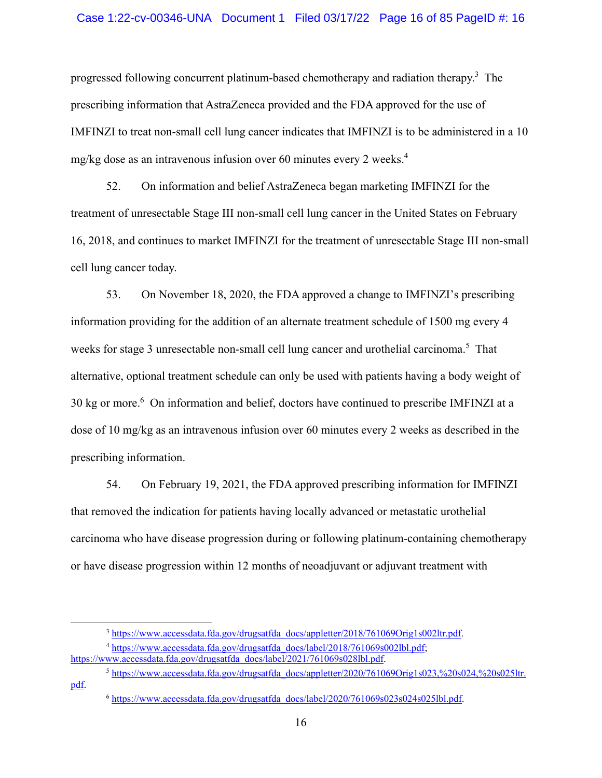### Case 1:22-cv-00346-UNA Document 1 Filed 03/17/22 Page 16 of 85 PageID #: 16

progressed following concurrent platinum-based chemotherapy and radiation therapy.<sup>3</sup> The prescribing information that AstraZeneca provided and the FDA approved for the use of IMFINZI to treat non-small cell lung cancer indicates that IMFINZI is to be administered in a 10 mg/kg dose as an intravenous infusion over 60 minutes every 2 weeks.4

52. On information and belief AstraZeneca began marketing IMFINZI for the treatment of unresectable Stage III non-small cell lung cancer in the United States on February 16, 2018, and continues to market IMFINZI for the treatment of unresectable Stage III non-small cell lung cancer today.

53. On November 18, 2020, the FDA approved a change to IMFINZI's prescribing information providing for the addition of an alternate treatment schedule of 1500 mg every 4 weeks for stage 3 unresectable non-small cell lung cancer and urothelial carcinoma.<sup>5</sup> That alternative, optional treatment schedule can only be used with patients having a body weight of 30 kg or more.<sup>6</sup> On information and belief, doctors have continued to prescribe IMFINZI at a dose of 10 mg/kg as an intravenous infusion over 60 minutes every 2 weeks as described in the prescribing information.

54. On February 19, 2021, the FDA approved prescribing information for IMFINZI that removed the indication for patients having locally advanced or metastatic urothelial carcinoma who have disease progression during or following platinum-containing chemotherapy or have disease progression within 12 months of neoadjuvant or adjuvant treatment with

 $5 \text{ https://www.accessdata.fda.gov/drussaffda-docs/appletter}/2020/761069O$ rig1s023,%20s024,%20s025ltr. pdf.

<sup>&</sup>lt;sup>3</sup> https://www.accessdata.fda.gov/drugsatfda\_docs/appletter/2018/761069Orig1s002ltr.pdf.

<sup>4</sup> https://www.accessdata.fda.gov/drugsatfda\_docs/label/2018/761069s002lbl.pdf; https://www.accessdata.fda.gov/drugsatfda\_docs/label/2021/761069s028lbl.pdf.

<sup>6</sup> https://www.accessdata.fda.gov/drugsatfda\_docs/label/2020/761069s023s024s025lbl.pdf.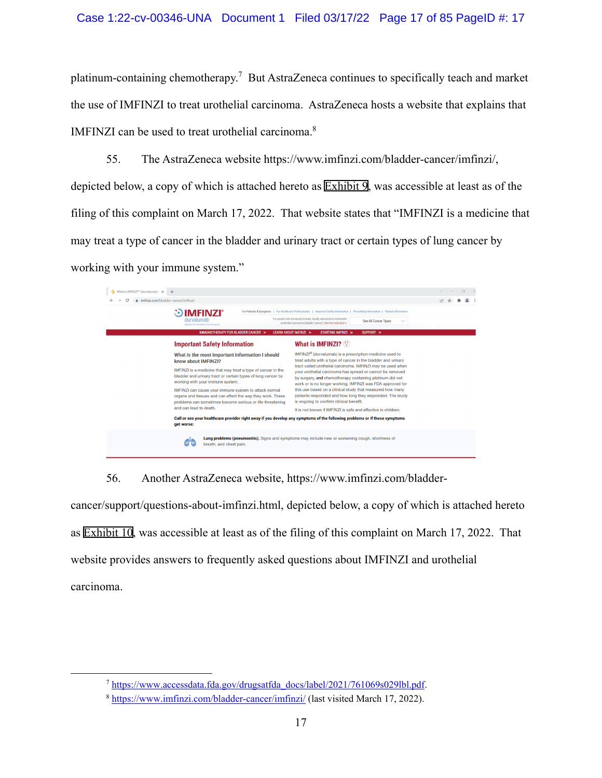# Case 1:22-cv-00346-UNA Document 1 Filed 03/17/22 Page 17 of 85 PageID #: 17

platinum-containing chemotherapy.<sup>7</sup> But AstraZeneca continues to specifically teach and market the use of IMFINZI to treat urothelial carcinoma. AstraZeneca hosts a website that explains that IMFINZI can be used to treat urothelial carcinoma.<sup>8</sup>

55. The AstraZeneca website https://www.imfinzi.com/bladder-cancer/imfinzi/, depicted below, a copy of which is attached hereto as [Exhibit 9](https://ded-ecf.sso.dcn/cgi-bin/find_doc_by_pageid.pl?case_year=1999&case_num=09999&case_type=mc&case_office=1&page_id=9), was accessible at least as of the filing of this complaint on March 17, 2022. That website states that "IMFINZI is a medicine that may treat a type of cancer in the bladder and urinary tract or certain types of lung cancer by working with your immune system."

| <b>DIMFINZI</b> <sup>®</sup><br>durvalumah<br>Injection for Intravenous Use 50 min/ml.<br>IMMUNOTHERAPY FOR BLADDER CANCER >                                                                                                                                                                                                                                                                                                                                                                                  | For Patients & Caregivers   For Healthcare Professionals   Important Safety Information   Prescribing Information   Patient Information<br>For people with previously treated, locally advanced or metastatic<br>See All Cancer Types<br>urothelial carcinoma (bladder cancer). See Full Indication »<br>LEARN ABOUT IMFINZI ><br>SUPPORT ><br>STARTING IMFINZI >                                                                                                                                                                                                                                                                                                                                                                                                                                |  |
|---------------------------------------------------------------------------------------------------------------------------------------------------------------------------------------------------------------------------------------------------------------------------------------------------------------------------------------------------------------------------------------------------------------------------------------------------------------------------------------------------------------|--------------------------------------------------------------------------------------------------------------------------------------------------------------------------------------------------------------------------------------------------------------------------------------------------------------------------------------------------------------------------------------------------------------------------------------------------------------------------------------------------------------------------------------------------------------------------------------------------------------------------------------------------------------------------------------------------------------------------------------------------------------------------------------------------|--|
| <b>Important Safety Information</b><br>What is the most important information I should<br>know about IMFINZI?<br>IMFINZI is a medicine that may treat a type of cancer in the<br>bladder and urinary tract or certain types of lung cancer by<br>working with your immune system.<br>IMFINZI can cause your immune system to attack normal<br>organs and tissues and can affect the way they work. These<br>problems can sometimes become serious or life-threatening<br>and can lead to death.<br>get worse: | What is IMFINZI? $\heartsuit$<br>IMFINZI <sup>®</sup> (durvalumab) is a prescription medicine used to<br>treat adults with a type of cancer in the bladder and urinary<br>tract called urothelial carcinoma. IMFINZI may be used when<br>your urothelial carcinoma has spread or cannot be removed<br>by surgery, and chemotherapy containing platinum did not<br>work or is no longer working. IMFINZI was FDA approved for<br>this use based on a clinical study that measured how many<br>patients responded and how long they responded. The study<br>is ongoing to confirm clinical benefit.<br>It is not known if IMFINZI is safe and effective in children.<br>Call or see your healthcare provider right away if you develop any symptoms of the following problems or if these symptoms |  |

56. Another AstraZeneca website, https://www.imfinzi.com/bladder-

cancer/support/questions-about-imfinzi.html, depicted below, a copy of which is attached hereto as [Exhibit 10](https://ded-ecf.sso.dcn/cgi-bin/find_doc_by_pageid.pl?case_year=1999&case_num=09999&case_type=mc&case_office=1&page_id=10), was accessible at least as of the filing of this complaint on March 17, 2022. That website provides answers to frequently asked questions about IMFINZI and urothelial carcinoma.

 <sup>7</sup> https://www.accessdata.fda.gov/drugsatfda\_docs/label/2021/761069s029lbl.pdf.

<sup>8</sup> https://www.imfinzi.com/bladder-cancer/imfinzi/ (last visited March 17, 2022).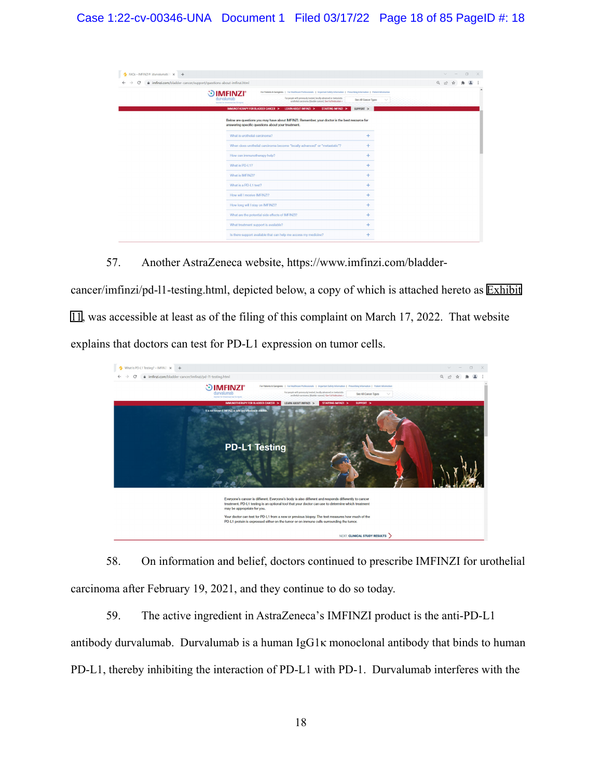| FAQs - IMFINZI® (durvalumab)   x + |                                                                   |                                                                                                                                         |                      |            |  |  | $\Box$ |  |
|------------------------------------|-------------------------------------------------------------------|-----------------------------------------------------------------------------------------------------------------------------------------|----------------------|------------|--|--|--------|--|
| С                                  | # imfinzi.com/bladder-cancer/support/questions-about-imfinzi.html |                                                                                                                                         |                      | $Q \not R$ |  |  |        |  |
|                                    | <b>IMFINZI</b> <sup>®</sup><br>6.                                 | For Patients & Caregivers   For Healthcare Professionals   Important Safety Information   Prescribing Information   Patient Information |                      |            |  |  |        |  |
|                                    | durvalumab<br>Injection for Intravenous Use 50 moins)             | For people with previously treated, locally advanced or metastatic.<br>urothelial curcinoma (bludder curces). See Full Indication »     | See All Cancer Types |            |  |  |        |  |
|                                    | IMMUNOTHERAPY FOR BLADDER CANCER >                                | <b>LEARN ABOUT IMFINZI &gt;</b><br>STARTING IMFINZI >                                                                                   | SUPPORT >            |            |  |  |        |  |
|                                    | What is urothelial carcinoma?                                     | answering specific questions about your treatment.                                                                                      |                      |            |  |  |        |  |
|                                    |                                                                   | When does urothelial carcinoma become "locally advanced" or "metastatic"?                                                               |                      |            |  |  |        |  |
|                                    | How can immunotherapy help?                                       |                                                                                                                                         | ÷                    |            |  |  |        |  |
|                                    | What is PD-L1?                                                    |                                                                                                                                         | ÷                    |            |  |  |        |  |
|                                    | What is IMFINZI?                                                  |                                                                                                                                         |                      |            |  |  |        |  |
|                                    | What is a PD-L1 test?                                             |                                                                                                                                         | ÷                    |            |  |  |        |  |
|                                    | How will I receive IMFINZI?                                       |                                                                                                                                         | ÷                    |            |  |  |        |  |
|                                    | How long will I stay on IMFINZI?                                  |                                                                                                                                         | ÷                    |            |  |  |        |  |
|                                    |                                                                   | What are the potential side effects of IMFINZI?                                                                                         | $\ddot{}$            |            |  |  |        |  |
|                                    |                                                                   | What treatment support is available?                                                                                                    |                      |            |  |  |        |  |
|                                    |                                                                   | Is there support available that can help me access my medicine?                                                                         | ÷                    |            |  |  |        |  |

57. Another AstraZeneca website, https://www.imfinzi.com/bladder-

cancer/imfinzi/pd-l1-testing.html, depicted below, a copy of which is attached hereto as [Exhibit](https://ded-ecf.sso.dcn/cgi-bin/find_doc_by_pageid.pl?case_year=1999&case_num=09999&case_type=mc&case_office=1&page_id=11) [11,](https://ded-ecf.sso.dcn/cgi-bin/find_doc_by_pageid.pl?case_year=1999&case_num=09999&case_type=mc&case_office=1&page_id=11) was accessible at least as of the filing of this complaint on March 17, 2022. That website explains that doctors can test for PD-L1 expression on tumor cells.



58. On information and belief, doctors continued to prescribe IMFINZI for urothelial carcinoma after February 19, 2021, and they continue to do so today.

59. The active ingredient in AstraZeneca's IMFINZI product is the anti-PD-L1 antibody durvalumab. Durvalumab is a human IgG1κ monoclonal antibody that binds to human PD-L1, thereby inhibiting the interaction of PD-L1 with PD-1. Durvalumab interferes with the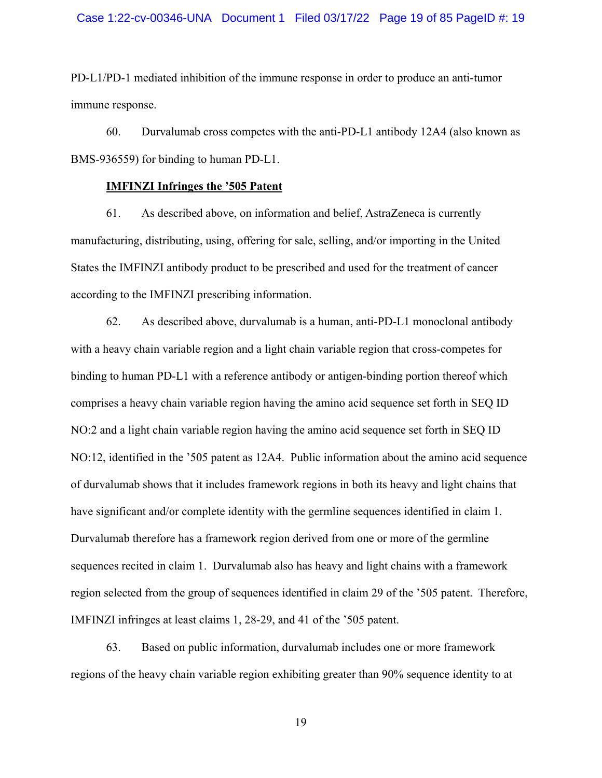PD-L1/PD-1 mediated inhibition of the immune response in order to produce an anti-tumor immune response.

60. Durvalumab cross competes with the anti-PD-L1 antibody 12A4 (also known as BMS-936559) for binding to human PD-L1.

### **IMFINZI Infringes the '505 Patent**

61. As described above, on information and belief, AstraZeneca is currently manufacturing, distributing, using, offering for sale, selling, and/or importing in the United States the IMFINZI antibody product to be prescribed and used for the treatment of cancer according to the IMFINZI prescribing information.

62. As described above, durvalumab is a human, anti-PD-L1 monoclonal antibody with a heavy chain variable region and a light chain variable region that cross-competes for binding to human PD-L1 with a reference antibody or antigen-binding portion thereof which comprises a heavy chain variable region having the amino acid sequence set forth in SEQ ID NO:2 and a light chain variable region having the amino acid sequence set forth in SEQ ID NO:12, identified in the '505 patent as 12A4. Public information about the amino acid sequence of durvalumab shows that it includes framework regions in both its heavy and light chains that have significant and/or complete identity with the germline sequences identified in claim 1. Durvalumab therefore has a framework region derived from one or more of the germline sequences recited in claim 1. Durvalumab also has heavy and light chains with a framework region selected from the group of sequences identified in claim 29 of the '505 patent. Therefore, IMFINZI infringes at least claims 1, 28-29, and 41 of the '505 patent.

63. Based on public information, durvalumab includes one or more framework regions of the heavy chain variable region exhibiting greater than 90% sequence identity to at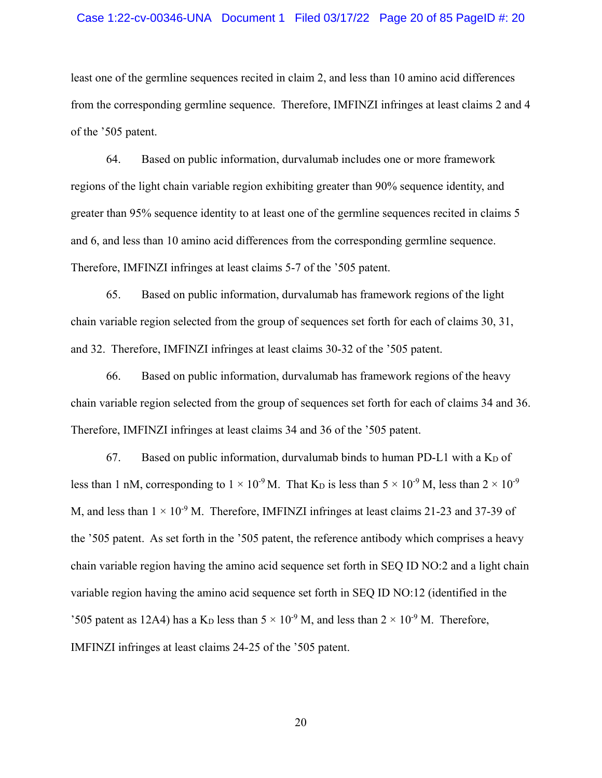### Case 1:22-cv-00346-UNA Document 1 Filed 03/17/22 Page 20 of 85 PageID #: 20

least one of the germline sequences recited in claim 2, and less than 10 amino acid differences from the corresponding germline sequence. Therefore, IMFINZI infringes at least claims 2 and 4 of the '505 patent.

64. Based on public information, durvalumab includes one or more framework regions of the light chain variable region exhibiting greater than 90% sequence identity, and greater than 95% sequence identity to at least one of the germline sequences recited in claims 5 and 6, and less than 10 amino acid differences from the corresponding germline sequence. Therefore, IMFINZI infringes at least claims 5-7 of the '505 patent.

65. Based on public information, durvalumab has framework regions of the light chain variable region selected from the group of sequences set forth for each of claims 30, 31, and 32. Therefore, IMFINZI infringes at least claims 30-32 of the '505 patent.

66. Based on public information, durvalumab has framework regions of the heavy chain variable region selected from the group of sequences set forth for each of claims 34 and 36. Therefore, IMFINZI infringes at least claims 34 and 36 of the '505 patent.

67. Based on public information, durvalumab binds to human PD-L1 with a  $K<sub>D</sub>$  of less than 1 nM, corresponding to  $1 \times 10^{-9}$  M. That K<sub>D</sub> is less than  $5 \times 10^{-9}$  M, less than  $2 \times 10^{-9}$ M, and less than  $1 \times 10^{-9}$  M. Therefore, IMFINZI infringes at least claims 21-23 and 37-39 of the '505 patent. As set forth in the '505 patent, the reference antibody which comprises a heavy chain variable region having the amino acid sequence set forth in SEQ ID NO:2 and a light chain variable region having the amino acid sequence set forth in SEQ ID NO:12 (identified in the '505 patent as 12A4) has a K<sub>D</sub> less than  $5 \times 10^{-9}$  M, and less than  $2 \times 10^{-9}$  M. Therefore, IMFINZI infringes at least claims 24-25 of the '505 patent.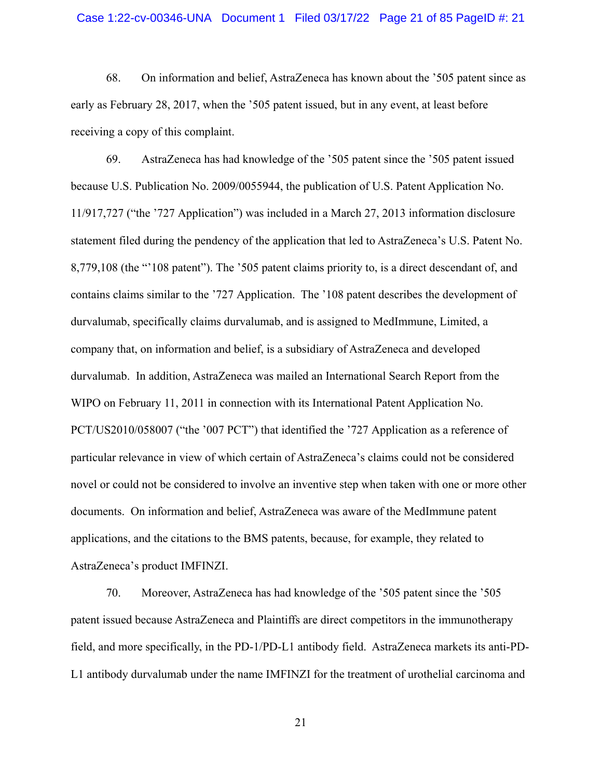### Case 1:22-cv-00346-UNA Document 1 Filed 03/17/22 Page 21 of 85 PageID #: 21

68. On information and belief, AstraZeneca has known about the '505 patent since as early as February 28, 2017, when the '505 patent issued, but in any event, at least before receiving a copy of this complaint.

69. AstraZeneca has had knowledge of the '505 patent since the '505 patent issued because U.S. Publication No. 2009/0055944, the publication of U.S. Patent Application No. 11/917,727 ("the '727 Application") was included in a March 27, 2013 information disclosure statement filed during the pendency of the application that led to AstraZeneca's U.S. Patent No. 8,779,108 (the "'108 patent"). The '505 patent claims priority to, is a direct descendant of, and contains claims similar to the '727 Application. The '108 patent describes the development of durvalumab, specifically claims durvalumab, and is assigned to MedImmune, Limited, a company that, on information and belief, is a subsidiary of AstraZeneca and developed durvalumab. In addition, AstraZeneca was mailed an International Search Report from the WIPO on February 11, 2011 in connection with its International Patent Application No. PCT/US2010/058007 ("the '007 PCT") that identified the '727 Application as a reference of particular relevance in view of which certain of AstraZeneca's claims could not be considered novel or could not be considered to involve an inventive step when taken with one or more other documents. On information and belief, AstraZeneca was aware of the MedImmune patent applications, and the citations to the BMS patents, because, for example, they related to AstraZeneca's product IMFINZI.

70. Moreover, AstraZeneca has had knowledge of the '505 patent since the '505 patent issued because AstraZeneca and Plaintiffs are direct competitors in the immunotherapy field, and more specifically, in the PD-1/PD-L1 antibody field. AstraZeneca markets its anti-PD-L1 antibody durvalumab under the name IMFINZI for the treatment of urothelial carcinoma and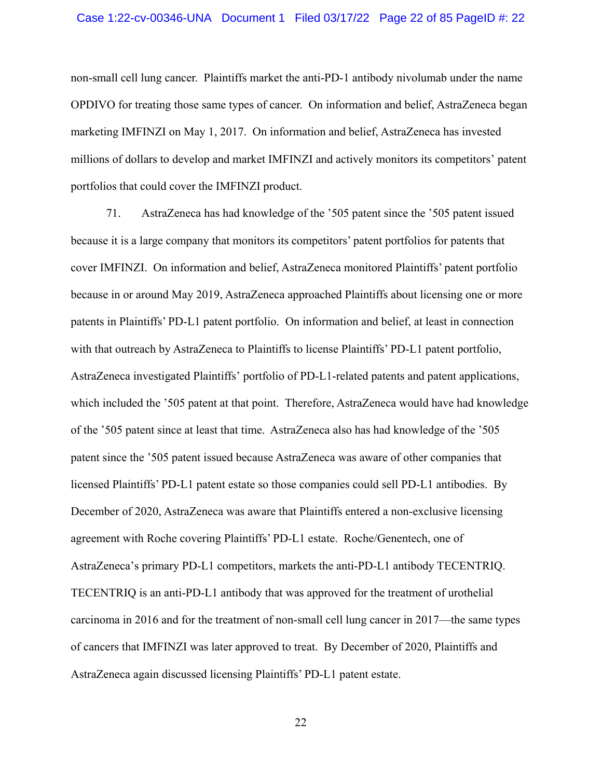### Case 1:22-cv-00346-UNA Document 1 Filed 03/17/22 Page 22 of 85 PageID #: 22

non-small cell lung cancer. Plaintiffs market the anti-PD-1 antibody nivolumab under the name OPDIVO for treating those same types of cancer. On information and belief, AstraZeneca began marketing IMFINZI on May 1, 2017. On information and belief, AstraZeneca has invested millions of dollars to develop and market IMFINZI and actively monitors its competitors' patent portfolios that could cover the IMFINZI product.

71. AstraZeneca has had knowledge of the '505 patent since the '505 patent issued because it is a large company that monitors its competitors' patent portfolios for patents that cover IMFINZI. On information and belief, AstraZeneca monitored Plaintiffs' patent portfolio because in or around May 2019, AstraZeneca approached Plaintiffs about licensing one or more patents in Plaintiffs' PD-L1 patent portfolio. On information and belief, at least in connection with that outreach by AstraZeneca to Plaintiffs to license Plaintiffs' PD-L1 patent portfolio, AstraZeneca investigated Plaintiffs' portfolio of PD-L1-related patents and patent applications, which included the '505 patent at that point. Therefore, AstraZeneca would have had knowledge of the '505 patent since at least that time. AstraZeneca also has had knowledge of the '505 patent since the '505 patent issued because AstraZeneca was aware of other companies that licensed Plaintiffs' PD-L1 patent estate so those companies could sell PD-L1 antibodies. By December of 2020, AstraZeneca was aware that Plaintiffs entered a non-exclusive licensing agreement with Roche covering Plaintiffs' PD-L1 estate. Roche/Genentech, one of AstraZeneca's primary PD-L1 competitors, markets the anti-PD-L1 antibody TECENTRIQ. TECENTRIQ is an anti-PD-L1 antibody that was approved for the treatment of urothelial carcinoma in 2016 and for the treatment of non-small cell lung cancer in 2017—the same types of cancers that IMFINZI was later approved to treat. By December of 2020, Plaintiffs and AstraZeneca again discussed licensing Plaintiffs' PD-L1 patent estate.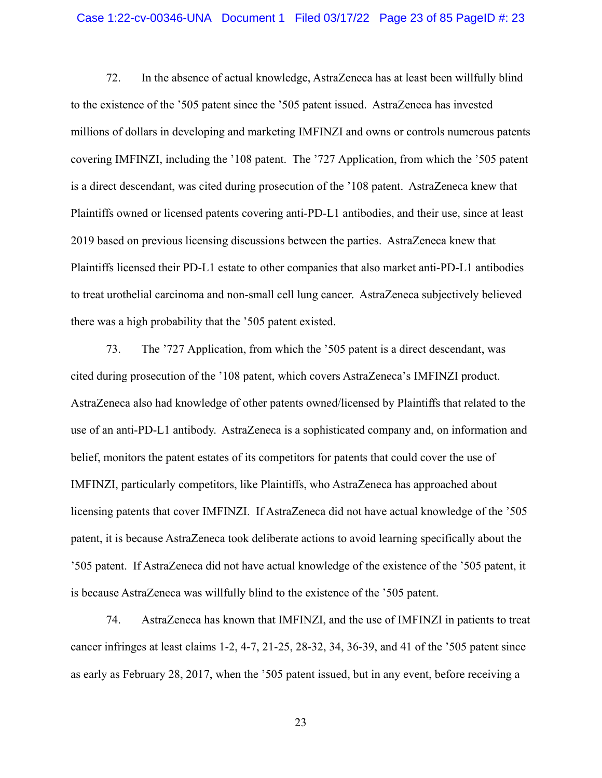### Case 1:22-cv-00346-UNA Document 1 Filed 03/17/22 Page 23 of 85 PageID #: 23

72. In the absence of actual knowledge, AstraZeneca has at least been willfully blind to the existence of the '505 patent since the '505 patent issued. AstraZeneca has invested millions of dollars in developing and marketing IMFINZI and owns or controls numerous patents covering IMFINZI, including the '108 patent. The '727 Application, from which the '505 patent is a direct descendant, was cited during prosecution of the '108 patent. AstraZeneca knew that Plaintiffs owned or licensed patents covering anti-PD-L1 antibodies, and their use, since at least 2019 based on previous licensing discussions between the parties. AstraZeneca knew that Plaintiffs licensed their PD-L1 estate to other companies that also market anti-PD-L1 antibodies to treat urothelial carcinoma and non-small cell lung cancer. AstraZeneca subjectively believed there was a high probability that the '505 patent existed.

73. The '727 Application, from which the '505 patent is a direct descendant, was cited during prosecution of the '108 patent, which covers AstraZeneca's IMFINZI product. AstraZeneca also had knowledge of other patents owned/licensed by Plaintiffs that related to the use of an anti-PD-L1 antibody. AstraZeneca is a sophisticated company and, on information and belief, monitors the patent estates of its competitors for patents that could cover the use of IMFINZI, particularly competitors, like Plaintiffs, who AstraZeneca has approached about licensing patents that cover IMFINZI. If AstraZeneca did not have actual knowledge of the '505 patent, it is because AstraZeneca took deliberate actions to avoid learning specifically about the '505 patent. If AstraZeneca did not have actual knowledge of the existence of the '505 patent, it is because AstraZeneca was willfully blind to the existence of the '505 patent.

74. AstraZeneca has known that IMFINZI, and the use of IMFINZI in patients to treat cancer infringes at least claims 1-2, 4-7, 21-25, 28-32, 34, 36-39, and 41 of the '505 patent since as early as February 28, 2017, when the '505 patent issued, but in any event, before receiving a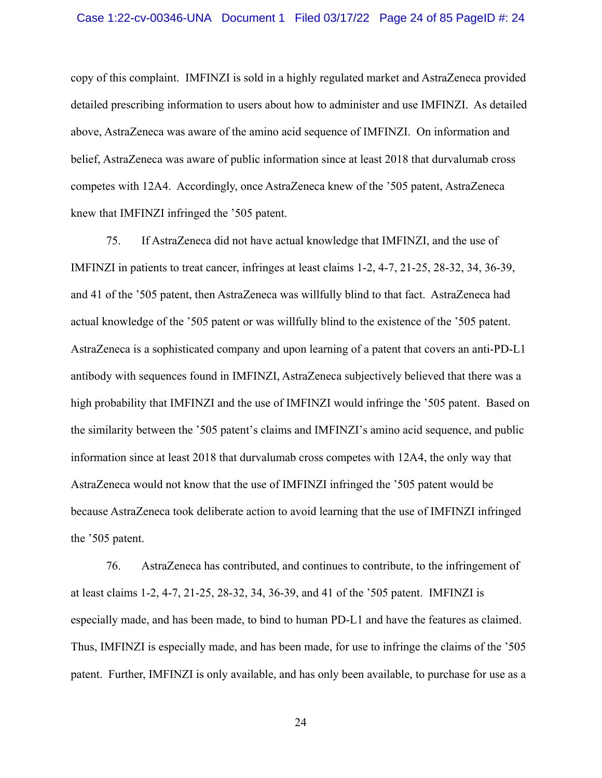copy of this complaint. IMFINZI is sold in a highly regulated market and AstraZeneca provided detailed prescribing information to users about how to administer and use IMFINZI. As detailed above, AstraZeneca was aware of the amino acid sequence of IMFINZI. On information and belief, AstraZeneca was aware of public information since at least 2018 that durvalumab cross competes with 12A4. Accordingly, once AstraZeneca knew of the '505 patent, AstraZeneca knew that IMFINZI infringed the '505 patent.

75. If AstraZeneca did not have actual knowledge that IMFINZI, and the use of IMFINZI in patients to treat cancer, infringes at least claims 1-2, 4-7, 21-25, 28-32, 34, 36-39, and 41 of the '505 patent, then AstraZeneca was willfully blind to that fact. AstraZeneca had actual knowledge of the '505 patent or was willfully blind to the existence of the '505 patent. AstraZeneca is a sophisticated company and upon learning of a patent that covers an anti-PD-L1 antibody with sequences found in IMFINZI, AstraZeneca subjectively believed that there was a high probability that IMFINZI and the use of IMFINZI would infringe the '505 patent. Based on the similarity between the '505 patent's claims and IMFINZI's amino acid sequence, and public information since at least 2018 that durvalumab cross competes with 12A4, the only way that AstraZeneca would not know that the use of IMFINZI infringed the '505 patent would be because AstraZeneca took deliberate action to avoid learning that the use of IMFINZI infringed the '505 patent.

76. AstraZeneca has contributed, and continues to contribute, to the infringement of at least claims 1-2, 4-7, 21-25, 28-32, 34, 36-39, and 41 of the '505 patent. IMFINZI is especially made, and has been made, to bind to human PD-L1 and have the features as claimed. Thus, IMFINZI is especially made, and has been made, for use to infringe the claims of the '505 patent. Further, IMFINZI is only available, and has only been available, to purchase for use as a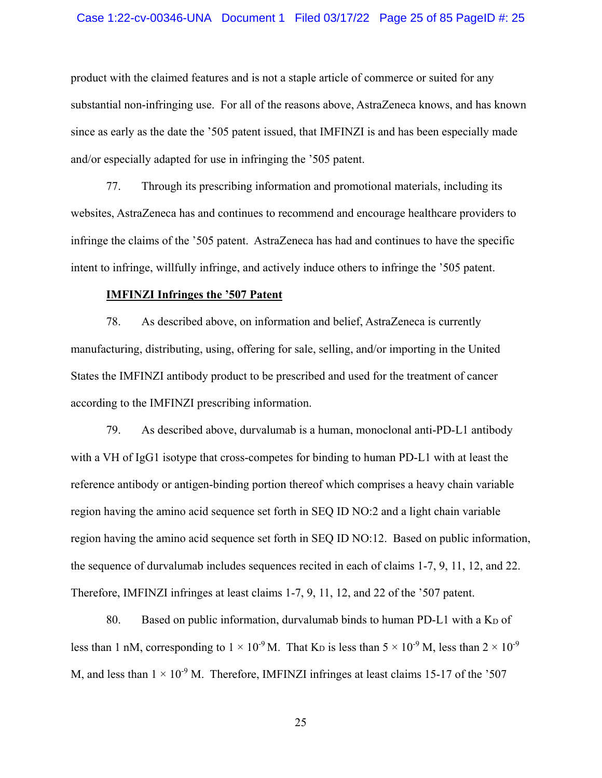### Case 1:22-cv-00346-UNA Document 1 Filed 03/17/22 Page 25 of 85 PageID #: 25

product with the claimed features and is not a staple article of commerce or suited for any substantial non-infringing use. For all of the reasons above, AstraZeneca knows, and has known since as early as the date the '505 patent issued, that IMFINZI is and has been especially made and/or especially adapted for use in infringing the '505 patent.

77. Through its prescribing information and promotional materials, including its websites, AstraZeneca has and continues to recommend and encourage healthcare providers to infringe the claims of the '505 patent. AstraZeneca has had and continues to have the specific intent to infringe, willfully infringe, and actively induce others to infringe the '505 patent.

# **IMFINZI Infringes the '507 Patent**

78. As described above, on information and belief, AstraZeneca is currently manufacturing, distributing, using, offering for sale, selling, and/or importing in the United States the IMFINZI antibody product to be prescribed and used for the treatment of cancer according to the IMFINZI prescribing information.

79. As described above, durvalumab is a human, monoclonal anti-PD-L1 antibody with a VH of IgG1 isotype that cross-competes for binding to human PD-L1 with at least the reference antibody or antigen-binding portion thereof which comprises a heavy chain variable region having the amino acid sequence set forth in SEQ ID NO:2 and a light chain variable region having the amino acid sequence set forth in SEQ ID NO:12. Based on public information, the sequence of durvalumab includes sequences recited in each of claims 1-7, 9, 11, 12, and 22. Therefore, IMFINZI infringes at least claims 1-7, 9, 11, 12, and 22 of the '507 patent.

80. Based on public information, durvalumab binds to human PD-L1 with a  $K_D$  of less than 1 nM, corresponding to  $1 \times 10^{-9}$  M. That K<sub>D</sub> is less than  $5 \times 10^{-9}$  M, less than  $2 \times 10^{-9}$ M, and less than  $1 \times 10^{-9}$  M. Therefore, IMFINZI infringes at least claims 15-17 of the '507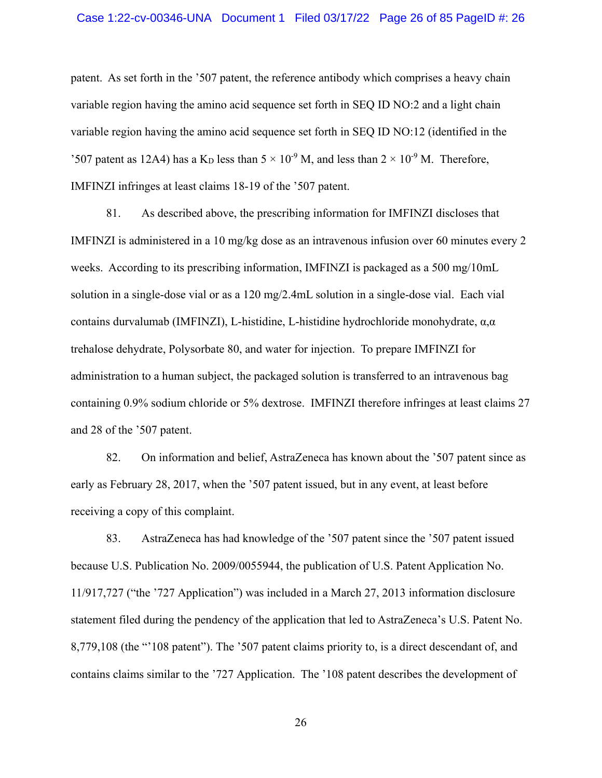patent. As set forth in the '507 patent, the reference antibody which comprises a heavy chain variable region having the amino acid sequence set forth in SEQ ID NO:2 and a light chain variable region having the amino acid sequence set forth in SEQ ID NO:12 (identified in the '507 patent as 12A4) has a K<sub>D</sub> less than  $5 \times 10^{-9}$  M, and less than  $2 \times 10^{-9}$  M. Therefore, IMFINZI infringes at least claims 18-19 of the '507 patent.

81. As described above, the prescribing information for IMFINZI discloses that IMFINZI is administered in a 10 mg/kg dose as an intravenous infusion over 60 minutes every 2 weeks. According to its prescribing information, IMFINZI is packaged as a 500 mg/10mL solution in a single-dose vial or as a 120 mg/2.4mL solution in a single-dose vial. Each vial contains durvalumab (IMFINZI), L-histidine, L-histidine hydrochloride monohydrate, α,α trehalose dehydrate, Polysorbate 80, and water for injection. To prepare IMFINZI for administration to a human subject, the packaged solution is transferred to an intravenous bag containing 0.9% sodium chloride or 5% dextrose. IMFINZI therefore infringes at least claims 27 and 28 of the '507 patent.

82. On information and belief, AstraZeneca has known about the '507 patent since as early as February 28, 2017, when the '507 patent issued, but in any event, at least before receiving a copy of this complaint.

83. AstraZeneca has had knowledge of the '507 patent since the '507 patent issued because U.S. Publication No. 2009/0055944, the publication of U.S. Patent Application No. 11/917,727 ("the '727 Application") was included in a March 27, 2013 information disclosure statement filed during the pendency of the application that led to AstraZeneca's U.S. Patent No. 8,779,108 (the "'108 patent"). The '507 patent claims priority to, is a direct descendant of, and contains claims similar to the '727 Application. The '108 patent describes the development of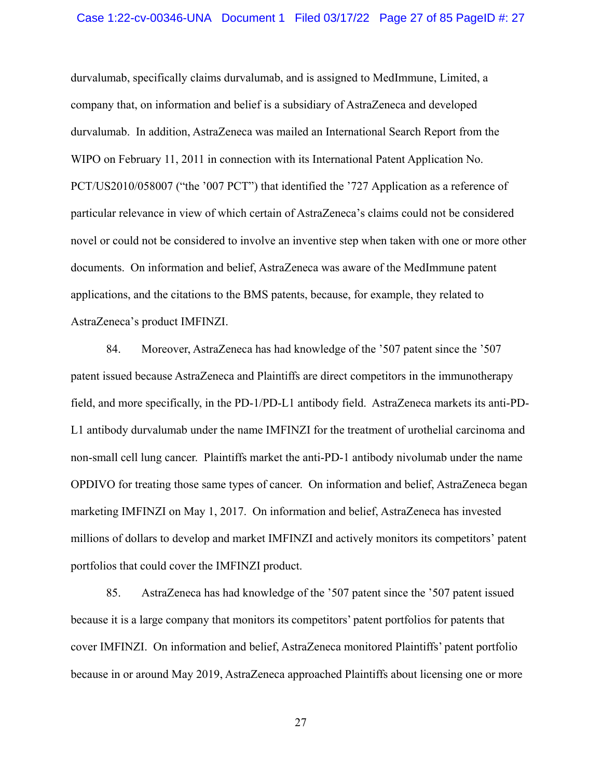### Case 1:22-cv-00346-UNA Document 1 Filed 03/17/22 Page 27 of 85 PageID #: 27

durvalumab, specifically claims durvalumab, and is assigned to MedImmune, Limited, a company that, on information and belief is a subsidiary of AstraZeneca and developed durvalumab. In addition, AstraZeneca was mailed an International Search Report from the WIPO on February 11, 2011 in connection with its International Patent Application No. PCT/US2010/058007 ("the '007 PCT") that identified the '727 Application as a reference of particular relevance in view of which certain of AstraZeneca's claims could not be considered novel or could not be considered to involve an inventive step when taken with one or more other documents. On information and belief, AstraZeneca was aware of the MedImmune patent applications, and the citations to the BMS patents, because, for example, they related to AstraZeneca's product IMFINZI.

84. Moreover, AstraZeneca has had knowledge of the '507 patent since the '507 patent issued because AstraZeneca and Plaintiffs are direct competitors in the immunotherapy field, and more specifically, in the PD-1/PD-L1 antibody field. AstraZeneca markets its anti-PD-L1 antibody durvalumab under the name IMFINZI for the treatment of urothelial carcinoma and non-small cell lung cancer. Plaintiffs market the anti-PD-1 antibody nivolumab under the name OPDIVO for treating those same types of cancer. On information and belief, AstraZeneca began marketing IMFINZI on May 1, 2017. On information and belief, AstraZeneca has invested millions of dollars to develop and market IMFINZI and actively monitors its competitors' patent portfolios that could cover the IMFINZI product.

85. AstraZeneca has had knowledge of the '507 patent since the '507 patent issued because it is a large company that monitors its competitors' patent portfolios for patents that cover IMFINZI. On information and belief, AstraZeneca monitored Plaintiffs' patent portfolio because in or around May 2019, AstraZeneca approached Plaintiffs about licensing one or more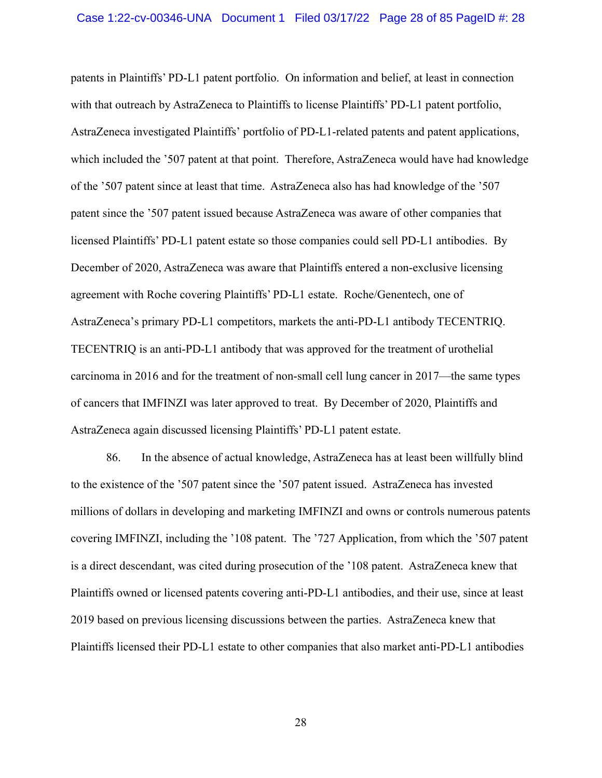patents in Plaintiffs' PD-L1 patent portfolio. On information and belief, at least in connection with that outreach by AstraZeneca to Plaintiffs to license Plaintiffs' PD-L1 patent portfolio, AstraZeneca investigated Plaintiffs' portfolio of PD-L1-related patents and patent applications, which included the '507 patent at that point. Therefore, AstraZeneca would have had knowledge of the '507 patent since at least that time. AstraZeneca also has had knowledge of the '507 patent since the '507 patent issued because AstraZeneca was aware of other companies that licensed Plaintiffs' PD-L1 patent estate so those companies could sell PD-L1 antibodies. By December of 2020, AstraZeneca was aware that Plaintiffs entered a non-exclusive licensing agreement with Roche covering Plaintiffs' PD-L1 estate. Roche/Genentech, one of AstraZeneca's primary PD-L1 competitors, markets the anti-PD-L1 antibody TECENTRIQ. TECENTRIQ is an anti-PD-L1 antibody that was approved for the treatment of urothelial carcinoma in 2016 and for the treatment of non-small cell lung cancer in 2017—the same types of cancers that IMFINZI was later approved to treat. By December of 2020, Plaintiffs and AstraZeneca again discussed licensing Plaintiffs' PD-L1 patent estate.

86. In the absence of actual knowledge, AstraZeneca has at least been willfully blind to the existence of the '507 patent since the '507 patent issued. AstraZeneca has invested millions of dollars in developing and marketing IMFINZI and owns or controls numerous patents covering IMFINZI, including the '108 patent. The '727 Application, from which the '507 patent is a direct descendant, was cited during prosecution of the '108 patent. AstraZeneca knew that Plaintiffs owned or licensed patents covering anti-PD-L1 antibodies, and their use, since at least 2019 based on previous licensing discussions between the parties. AstraZeneca knew that Plaintiffs licensed their PD-L1 estate to other companies that also market anti-PD-L1 antibodies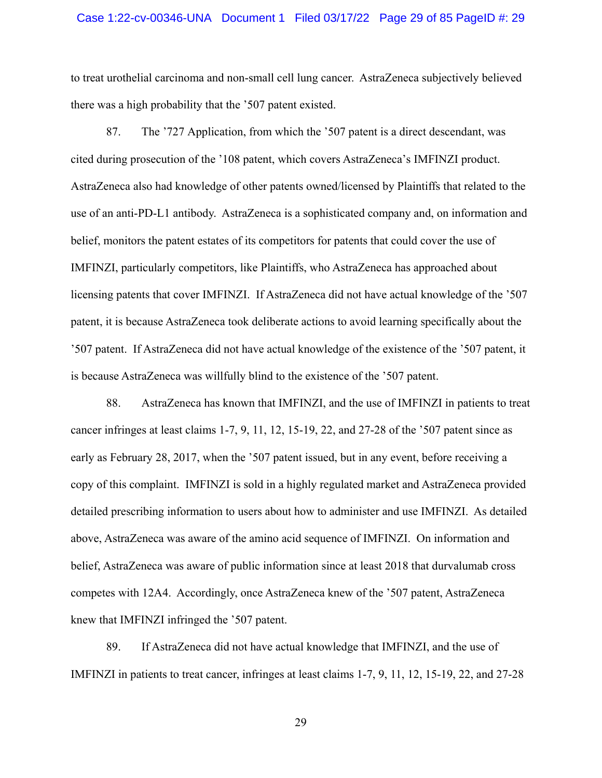### Case 1:22-cv-00346-UNA Document 1 Filed 03/17/22 Page 29 of 85 PageID #: 29

to treat urothelial carcinoma and non-small cell lung cancer. AstraZeneca subjectively believed there was a high probability that the '507 patent existed.

87. The '727 Application, from which the '507 patent is a direct descendant, was cited during prosecution of the '108 patent, which covers AstraZeneca's IMFINZI product. AstraZeneca also had knowledge of other patents owned/licensed by Plaintiffs that related to the use of an anti-PD-L1 antibody. AstraZeneca is a sophisticated company and, on information and belief, monitors the patent estates of its competitors for patents that could cover the use of IMFINZI, particularly competitors, like Plaintiffs, who AstraZeneca has approached about licensing patents that cover IMFINZI. If AstraZeneca did not have actual knowledge of the '507 patent, it is because AstraZeneca took deliberate actions to avoid learning specifically about the '507 patent. If AstraZeneca did not have actual knowledge of the existence of the '507 patent, it is because AstraZeneca was willfully blind to the existence of the '507 patent.

88. AstraZeneca has known that IMFINZI, and the use of IMFINZI in patients to treat cancer infringes at least claims 1-7, 9, 11, 12, 15-19, 22, and 27-28 of the '507 patent since as early as February 28, 2017, when the '507 patent issued, but in any event, before receiving a copy of this complaint. IMFINZI is sold in a highly regulated market and AstraZeneca provided detailed prescribing information to users about how to administer and use IMFINZI. As detailed above, AstraZeneca was aware of the amino acid sequence of IMFINZI. On information and belief, AstraZeneca was aware of public information since at least 2018 that durvalumab cross competes with 12A4. Accordingly, once AstraZeneca knew of the '507 patent, AstraZeneca knew that IMFINZI infringed the '507 patent.

89. If AstraZeneca did not have actual knowledge that IMFINZI, and the use of IMFINZI in patients to treat cancer, infringes at least claims 1-7, 9, 11, 12, 15-19, 22, and 27-28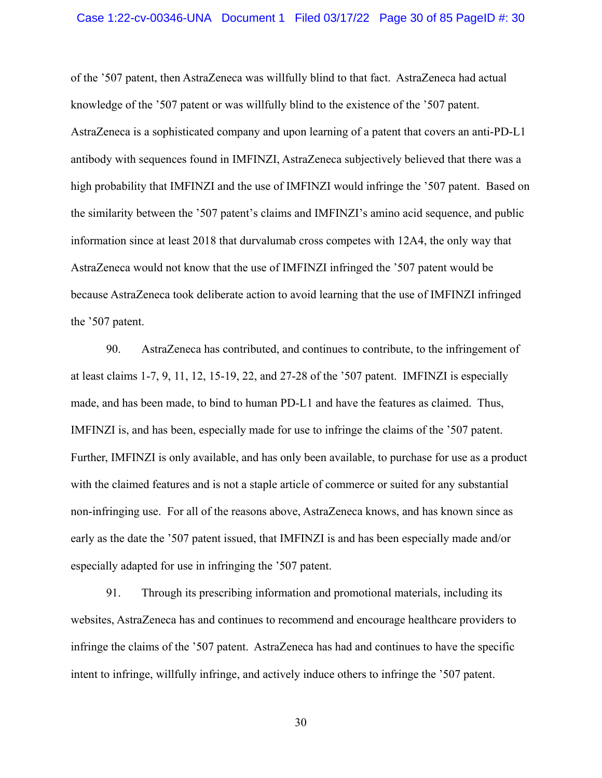### Case 1:22-cv-00346-UNA Document 1 Filed 03/17/22 Page 30 of 85 PageID #: 30

of the '507 patent, then AstraZeneca was willfully blind to that fact. AstraZeneca had actual knowledge of the '507 patent or was willfully blind to the existence of the '507 patent. AstraZeneca is a sophisticated company and upon learning of a patent that covers an anti-PD-L1 antibody with sequences found in IMFINZI, AstraZeneca subjectively believed that there was a high probability that IMFINZI and the use of IMFINZI would infringe the '507 patent. Based on the similarity between the '507 patent's claims and IMFINZI's amino acid sequence, and public information since at least 2018 that durvalumab cross competes with 12A4, the only way that AstraZeneca would not know that the use of IMFINZI infringed the '507 patent would be because AstraZeneca took deliberate action to avoid learning that the use of IMFINZI infringed the '507 patent.

90. AstraZeneca has contributed, and continues to contribute, to the infringement of at least claims 1-7, 9, 11, 12, 15-19, 22, and 27-28 of the '507 patent. IMFINZI is especially made, and has been made, to bind to human PD-L1 and have the features as claimed. Thus, IMFINZI is, and has been, especially made for use to infringe the claims of the '507 patent. Further, IMFINZI is only available, and has only been available, to purchase for use as a product with the claimed features and is not a staple article of commerce or suited for any substantial non-infringing use. For all of the reasons above, AstraZeneca knows, and has known since as early as the date the '507 patent issued, that IMFINZI is and has been especially made and/or especially adapted for use in infringing the '507 patent.

91. Through its prescribing information and promotional materials, including its websites, AstraZeneca has and continues to recommend and encourage healthcare providers to infringe the claims of the '507 patent. AstraZeneca has had and continues to have the specific intent to infringe, willfully infringe, and actively induce others to infringe the '507 patent.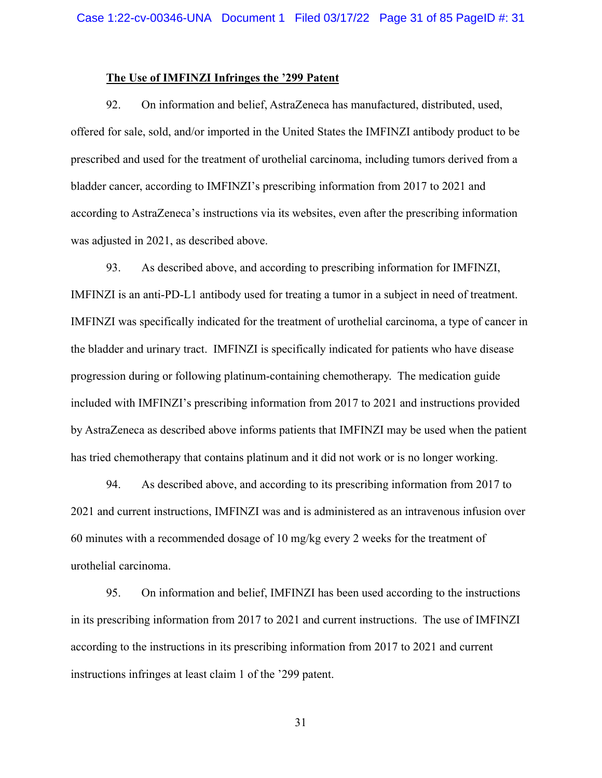### **The Use of IMFINZI Infringes the '299 Patent**

92. On information and belief, AstraZeneca has manufactured, distributed, used, offered for sale, sold, and/or imported in the United States the IMFINZI antibody product to be prescribed and used for the treatment of urothelial carcinoma, including tumors derived from a bladder cancer, according to IMFINZI's prescribing information from 2017 to 2021 and according to AstraZeneca's instructions via its websites, even after the prescribing information was adjusted in 2021, as described above.

93. As described above, and according to prescribing information for IMFINZI, IMFINZI is an anti-PD-L1 antibody used for treating a tumor in a subject in need of treatment. IMFINZI was specifically indicated for the treatment of urothelial carcinoma, a type of cancer in the bladder and urinary tract. IMFINZI is specifically indicated for patients who have disease progression during or following platinum-containing chemotherapy. The medication guide included with IMFINZI's prescribing information from 2017 to 2021 and instructions provided by AstraZeneca as described above informs patients that IMFINZI may be used when the patient has tried chemotherapy that contains platinum and it did not work or is no longer working.

94. As described above, and according to its prescribing information from 2017 to 2021 and current instructions, IMFINZI was and is administered as an intravenous infusion over 60 minutes with a recommended dosage of 10 mg/kg every 2 weeks for the treatment of urothelial carcinoma.

95. On information and belief, IMFINZI has been used according to the instructions in its prescribing information from 2017 to 2021 and current instructions. The use of IMFINZI according to the instructions in its prescribing information from 2017 to 2021 and current instructions infringes at least claim 1 of the '299 patent.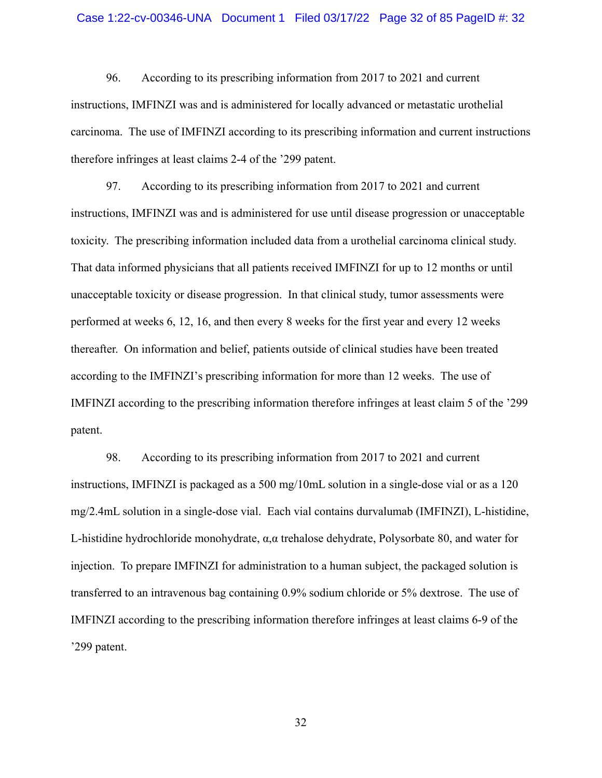### Case 1:22-cv-00346-UNA Document 1 Filed 03/17/22 Page 32 of 85 PageID #: 32

96. According to its prescribing information from 2017 to 2021 and current instructions, IMFINZI was and is administered for locally advanced or metastatic urothelial carcinoma. The use of IMFINZI according to its prescribing information and current instructions therefore infringes at least claims 2-4 of the '299 patent.

97. According to its prescribing information from 2017 to 2021 and current instructions, IMFINZI was and is administered for use until disease progression or unacceptable toxicity. The prescribing information included data from a urothelial carcinoma clinical study. That data informed physicians that all patients received IMFINZI for up to 12 months or until unacceptable toxicity or disease progression. In that clinical study, tumor assessments were performed at weeks 6, 12, 16, and then every 8 weeks for the first year and every 12 weeks thereafter. On information and belief, patients outside of clinical studies have been treated according to the IMFINZI's prescribing information for more than 12 weeks. The use of IMFINZI according to the prescribing information therefore infringes at least claim 5 of the '299 patent.

98. According to its prescribing information from 2017 to 2021 and current instructions, IMFINZI is packaged as a 500 mg/10mL solution in a single-dose vial or as a 120 mg/2.4mL solution in a single-dose vial. Each vial contains durvalumab (IMFINZI), L-histidine, L-histidine hydrochloride monohydrate,  $\alpha, \alpha$  trehalose dehydrate, Polysorbate 80, and water for injection. To prepare IMFINZI for administration to a human subject, the packaged solution is transferred to an intravenous bag containing 0.9% sodium chloride or 5% dextrose. The use of IMFINZI according to the prescribing information therefore infringes at least claims 6-9 of the '299 patent.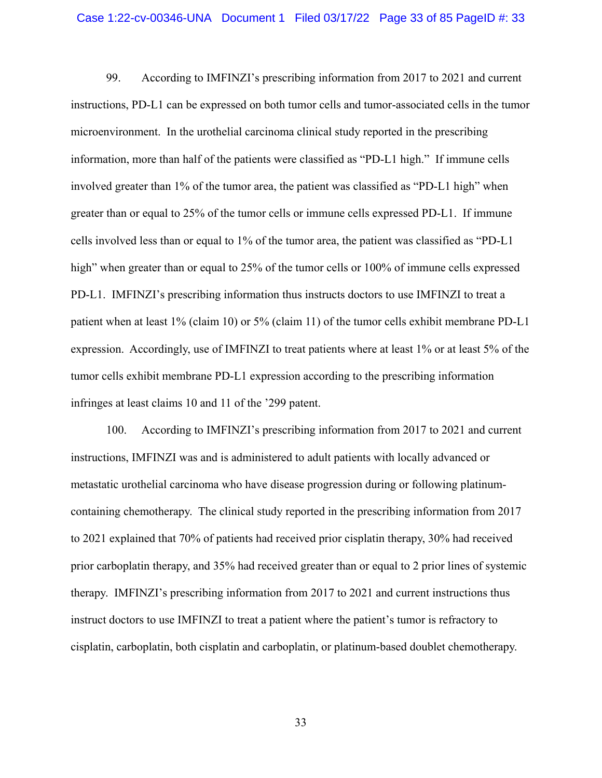99. According to IMFINZI's prescribing information from 2017 to 2021 and current instructions, PD-L1 can be expressed on both tumor cells and tumor-associated cells in the tumor microenvironment. In the urothelial carcinoma clinical study reported in the prescribing information, more than half of the patients were classified as "PD-L1 high." If immune cells involved greater than 1% of the tumor area, the patient was classified as "PD-L1 high" when greater than or equal to 25% of the tumor cells or immune cells expressed PD-L1. If immune cells involved less than or equal to 1% of the tumor area, the patient was classified as "PD-L1 high" when greater than or equal to 25% of the tumor cells or 100% of immune cells expressed PD-L1. IMFINZI's prescribing information thus instructs doctors to use IMFINZI to treat a patient when at least 1% (claim 10) or 5% (claim 11) of the tumor cells exhibit membrane PD-L1 expression. Accordingly, use of IMFINZI to treat patients where at least 1% or at least 5% of the tumor cells exhibit membrane PD-L1 expression according to the prescribing information infringes at least claims 10 and 11 of the '299 patent.

100. According to IMFINZI's prescribing information from 2017 to 2021 and current instructions, IMFINZI was and is administered to adult patients with locally advanced or metastatic urothelial carcinoma who have disease progression during or following platinumcontaining chemotherapy. The clinical study reported in the prescribing information from 2017 to 2021 explained that 70% of patients had received prior cisplatin therapy, 30% had received prior carboplatin therapy, and 35% had received greater than or equal to 2 prior lines of systemic therapy. IMFINZI's prescribing information from 2017 to 2021 and current instructions thus instruct doctors to use IMFINZI to treat a patient where the patient's tumor is refractory to cisplatin, carboplatin, both cisplatin and carboplatin, or platinum-based doublet chemotherapy.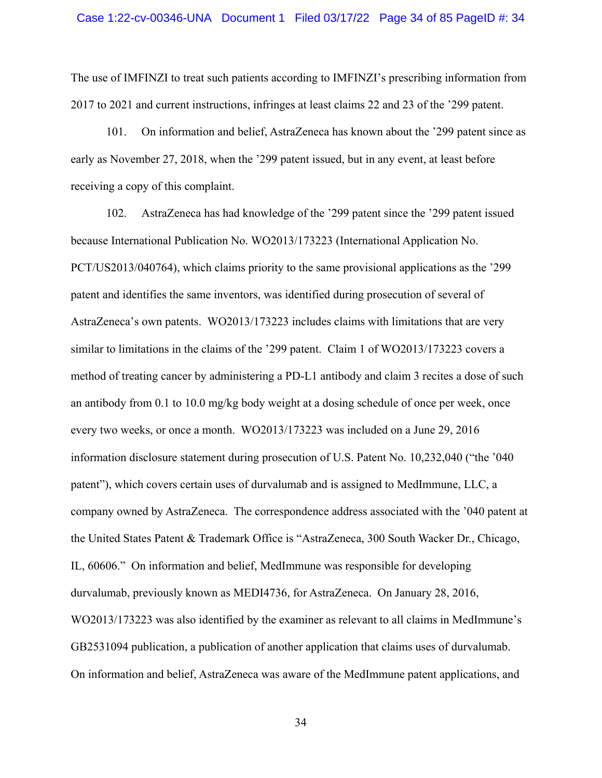The use of IMFINZI to treat such patients according to IMFINZI's prescribing information from 2017 to 2021 and current instructions, infringes at least claims 22 and 23 of the '299 patent.

101. On information and belief, AstraZeneca has known about the '299 patent since as early as November 27, 2018, when the '299 patent issued, but in any event, at least before receiving a copy of this complaint.

102. AstraZeneca has had knowledge of the '299 patent since the '299 patent issued because International Publication No. WO2013/173223 (International Application No. PCT/US2013/040764), which claims priority to the same provisional applications as the '299 patent and identifies the same inventors, was identified during prosecution of several of AstraZeneca's own patents. WO2013/173223 includes claims with limitations that are very similar to limitations in the claims of the '299 patent. Claim 1 of WO2013/173223 covers a method of treating cancer by administering a PD-L1 antibody and claim 3 recites a dose of such an antibody from 0.1 to 10.0 mg/kg body weight at a dosing schedule of once per week, once every two weeks, or once a month. WO2013/173223 was included on a June 29, 2016 information disclosure statement during prosecution of U.S. Patent No. 10,232,040 ("the '040 patent"), which covers certain uses of durvalumab and is assigned to MedImmune, LLC, a company owned by AstraZeneca. The correspondence address associated with the '040 patent at the United States Patent & Trademark Office is "AstraZeneca, 300 South Wacker Dr., Chicago, IL, 60606." On information and belief, MedImmune was responsible for developing durvalumab, previously known as MEDI4736, for AstraZeneca. On January 28, 2016, WO2013/173223 was also identified by the examiner as relevant to all claims in MedImmune's GB2531094 publication, a publication of another application that claims uses of durvalumab. On information and belief, AstraZeneca was aware of the MedImmune patent applications, and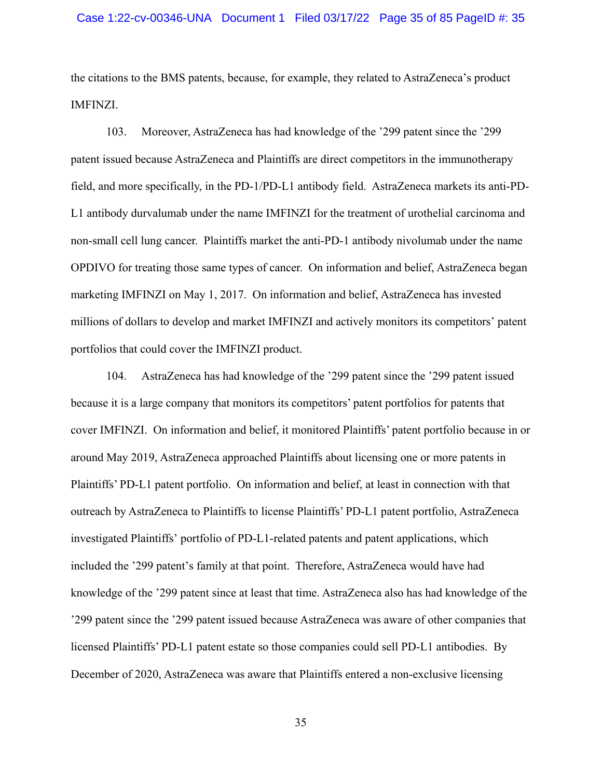the citations to the BMS patents, because, for example, they related to AstraZeneca's product IMFINZI.

103. Moreover, AstraZeneca has had knowledge of the '299 patent since the '299 patent issued because AstraZeneca and Plaintiffs are direct competitors in the immunotherapy field, and more specifically, in the PD-1/PD-L1 antibody field. AstraZeneca markets its anti-PD-L1 antibody durvalumab under the name IMFINZI for the treatment of urothelial carcinoma and non-small cell lung cancer. Plaintiffs market the anti-PD-1 antibody nivolumab under the name OPDIVO for treating those same types of cancer. On information and belief, AstraZeneca began marketing IMFINZI on May 1, 2017. On information and belief, AstraZeneca has invested millions of dollars to develop and market IMFINZI and actively monitors its competitors' patent portfolios that could cover the IMFINZI product.

104. AstraZeneca has had knowledge of the '299 patent since the '299 patent issued because it is a large company that monitors its competitors' patent portfolios for patents that cover IMFINZI. On information and belief, it monitored Plaintiffs' patent portfolio because in or around May 2019, AstraZeneca approached Plaintiffs about licensing one or more patents in Plaintiffs' PD-L1 patent portfolio. On information and belief, at least in connection with that outreach by AstraZeneca to Plaintiffs to license Plaintiffs' PD-L1 patent portfolio, AstraZeneca investigated Plaintiffs' portfolio of PD-L1-related patents and patent applications, which included the '299 patent's family at that point. Therefore, AstraZeneca would have had knowledge of the '299 patent since at least that time. AstraZeneca also has had knowledge of the '299 patent since the '299 patent issued because AstraZeneca was aware of other companies that licensed Plaintiffs' PD-L1 patent estate so those companies could sell PD-L1 antibodies. By December of 2020, AstraZeneca was aware that Plaintiffs entered a non-exclusive licensing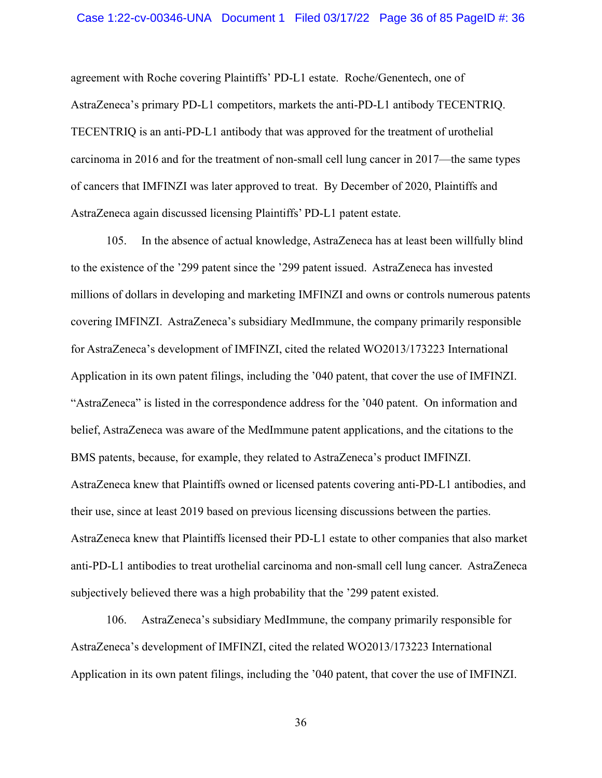agreement with Roche covering Plaintiffs' PD-L1 estate. Roche/Genentech, one of AstraZeneca's primary PD-L1 competitors, markets the anti-PD-L1 antibody TECENTRIQ. TECENTRIQ is an anti-PD-L1 antibody that was approved for the treatment of urothelial carcinoma in 2016 and for the treatment of non-small cell lung cancer in 2017—the same types of cancers that IMFINZI was later approved to treat. By December of 2020, Plaintiffs and AstraZeneca again discussed licensing Plaintiffs' PD-L1 patent estate.

105. In the absence of actual knowledge, AstraZeneca has at least been willfully blind to the existence of the '299 patent since the '299 patent issued. AstraZeneca has invested millions of dollars in developing and marketing IMFINZI and owns or controls numerous patents covering IMFINZI. AstraZeneca's subsidiary MedImmune, the company primarily responsible for AstraZeneca's development of IMFINZI, cited the related WO2013/173223 International Application in its own patent filings, including the '040 patent, that cover the use of IMFINZI. "AstraZeneca" is listed in the correspondence address for the '040 patent. On information and belief, AstraZeneca was aware of the MedImmune patent applications, and the citations to the BMS patents, because, for example, they related to AstraZeneca's product IMFINZI. AstraZeneca knew that Plaintiffs owned or licensed patents covering anti-PD-L1 antibodies, and their use, since at least 2019 based on previous licensing discussions between the parties. AstraZeneca knew that Plaintiffs licensed their PD-L1 estate to other companies that also market anti-PD-L1 antibodies to treat urothelial carcinoma and non-small cell lung cancer. AstraZeneca subjectively believed there was a high probability that the '299 patent existed.

106. AstraZeneca's subsidiary MedImmune, the company primarily responsible for AstraZeneca's development of IMFINZI, cited the related WO2013/173223 International Application in its own patent filings, including the '040 patent, that cover the use of IMFINZI.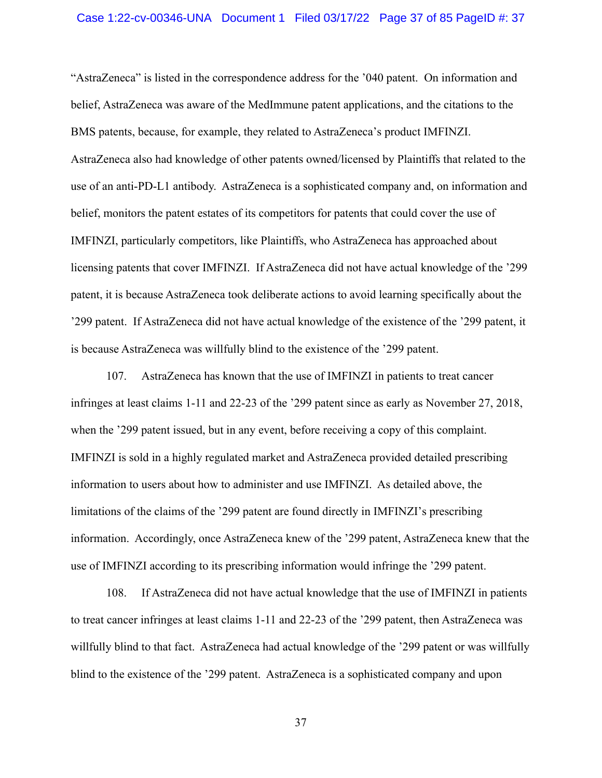## Case 1:22-cv-00346-UNA Document 1 Filed 03/17/22 Page 37 of 85 PageID #: 37

"AstraZeneca" is listed in the correspondence address for the '040 patent. On information and belief, AstraZeneca was aware of the MedImmune patent applications, and the citations to the BMS patents, because, for example, they related to AstraZeneca's product IMFINZI. AstraZeneca also had knowledge of other patents owned/licensed by Plaintiffs that related to the use of an anti-PD-L1 antibody. AstraZeneca is a sophisticated company and, on information and belief, monitors the patent estates of its competitors for patents that could cover the use of IMFINZI, particularly competitors, like Plaintiffs, who AstraZeneca has approached about licensing patents that cover IMFINZI. If AstraZeneca did not have actual knowledge of the '299 patent, it is because AstraZeneca took deliberate actions to avoid learning specifically about the '299 patent. If AstraZeneca did not have actual knowledge of the existence of the '299 patent, it is because AstraZeneca was willfully blind to the existence of the '299 patent.

107. AstraZeneca has known that the use of IMFINZI in patients to treat cancer infringes at least claims 1-11 and 22-23 of the '299 patent since as early as November 27, 2018, when the '299 patent issued, but in any event, before receiving a copy of this complaint. IMFINZI is sold in a highly regulated market and AstraZeneca provided detailed prescribing information to users about how to administer and use IMFINZI. As detailed above, the limitations of the claims of the '299 patent are found directly in IMFINZI's prescribing information. Accordingly, once AstraZeneca knew of the '299 patent, AstraZeneca knew that the use of IMFINZI according to its prescribing information would infringe the '299 patent.

108. If AstraZeneca did not have actual knowledge that the use of IMFINZI in patients to treat cancer infringes at least claims 1-11 and 22-23 of the '299 patent, then AstraZeneca was willfully blind to that fact. AstraZeneca had actual knowledge of the '299 patent or was willfully blind to the existence of the '299 patent. AstraZeneca is a sophisticated company and upon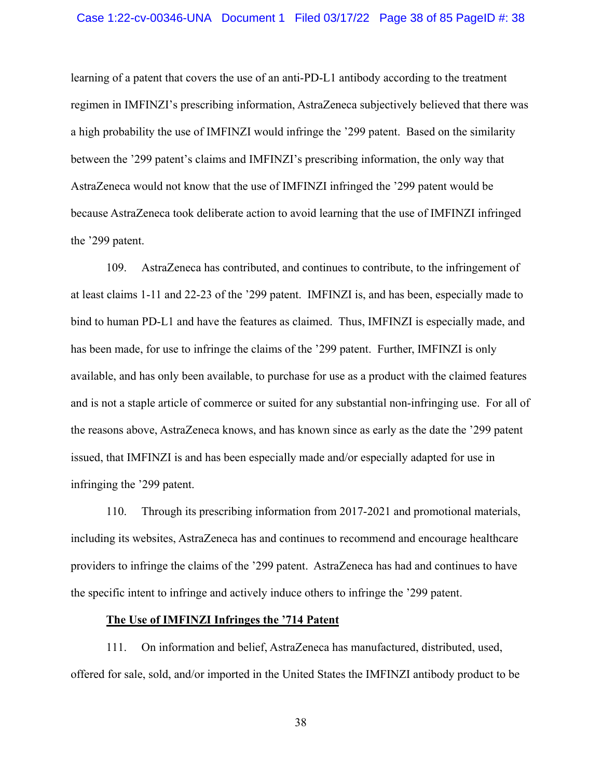## Case 1:22-cv-00346-UNA Document 1 Filed 03/17/22 Page 38 of 85 PageID #: 38

learning of a patent that covers the use of an anti-PD-L1 antibody according to the treatment regimen in IMFINZI's prescribing information, AstraZeneca subjectively believed that there was a high probability the use of IMFINZI would infringe the '299 patent. Based on the similarity between the '299 patent's claims and IMFINZI's prescribing information, the only way that AstraZeneca would not know that the use of IMFINZI infringed the '299 patent would be because AstraZeneca took deliberate action to avoid learning that the use of IMFINZI infringed the '299 patent.

109. AstraZeneca has contributed, and continues to contribute, to the infringement of at least claims 1-11 and 22-23 of the '299 patent. IMFINZI is, and has been, especially made to bind to human PD-L1 and have the features as claimed. Thus, IMFINZI is especially made, and has been made, for use to infringe the claims of the '299 patent. Further, IMFINZI is only available, and has only been available, to purchase for use as a product with the claimed features and is not a staple article of commerce or suited for any substantial non-infringing use. For all of the reasons above, AstraZeneca knows, and has known since as early as the date the '299 patent issued, that IMFINZI is and has been especially made and/or especially adapted for use in infringing the '299 patent.

110. Through its prescribing information from 2017-2021 and promotional materials, including its websites, AstraZeneca has and continues to recommend and encourage healthcare providers to infringe the claims of the '299 patent. AstraZeneca has had and continues to have the specific intent to infringe and actively induce others to infringe the '299 patent.

# **The Use of IMFINZI Infringes the '714 Patent**

111. On information and belief, AstraZeneca has manufactured, distributed, used, offered for sale, sold, and/or imported in the United States the IMFINZI antibody product to be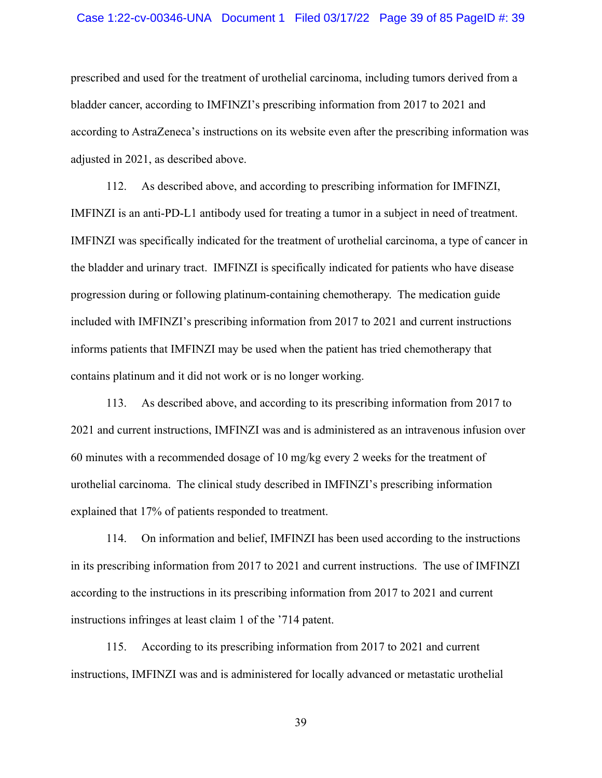### Case 1:22-cv-00346-UNA Document 1 Filed 03/17/22 Page 39 of 85 PageID #: 39

prescribed and used for the treatment of urothelial carcinoma, including tumors derived from a bladder cancer, according to IMFINZI's prescribing information from 2017 to 2021 and according to AstraZeneca's instructions on its website even after the prescribing information was adjusted in 2021, as described above.

112. As described above, and according to prescribing information for IMFINZI, IMFINZI is an anti-PD-L1 antibody used for treating a tumor in a subject in need of treatment. IMFINZI was specifically indicated for the treatment of urothelial carcinoma, a type of cancer in the bladder and urinary tract. IMFINZI is specifically indicated for patients who have disease progression during or following platinum-containing chemotherapy. The medication guide included with IMFINZI's prescribing information from 2017 to 2021 and current instructions informs patients that IMFINZI may be used when the patient has tried chemotherapy that contains platinum and it did not work or is no longer working.

113. As described above, and according to its prescribing information from 2017 to 2021 and current instructions, IMFINZI was and is administered as an intravenous infusion over 60 minutes with a recommended dosage of 10 mg/kg every 2 weeks for the treatment of urothelial carcinoma. The clinical study described in IMFINZI's prescribing information explained that 17% of patients responded to treatment.

114. On information and belief, IMFINZI has been used according to the instructions in its prescribing information from 2017 to 2021 and current instructions. The use of IMFINZI according to the instructions in its prescribing information from 2017 to 2021 and current instructions infringes at least claim 1 of the '714 patent.

115. According to its prescribing information from 2017 to 2021 and current instructions, IMFINZI was and is administered for locally advanced or metastatic urothelial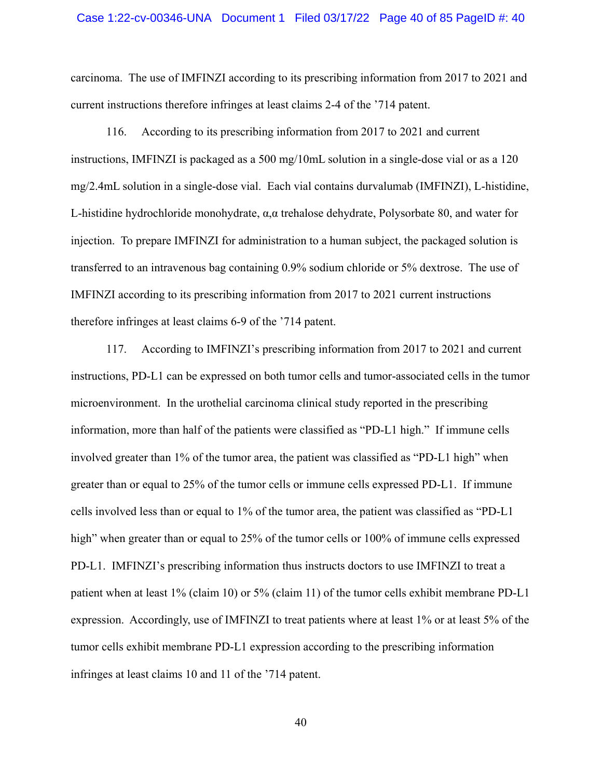## Case 1:22-cv-00346-UNA Document 1 Filed 03/17/22 Page 40 of 85 PageID #: 40

carcinoma. The use of IMFINZI according to its prescribing information from 2017 to 2021 and current instructions therefore infringes at least claims 2-4 of the '714 patent.

116. According to its prescribing information from 2017 to 2021 and current instructions, IMFINZI is packaged as a 500 mg/10mL solution in a single-dose vial or as a 120 mg/2.4mL solution in a single-dose vial. Each vial contains durvalumab (IMFINZI), L-histidine, L-histidine hydrochloride monohydrate,  $\alpha, \alpha$  trehalose dehydrate, Polysorbate 80, and water for injection. To prepare IMFINZI for administration to a human subject, the packaged solution is transferred to an intravenous bag containing 0.9% sodium chloride or 5% dextrose. The use of IMFINZI according to its prescribing information from 2017 to 2021 current instructions therefore infringes at least claims 6-9 of the '714 patent.

117. According to IMFINZI's prescribing information from 2017 to 2021 and current instructions, PD-L1 can be expressed on both tumor cells and tumor-associated cells in the tumor microenvironment. In the urothelial carcinoma clinical study reported in the prescribing information, more than half of the patients were classified as "PD-L1 high." If immune cells involved greater than 1% of the tumor area, the patient was classified as "PD-L1 high" when greater than or equal to 25% of the tumor cells or immune cells expressed PD-L1. If immune cells involved less than or equal to 1% of the tumor area, the patient was classified as "PD-L1 high" when greater than or equal to 25% of the tumor cells or 100% of immune cells expressed PD-L1. IMFINZI's prescribing information thus instructs doctors to use IMFINZI to treat a patient when at least 1% (claim 10) or 5% (claim 11) of the tumor cells exhibit membrane PD-L1 expression. Accordingly, use of IMFINZI to treat patients where at least 1% or at least 5% of the tumor cells exhibit membrane PD-L1 expression according to the prescribing information infringes at least claims 10 and 11 of the '714 patent.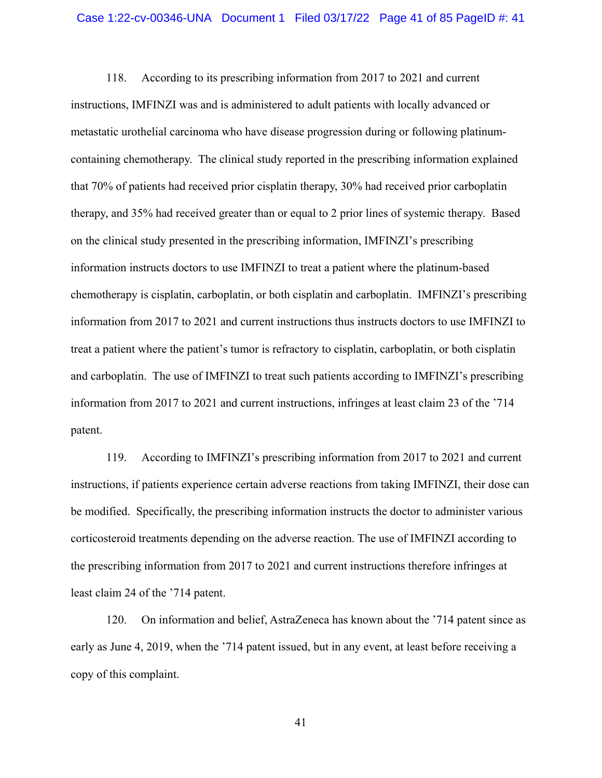118. According to its prescribing information from 2017 to 2021 and current instructions, IMFINZI was and is administered to adult patients with locally advanced or metastatic urothelial carcinoma who have disease progression during or following platinumcontaining chemotherapy. The clinical study reported in the prescribing information explained that 70% of patients had received prior cisplatin therapy, 30% had received prior carboplatin therapy, and 35% had received greater than or equal to 2 prior lines of systemic therapy. Based on the clinical study presented in the prescribing information, IMFINZI's prescribing information instructs doctors to use IMFINZI to treat a patient where the platinum-based chemotherapy is cisplatin, carboplatin, or both cisplatin and carboplatin. IMFINZI's prescribing information from 2017 to 2021 and current instructions thus instructs doctors to use IMFINZI to treat a patient where the patient's tumor is refractory to cisplatin, carboplatin, or both cisplatin and carboplatin. The use of IMFINZI to treat such patients according to IMFINZI's prescribing information from 2017 to 2021 and current instructions, infringes at least claim 23 of the '714 patent.

119. According to IMFINZI's prescribing information from 2017 to 2021 and current instructions, if patients experience certain adverse reactions from taking IMFINZI, their dose can be modified. Specifically, the prescribing information instructs the doctor to administer various corticosteroid treatments depending on the adverse reaction. The use of IMFINZI according to the prescribing information from 2017 to 2021 and current instructions therefore infringes at least claim 24 of the '714 patent.

120. On information and belief, AstraZeneca has known about the '714 patent since as early as June 4, 2019, when the '714 patent issued, but in any event, at least before receiving a copy of this complaint.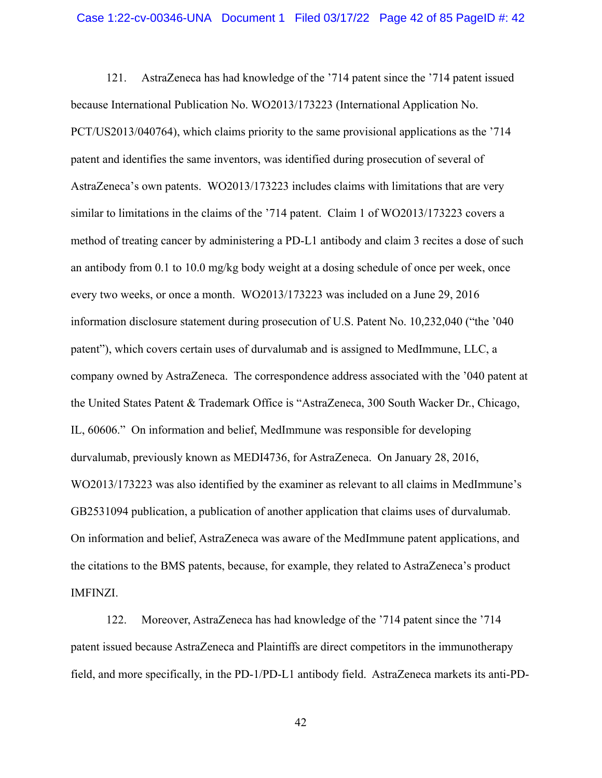121. AstraZeneca has had knowledge of the '714 patent since the '714 patent issued because International Publication No. WO2013/173223 (International Application No. PCT/US2013/040764), which claims priority to the same provisional applications as the '714 patent and identifies the same inventors, was identified during prosecution of several of AstraZeneca's own patents. WO2013/173223 includes claims with limitations that are very similar to limitations in the claims of the '714 patent. Claim 1 of WO2013/173223 covers a method of treating cancer by administering a PD-L1 antibody and claim 3 recites a dose of such an antibody from 0.1 to 10.0 mg/kg body weight at a dosing schedule of once per week, once every two weeks, or once a month. WO2013/173223 was included on a June 29, 2016 information disclosure statement during prosecution of U.S. Patent No. 10,232,040 ("the '040 patent"), which covers certain uses of durvalumab and is assigned to MedImmune, LLC, a company owned by AstraZeneca. The correspondence address associated with the '040 patent at the United States Patent & Trademark Office is "AstraZeneca, 300 South Wacker Dr., Chicago, IL, 60606." On information and belief, MedImmune was responsible for developing durvalumab, previously known as MEDI4736, for AstraZeneca. On January 28, 2016, WO2013/173223 was also identified by the examiner as relevant to all claims in MedImmune's GB2531094 publication, a publication of another application that claims uses of durvalumab. On information and belief, AstraZeneca was aware of the MedImmune patent applications, and the citations to the BMS patents, because, for example, they related to AstraZeneca's product IMFINZI.

122. Moreover, AstraZeneca has had knowledge of the '714 patent since the '714 patent issued because AstraZeneca and Plaintiffs are direct competitors in the immunotherapy field, and more specifically, in the PD-1/PD-L1 antibody field. AstraZeneca markets its anti-PD-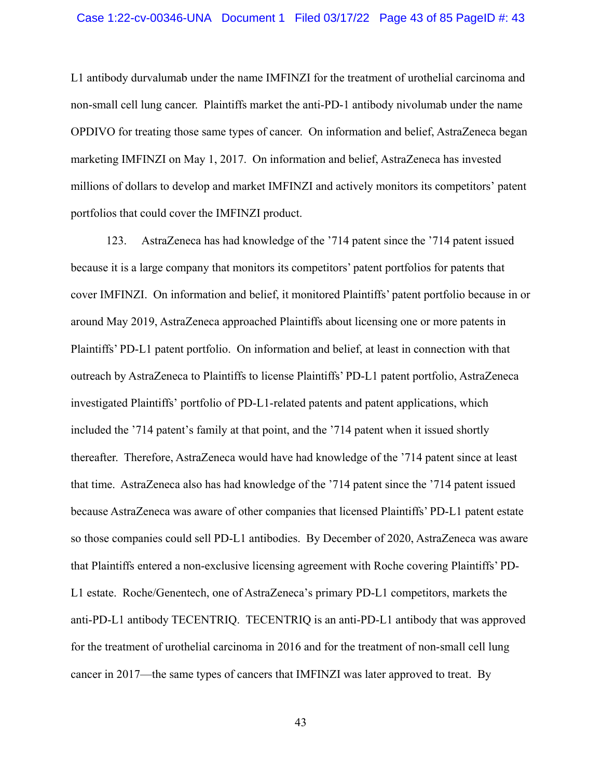L1 antibody durvalumab under the name IMFINZI for the treatment of urothelial carcinoma and non-small cell lung cancer. Plaintiffs market the anti-PD-1 antibody nivolumab under the name OPDIVO for treating those same types of cancer. On information and belief, AstraZeneca began marketing IMFINZI on May 1, 2017. On information and belief, AstraZeneca has invested millions of dollars to develop and market IMFINZI and actively monitors its competitors' patent portfolios that could cover the IMFINZI product.

123. AstraZeneca has had knowledge of the '714 patent since the '714 patent issued because it is a large company that monitors its competitors' patent portfolios for patents that cover IMFINZI. On information and belief, it monitored Plaintiffs' patent portfolio because in or around May 2019, AstraZeneca approached Plaintiffs about licensing one or more patents in Plaintiffs' PD-L1 patent portfolio. On information and belief, at least in connection with that outreach by AstraZeneca to Plaintiffs to license Plaintiffs' PD-L1 patent portfolio, AstraZeneca investigated Plaintiffs' portfolio of PD-L1-related patents and patent applications, which included the '714 patent's family at that point, and the '714 patent when it issued shortly thereafter. Therefore, AstraZeneca would have had knowledge of the '714 patent since at least that time. AstraZeneca also has had knowledge of the '714 patent since the '714 patent issued because AstraZeneca was aware of other companies that licensed Plaintiffs' PD-L1 patent estate so those companies could sell PD-L1 antibodies. By December of 2020, AstraZeneca was aware that Plaintiffs entered a non-exclusive licensing agreement with Roche covering Plaintiffs' PD-L1 estate. Roche/Genentech, one of AstraZeneca's primary PD-L1 competitors, markets the anti-PD-L1 antibody TECENTRIQ. TECENTRIQ is an anti-PD-L1 antibody that was approved for the treatment of urothelial carcinoma in 2016 and for the treatment of non-small cell lung cancer in 2017—the same types of cancers that IMFINZI was later approved to treat. By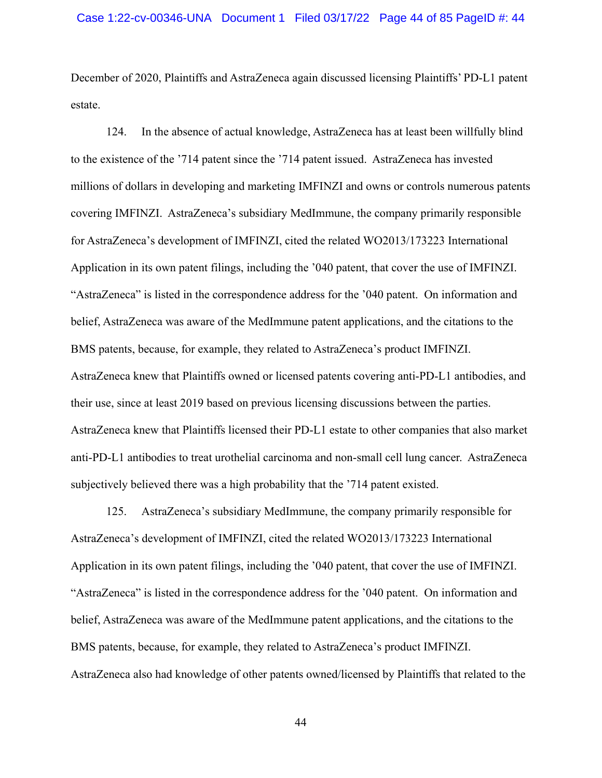December of 2020, Plaintiffs and AstraZeneca again discussed licensing Plaintiffs' PD-L1 patent estate.

124. In the absence of actual knowledge, AstraZeneca has at least been willfully blind to the existence of the '714 patent since the '714 patent issued. AstraZeneca has invested millions of dollars in developing and marketing IMFINZI and owns or controls numerous patents covering IMFINZI. AstraZeneca's subsidiary MedImmune, the company primarily responsible for AstraZeneca's development of IMFINZI, cited the related WO2013/173223 International Application in its own patent filings, including the '040 patent, that cover the use of IMFINZI. "AstraZeneca" is listed in the correspondence address for the '040 patent. On information and belief, AstraZeneca was aware of the MedImmune patent applications, and the citations to the BMS patents, because, for example, they related to AstraZeneca's product IMFINZI. AstraZeneca knew that Plaintiffs owned or licensed patents covering anti-PD-L1 antibodies, and their use, since at least 2019 based on previous licensing discussions between the parties. AstraZeneca knew that Plaintiffs licensed their PD-L1 estate to other companies that also market anti-PD-L1 antibodies to treat urothelial carcinoma and non-small cell lung cancer. AstraZeneca subjectively believed there was a high probability that the '714 patent existed.

125. AstraZeneca's subsidiary MedImmune, the company primarily responsible for AstraZeneca's development of IMFINZI, cited the related WO2013/173223 International Application in its own patent filings, including the '040 patent, that cover the use of IMFINZI. "AstraZeneca" is listed in the correspondence address for the '040 patent. On information and belief, AstraZeneca was aware of the MedImmune patent applications, and the citations to the BMS patents, because, for example, they related to AstraZeneca's product IMFINZI. AstraZeneca also had knowledge of other patents owned/licensed by Plaintiffs that related to the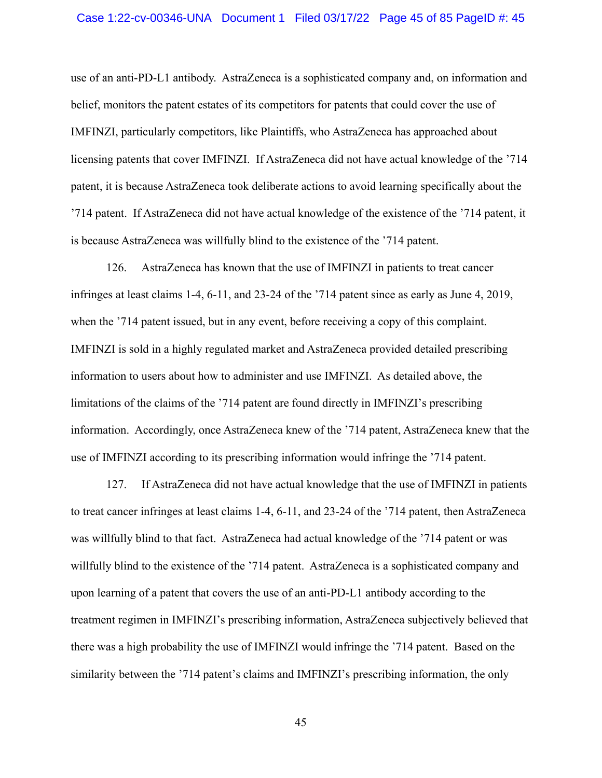## Case 1:22-cv-00346-UNA Document 1 Filed 03/17/22 Page 45 of 85 PageID #: 45

use of an anti-PD-L1 antibody. AstraZeneca is a sophisticated company and, on information and belief, monitors the patent estates of its competitors for patents that could cover the use of IMFINZI, particularly competitors, like Plaintiffs, who AstraZeneca has approached about licensing patents that cover IMFINZI. If AstraZeneca did not have actual knowledge of the '714 patent, it is because AstraZeneca took deliberate actions to avoid learning specifically about the '714 patent. If AstraZeneca did not have actual knowledge of the existence of the '714 patent, it is because AstraZeneca was willfully blind to the existence of the '714 patent.

126. AstraZeneca has known that the use of IMFINZI in patients to treat cancer infringes at least claims 1-4, 6-11, and 23-24 of the '714 patent since as early as June 4, 2019, when the '714 patent issued, but in any event, before receiving a copy of this complaint. IMFINZI is sold in a highly regulated market and AstraZeneca provided detailed prescribing information to users about how to administer and use IMFINZI. As detailed above, the limitations of the claims of the '714 patent are found directly in IMFINZI's prescribing information. Accordingly, once AstraZeneca knew of the '714 patent, AstraZeneca knew that the use of IMFINZI according to its prescribing information would infringe the '714 patent.

127. If AstraZeneca did not have actual knowledge that the use of IMFINZI in patients to treat cancer infringes at least claims 1-4, 6-11, and 23-24 of the '714 patent, then AstraZeneca was willfully blind to that fact. AstraZeneca had actual knowledge of the '714 patent or was willfully blind to the existence of the '714 patent. AstraZeneca is a sophisticated company and upon learning of a patent that covers the use of an anti-PD-L1 antibody according to the treatment regimen in IMFINZI's prescribing information, AstraZeneca subjectively believed that there was a high probability the use of IMFINZI would infringe the '714 patent. Based on the similarity between the '714 patent's claims and IMFINZI's prescribing information, the only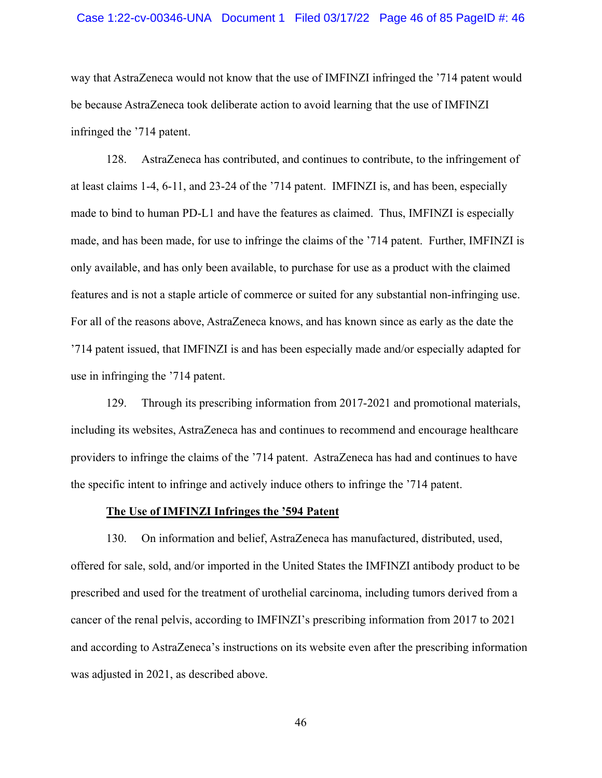## Case 1:22-cv-00346-UNA Document 1 Filed 03/17/22 Page 46 of 85 PageID #: 46

way that AstraZeneca would not know that the use of IMFINZI infringed the '714 patent would be because AstraZeneca took deliberate action to avoid learning that the use of IMFINZI infringed the '714 patent.

128. AstraZeneca has contributed, and continues to contribute, to the infringement of at least claims 1-4, 6-11, and 23-24 of the '714 patent. IMFINZI is, and has been, especially made to bind to human PD-L1 and have the features as claimed. Thus, IMFINZI is especially made, and has been made, for use to infringe the claims of the '714 patent. Further, IMFINZI is only available, and has only been available, to purchase for use as a product with the claimed features and is not a staple article of commerce or suited for any substantial non-infringing use. For all of the reasons above, AstraZeneca knows, and has known since as early as the date the '714 patent issued, that IMFINZI is and has been especially made and/or especially adapted for use in infringing the '714 patent.

129. Through its prescribing information from 2017-2021 and promotional materials, including its websites, AstraZeneca has and continues to recommend and encourage healthcare providers to infringe the claims of the '714 patent. AstraZeneca has had and continues to have the specific intent to infringe and actively induce others to infringe the '714 patent.

## **The Use of IMFINZI Infringes the '594 Patent**

130. On information and belief, AstraZeneca has manufactured, distributed, used, offered for sale, sold, and/or imported in the United States the IMFINZI antibody product to be prescribed and used for the treatment of urothelial carcinoma, including tumors derived from a cancer of the renal pelvis, according to IMFINZI's prescribing information from 2017 to 2021 and according to AstraZeneca's instructions on its website even after the prescribing information was adjusted in 2021, as described above.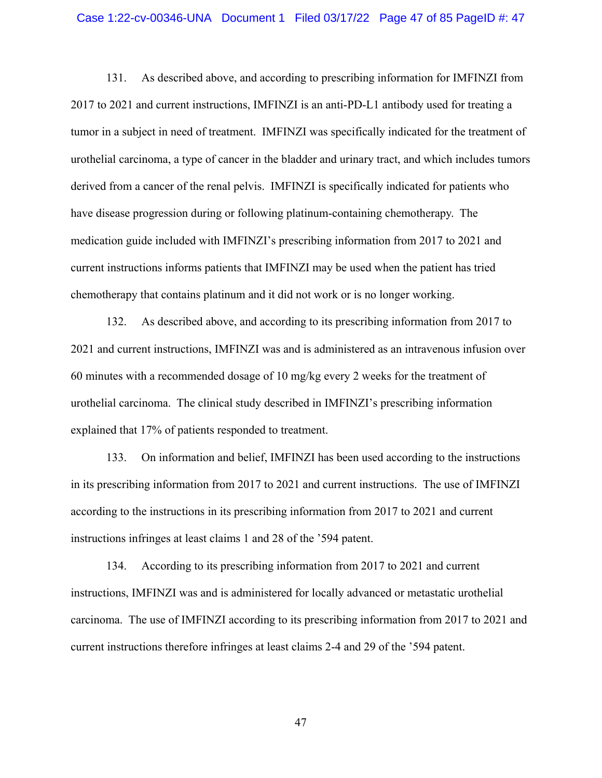#### Case 1:22-cv-00346-UNA Document 1 Filed 03/17/22 Page 47 of 85 PageID #: 47

131. As described above, and according to prescribing information for IMFINZI from 2017 to 2021 and current instructions, IMFINZI is an anti-PD-L1 antibody used for treating a tumor in a subject in need of treatment. IMFINZI was specifically indicated for the treatment of urothelial carcinoma, a type of cancer in the bladder and urinary tract, and which includes tumors derived from a cancer of the renal pelvis. IMFINZI is specifically indicated for patients who have disease progression during or following platinum-containing chemotherapy. The medication guide included with IMFINZI's prescribing information from 2017 to 2021 and current instructions informs patients that IMFINZI may be used when the patient has tried chemotherapy that contains platinum and it did not work or is no longer working.

132. As described above, and according to its prescribing information from 2017 to 2021 and current instructions, IMFINZI was and is administered as an intravenous infusion over 60 minutes with a recommended dosage of 10 mg/kg every 2 weeks for the treatment of urothelial carcinoma. The clinical study described in IMFINZI's prescribing information explained that 17% of patients responded to treatment.

133. On information and belief, IMFINZI has been used according to the instructions in its prescribing information from 2017 to 2021 and current instructions. The use of IMFINZI according to the instructions in its prescribing information from 2017 to 2021 and current instructions infringes at least claims 1 and 28 of the '594 patent.

134. According to its prescribing information from 2017 to 2021 and current instructions, IMFINZI was and is administered for locally advanced or metastatic urothelial carcinoma. The use of IMFINZI according to its prescribing information from 2017 to 2021 and current instructions therefore infringes at least claims 2-4 and 29 of the '594 patent.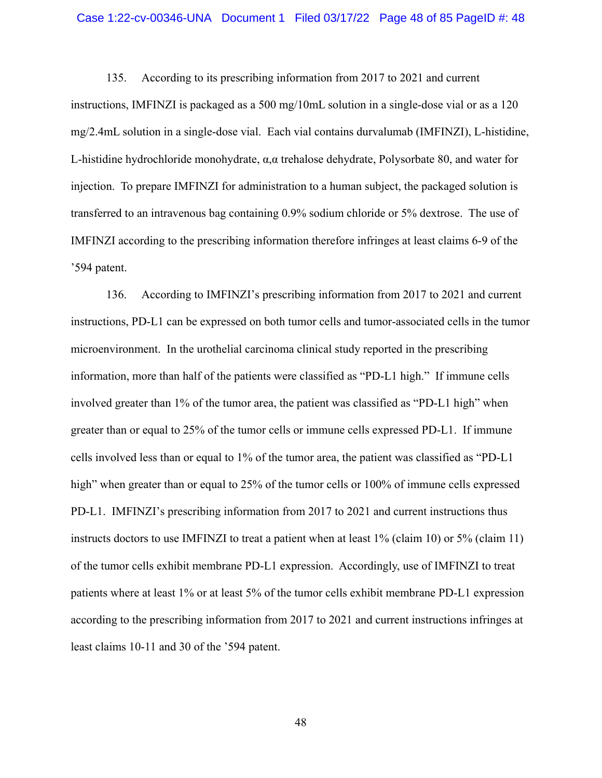## Case 1:22-cv-00346-UNA Document 1 Filed 03/17/22 Page 48 of 85 PageID #: 48

135. According to its prescribing information from 2017 to 2021 and current instructions, IMFINZI is packaged as a 500 mg/10mL solution in a single-dose vial or as a 120 mg/2.4mL solution in a single-dose vial. Each vial contains durvalumab (IMFINZI), L-histidine, L-histidine hydrochloride monohydrate, α,α trehalose dehydrate, Polysorbate 80, and water for injection. To prepare IMFINZI for administration to a human subject, the packaged solution is transferred to an intravenous bag containing 0.9% sodium chloride or 5% dextrose. The use of IMFINZI according to the prescribing information therefore infringes at least claims 6-9 of the '594 patent.

136. According to IMFINZI's prescribing information from 2017 to 2021 and current instructions, PD-L1 can be expressed on both tumor cells and tumor-associated cells in the tumor microenvironment. In the urothelial carcinoma clinical study reported in the prescribing information, more than half of the patients were classified as "PD-L1 high." If immune cells involved greater than 1% of the tumor area, the patient was classified as "PD-L1 high" when greater than or equal to 25% of the tumor cells or immune cells expressed PD-L1. If immune cells involved less than or equal to 1% of the tumor area, the patient was classified as "PD-L1 high" when greater than or equal to 25% of the tumor cells or 100% of immune cells expressed PD-L1. IMFINZI's prescribing information from 2017 to 2021 and current instructions thus instructs doctors to use IMFINZI to treat a patient when at least 1% (claim 10) or 5% (claim 11) of the tumor cells exhibit membrane PD-L1 expression. Accordingly, use of IMFINZI to treat patients where at least 1% or at least 5% of the tumor cells exhibit membrane PD-L1 expression according to the prescribing information from 2017 to 2021 and current instructions infringes at least claims 10-11 and 30 of the '594 patent.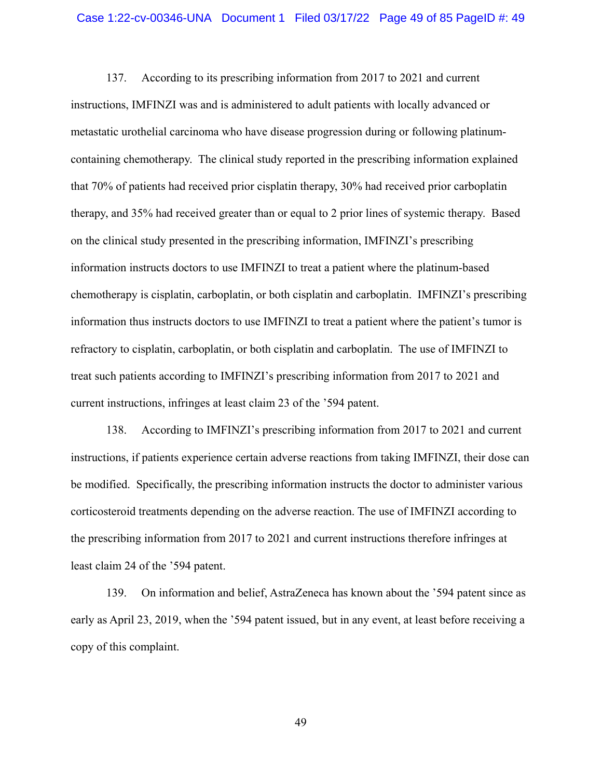137. According to its prescribing information from 2017 to 2021 and current instructions, IMFINZI was and is administered to adult patients with locally advanced or metastatic urothelial carcinoma who have disease progression during or following platinumcontaining chemotherapy. The clinical study reported in the prescribing information explained that 70% of patients had received prior cisplatin therapy, 30% had received prior carboplatin therapy, and 35% had received greater than or equal to 2 prior lines of systemic therapy. Based on the clinical study presented in the prescribing information, IMFINZI's prescribing information instructs doctors to use IMFINZI to treat a patient where the platinum-based chemotherapy is cisplatin, carboplatin, or both cisplatin and carboplatin. IMFINZI's prescribing information thus instructs doctors to use IMFINZI to treat a patient where the patient's tumor is refractory to cisplatin, carboplatin, or both cisplatin and carboplatin. The use of IMFINZI to treat such patients according to IMFINZI's prescribing information from 2017 to 2021 and current instructions, infringes at least claim 23 of the '594 patent.

138. According to IMFINZI's prescribing information from 2017 to 2021 and current instructions, if patients experience certain adverse reactions from taking IMFINZI, their dose can be modified. Specifically, the prescribing information instructs the doctor to administer various corticosteroid treatments depending on the adverse reaction. The use of IMFINZI according to the prescribing information from 2017 to 2021 and current instructions therefore infringes at least claim 24 of the '594 patent.

139. On information and belief, AstraZeneca has known about the '594 patent since as early as April 23, 2019, when the '594 patent issued, but in any event, at least before receiving a copy of this complaint.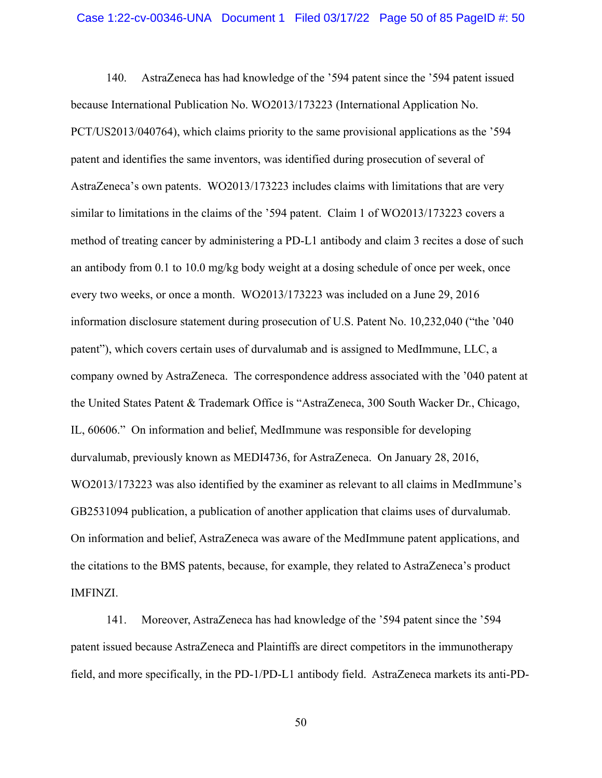140. AstraZeneca has had knowledge of the '594 patent since the '594 patent issued because International Publication No. WO2013/173223 (International Application No. PCT/US2013/040764), which claims priority to the same provisional applications as the '594 patent and identifies the same inventors, was identified during prosecution of several of AstraZeneca's own patents. WO2013/173223 includes claims with limitations that are very similar to limitations in the claims of the '594 patent. Claim 1 of WO2013/173223 covers a method of treating cancer by administering a PD-L1 antibody and claim 3 recites a dose of such an antibody from 0.1 to 10.0 mg/kg body weight at a dosing schedule of once per week, once every two weeks, or once a month. WO2013/173223 was included on a June 29, 2016 information disclosure statement during prosecution of U.S. Patent No. 10,232,040 ("the '040 patent"), which covers certain uses of durvalumab and is assigned to MedImmune, LLC, a company owned by AstraZeneca. The correspondence address associated with the '040 patent at the United States Patent & Trademark Office is "AstraZeneca, 300 South Wacker Dr., Chicago, IL, 60606." On information and belief, MedImmune was responsible for developing durvalumab, previously known as MEDI4736, for AstraZeneca. On January 28, 2016, WO2013/173223 was also identified by the examiner as relevant to all claims in MedImmune's GB2531094 publication, a publication of another application that claims uses of durvalumab. On information and belief, AstraZeneca was aware of the MedImmune patent applications, and the citations to the BMS patents, because, for example, they related to AstraZeneca's product IMFINZI.

141. Moreover, AstraZeneca has had knowledge of the '594 patent since the '594 patent issued because AstraZeneca and Plaintiffs are direct competitors in the immunotherapy field, and more specifically, in the PD-1/PD-L1 antibody field. AstraZeneca markets its anti-PD-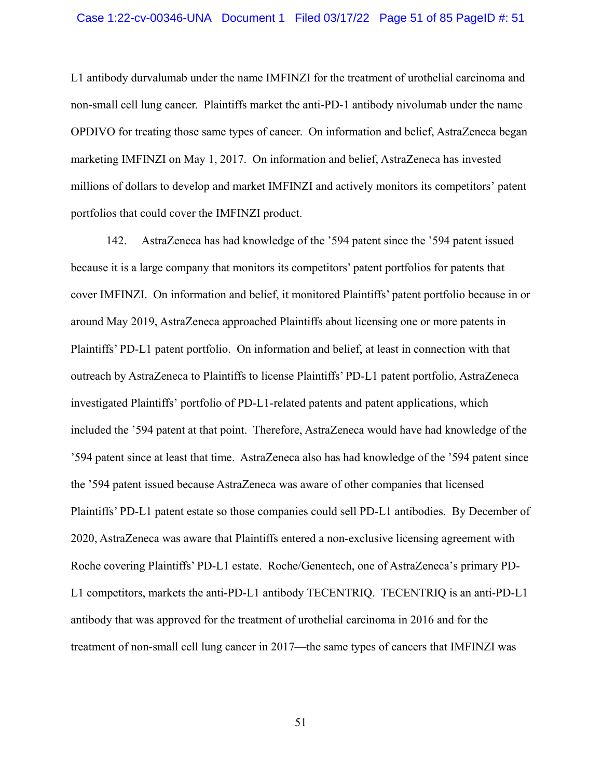L1 antibody durvalumab under the name IMFINZI for the treatment of urothelial carcinoma and non-small cell lung cancer. Plaintiffs market the anti-PD-1 antibody nivolumab under the name OPDIVO for treating those same types of cancer. On information and belief, AstraZeneca began marketing IMFINZI on May 1, 2017. On information and belief, AstraZeneca has invested millions of dollars to develop and market IMFINZI and actively monitors its competitors' patent portfolios that could cover the IMFINZI product.

142. AstraZeneca has had knowledge of the '594 patent since the '594 patent issued because it is a large company that monitors its competitors' patent portfolios for patents that cover IMFINZI. On information and belief, it monitored Plaintiffs' patent portfolio because in or around May 2019, AstraZeneca approached Plaintiffs about licensing one or more patents in Plaintiffs' PD-L1 patent portfolio. On information and belief, at least in connection with that outreach by AstraZeneca to Plaintiffs to license Plaintiffs' PD-L1 patent portfolio, AstraZeneca investigated Plaintiffs' portfolio of PD-L1-related patents and patent applications, which included the '594 patent at that point. Therefore, AstraZeneca would have had knowledge of the '594 patent since at least that time. AstraZeneca also has had knowledge of the '594 patent since the '594 patent issued because AstraZeneca was aware of other companies that licensed Plaintiffs' PD-L1 patent estate so those companies could sell PD-L1 antibodies. By December of 2020, AstraZeneca was aware that Plaintiffs entered a non-exclusive licensing agreement with Roche covering Plaintiffs' PD-L1 estate. Roche/Genentech, one of AstraZeneca's primary PD-L1 competitors, markets the anti-PD-L1 antibody TECENTRIQ. TECENTRIQ is an anti-PD-L1 antibody that was approved for the treatment of urothelial carcinoma in 2016 and for the treatment of non-small cell lung cancer in 2017—the same types of cancers that IMFINZI was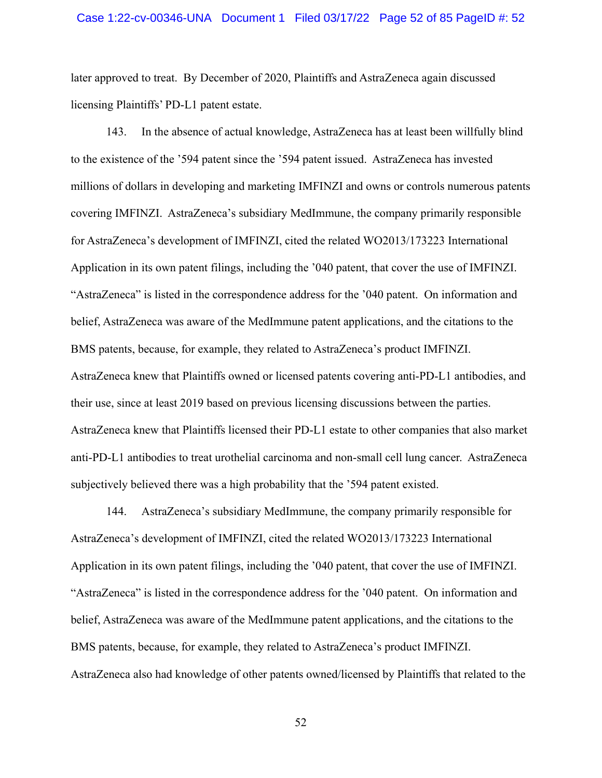later approved to treat. By December of 2020, Plaintiffs and AstraZeneca again discussed licensing Plaintiffs' PD-L1 patent estate.

143. In the absence of actual knowledge, AstraZeneca has at least been willfully blind to the existence of the '594 patent since the '594 patent issued. AstraZeneca has invested millions of dollars in developing and marketing IMFINZI and owns or controls numerous patents covering IMFINZI. AstraZeneca's subsidiary MedImmune, the company primarily responsible for AstraZeneca's development of IMFINZI, cited the related WO2013/173223 International Application in its own patent filings, including the '040 patent, that cover the use of IMFINZI. "AstraZeneca" is listed in the correspondence address for the '040 patent. On information and belief, AstraZeneca was aware of the MedImmune patent applications, and the citations to the BMS patents, because, for example, they related to AstraZeneca's product IMFINZI. AstraZeneca knew that Plaintiffs owned or licensed patents covering anti-PD-L1 antibodies, and their use, since at least 2019 based on previous licensing discussions between the parties. AstraZeneca knew that Plaintiffs licensed their PD-L1 estate to other companies that also market anti-PD-L1 antibodies to treat urothelial carcinoma and non-small cell lung cancer. AstraZeneca subjectively believed there was a high probability that the '594 patent existed.

144. AstraZeneca's subsidiary MedImmune, the company primarily responsible for AstraZeneca's development of IMFINZI, cited the related WO2013/173223 International Application in its own patent filings, including the '040 patent, that cover the use of IMFINZI. "AstraZeneca" is listed in the correspondence address for the '040 patent. On information and belief, AstraZeneca was aware of the MedImmune patent applications, and the citations to the BMS patents, because, for example, they related to AstraZeneca's product IMFINZI. AstraZeneca also had knowledge of other patents owned/licensed by Plaintiffs that related to the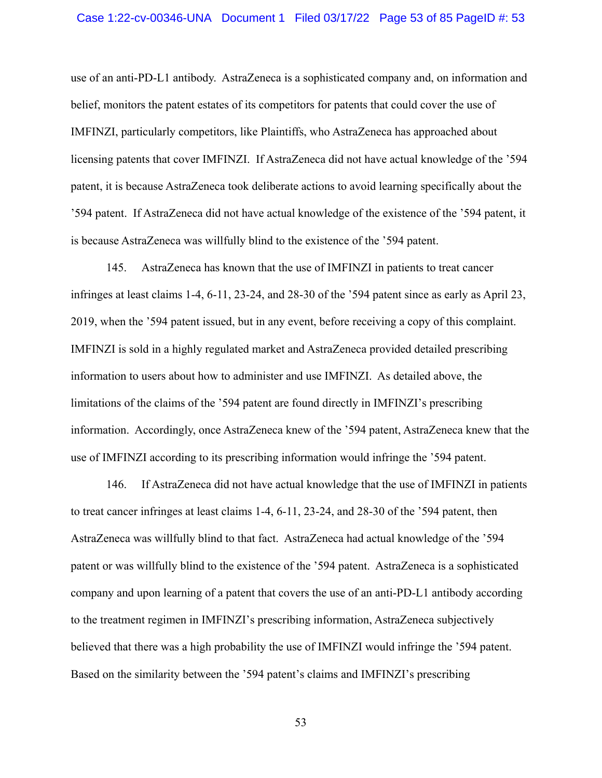## Case 1:22-cv-00346-UNA Document 1 Filed 03/17/22 Page 53 of 85 PageID #: 53

use of an anti-PD-L1 antibody. AstraZeneca is a sophisticated company and, on information and belief, monitors the patent estates of its competitors for patents that could cover the use of IMFINZI, particularly competitors, like Plaintiffs, who AstraZeneca has approached about licensing patents that cover IMFINZI. If AstraZeneca did not have actual knowledge of the '594 patent, it is because AstraZeneca took deliberate actions to avoid learning specifically about the '594 patent. If AstraZeneca did not have actual knowledge of the existence of the '594 patent, it is because AstraZeneca was willfully blind to the existence of the '594 patent.

145. AstraZeneca has known that the use of IMFINZI in patients to treat cancer infringes at least claims 1-4, 6-11, 23-24, and 28-30 of the '594 patent since as early as April 23, 2019, when the '594 patent issued, but in any event, before receiving a copy of this complaint. IMFINZI is sold in a highly regulated market and AstraZeneca provided detailed prescribing information to users about how to administer and use IMFINZI. As detailed above, the limitations of the claims of the '594 patent are found directly in IMFINZI's prescribing information. Accordingly, once AstraZeneca knew of the '594 patent, AstraZeneca knew that the use of IMFINZI according to its prescribing information would infringe the '594 patent.

146. If AstraZeneca did not have actual knowledge that the use of IMFINZI in patients to treat cancer infringes at least claims 1-4, 6-11, 23-24, and 28-30 of the '594 patent, then AstraZeneca was willfully blind to that fact. AstraZeneca had actual knowledge of the '594 patent or was willfully blind to the existence of the '594 patent. AstraZeneca is a sophisticated company and upon learning of a patent that covers the use of an anti-PD-L1 antibody according to the treatment regimen in IMFINZI's prescribing information, AstraZeneca subjectively believed that there was a high probability the use of IMFINZI would infringe the '594 patent. Based on the similarity between the '594 patent's claims and IMFINZI's prescribing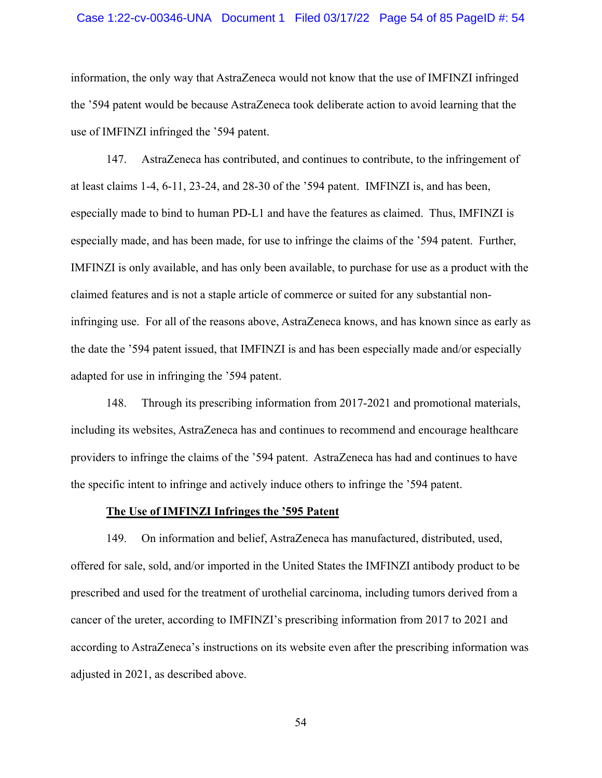## Case 1:22-cv-00346-UNA Document 1 Filed 03/17/22 Page 54 of 85 PageID #: 54

information, the only way that AstraZeneca would not know that the use of IMFINZI infringed the '594 patent would be because AstraZeneca took deliberate action to avoid learning that the use of IMFINZI infringed the '594 patent.

147. AstraZeneca has contributed, and continues to contribute, to the infringement of at least claims 1-4, 6-11, 23-24, and 28-30 of the '594 patent. IMFINZI is, and has been, especially made to bind to human PD-L1 and have the features as claimed. Thus, IMFINZI is especially made, and has been made, for use to infringe the claims of the '594 patent. Further, IMFINZI is only available, and has only been available, to purchase for use as a product with the claimed features and is not a staple article of commerce or suited for any substantial noninfringing use. For all of the reasons above, AstraZeneca knows, and has known since as early as the date the '594 patent issued, that IMFINZI is and has been especially made and/or especially adapted for use in infringing the '594 patent.

148. Through its prescribing information from 2017-2021 and promotional materials, including its websites, AstraZeneca has and continues to recommend and encourage healthcare providers to infringe the claims of the '594 patent. AstraZeneca has had and continues to have the specific intent to infringe and actively induce others to infringe the '594 patent.

## **The Use of IMFINZI Infringes the '595 Patent**

149. On information and belief, AstraZeneca has manufactured, distributed, used, offered for sale, sold, and/or imported in the United States the IMFINZI antibody product to be prescribed and used for the treatment of urothelial carcinoma, including tumors derived from a cancer of the ureter, according to IMFINZI's prescribing information from 2017 to 2021 and according to AstraZeneca's instructions on its website even after the prescribing information was adjusted in 2021, as described above.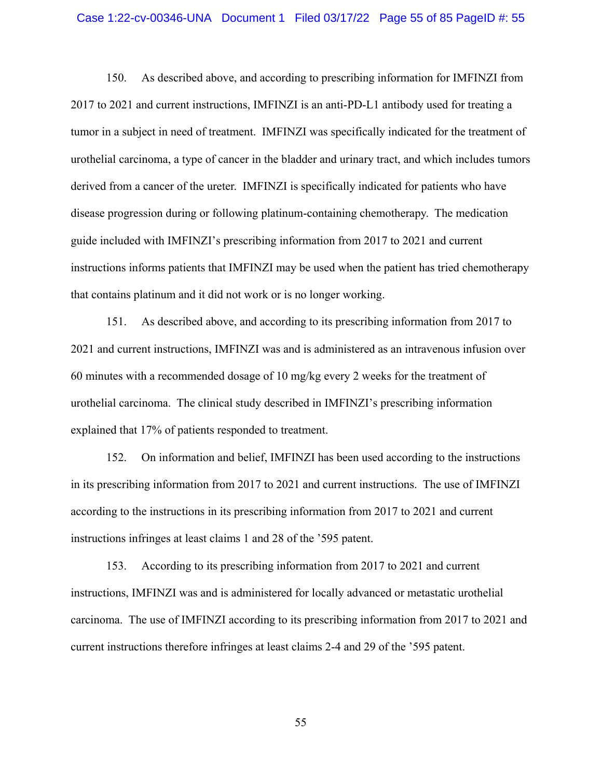#### Case 1:22-cv-00346-UNA Document 1 Filed 03/17/22 Page 55 of 85 PageID #: 55

150. As described above, and according to prescribing information for IMFINZI from 2017 to 2021 and current instructions, IMFINZI is an anti-PD-L1 antibody used for treating a tumor in a subject in need of treatment. IMFINZI was specifically indicated for the treatment of urothelial carcinoma, a type of cancer in the bladder and urinary tract, and which includes tumors derived from a cancer of the ureter. IMFINZI is specifically indicated for patients who have disease progression during or following platinum-containing chemotherapy. The medication guide included with IMFINZI's prescribing information from 2017 to 2021 and current instructions informs patients that IMFINZI may be used when the patient has tried chemotherapy that contains platinum and it did not work or is no longer working.

151. As described above, and according to its prescribing information from 2017 to 2021 and current instructions, IMFINZI was and is administered as an intravenous infusion over 60 minutes with a recommended dosage of 10 mg/kg every 2 weeks for the treatment of urothelial carcinoma. The clinical study described in IMFINZI's prescribing information explained that 17% of patients responded to treatment.

152. On information and belief, IMFINZI has been used according to the instructions in its prescribing information from 2017 to 2021 and current instructions. The use of IMFINZI according to the instructions in its prescribing information from 2017 to 2021 and current instructions infringes at least claims 1 and 28 of the '595 patent.

153. According to its prescribing information from 2017 to 2021 and current instructions, IMFINZI was and is administered for locally advanced or metastatic urothelial carcinoma. The use of IMFINZI according to its prescribing information from 2017 to 2021 and current instructions therefore infringes at least claims 2-4 and 29 of the '595 patent.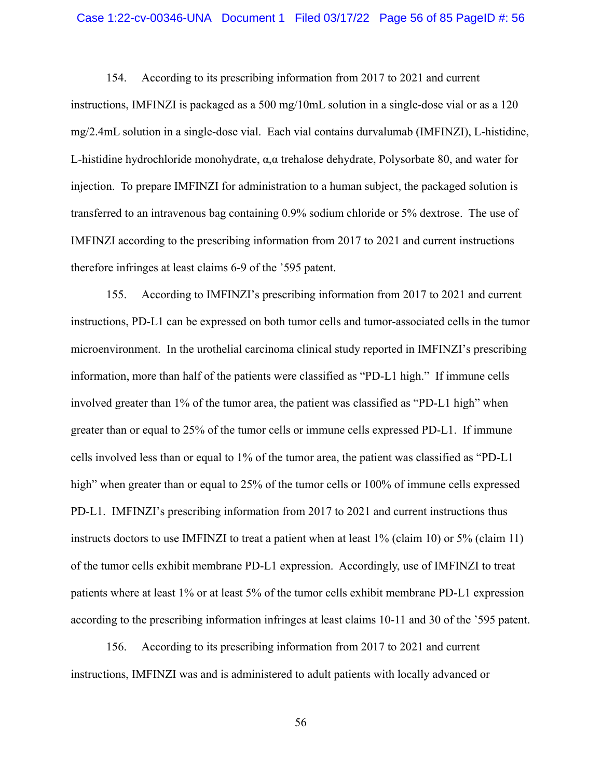## Case 1:22-cv-00346-UNA Document 1 Filed 03/17/22 Page 56 of 85 PageID #: 56

154. According to its prescribing information from 2017 to 2021 and current instructions, IMFINZI is packaged as a 500 mg/10mL solution in a single-dose vial or as a 120 mg/2.4mL solution in a single-dose vial. Each vial contains durvalumab (IMFINZI), L-histidine, L-histidine hydrochloride monohydrate, α,α trehalose dehydrate, Polysorbate 80, and water for injection. To prepare IMFINZI for administration to a human subject, the packaged solution is transferred to an intravenous bag containing 0.9% sodium chloride or 5% dextrose. The use of IMFINZI according to the prescribing information from 2017 to 2021 and current instructions therefore infringes at least claims 6-9 of the '595 patent.

155. According to IMFINZI's prescribing information from 2017 to 2021 and current instructions, PD-L1 can be expressed on both tumor cells and tumor-associated cells in the tumor microenvironment. In the urothelial carcinoma clinical study reported in IMFINZI's prescribing information, more than half of the patients were classified as "PD-L1 high." If immune cells involved greater than 1% of the tumor area, the patient was classified as "PD-L1 high" when greater than or equal to 25% of the tumor cells or immune cells expressed PD-L1. If immune cells involved less than or equal to 1% of the tumor area, the patient was classified as "PD-L1 high" when greater than or equal to 25% of the tumor cells or 100% of immune cells expressed PD-L1. IMFINZI's prescribing information from 2017 to 2021 and current instructions thus instructs doctors to use IMFINZI to treat a patient when at least 1% (claim 10) or 5% (claim 11) of the tumor cells exhibit membrane PD-L1 expression. Accordingly, use of IMFINZI to treat patients where at least 1% or at least 5% of the tumor cells exhibit membrane PD-L1 expression according to the prescribing information infringes at least claims 10-11 and 30 of the '595 patent.

156. According to its prescribing information from 2017 to 2021 and current instructions, IMFINZI was and is administered to adult patients with locally advanced or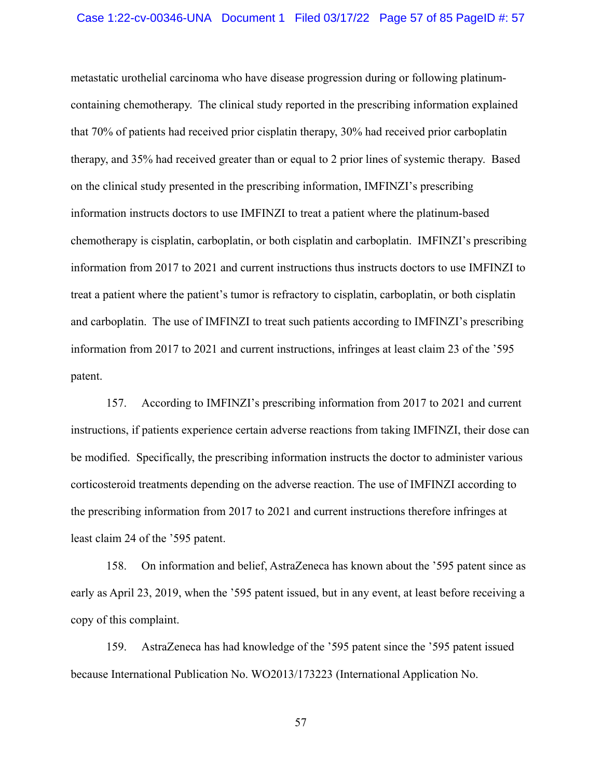## Case 1:22-cv-00346-UNA Document 1 Filed 03/17/22 Page 57 of 85 PageID #: 57

metastatic urothelial carcinoma who have disease progression during or following platinumcontaining chemotherapy. The clinical study reported in the prescribing information explained that 70% of patients had received prior cisplatin therapy, 30% had received prior carboplatin therapy, and 35% had received greater than or equal to 2 prior lines of systemic therapy. Based on the clinical study presented in the prescribing information, IMFINZI's prescribing information instructs doctors to use IMFINZI to treat a patient where the platinum-based chemotherapy is cisplatin, carboplatin, or both cisplatin and carboplatin. IMFINZI's prescribing information from 2017 to 2021 and current instructions thus instructs doctors to use IMFINZI to treat a patient where the patient's tumor is refractory to cisplatin, carboplatin, or both cisplatin and carboplatin. The use of IMFINZI to treat such patients according to IMFINZI's prescribing information from 2017 to 2021 and current instructions, infringes at least claim 23 of the '595 patent.

157. According to IMFINZI's prescribing information from 2017 to 2021 and current instructions, if patients experience certain adverse reactions from taking IMFINZI, their dose can be modified. Specifically, the prescribing information instructs the doctor to administer various corticosteroid treatments depending on the adverse reaction. The use of IMFINZI according to the prescribing information from 2017 to 2021 and current instructions therefore infringes at least claim 24 of the '595 patent.

158. On information and belief, AstraZeneca has known about the '595 patent since as early as April 23, 2019, when the '595 patent issued, but in any event, at least before receiving a copy of this complaint.

159. AstraZeneca has had knowledge of the '595 patent since the '595 patent issued because International Publication No. WO2013/173223 (International Application No.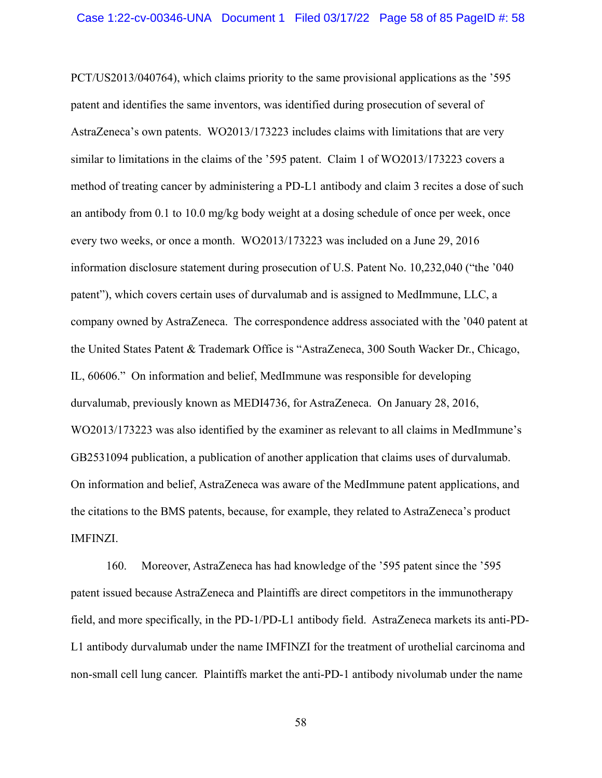PCT/US2013/040764), which claims priority to the same provisional applications as the '595 patent and identifies the same inventors, was identified during prosecution of several of AstraZeneca's own patents. WO2013/173223 includes claims with limitations that are very similar to limitations in the claims of the '595 patent. Claim 1 of WO2013/173223 covers a method of treating cancer by administering a PD-L1 antibody and claim 3 recites a dose of such an antibody from 0.1 to 10.0 mg/kg body weight at a dosing schedule of once per week, once every two weeks, or once a month. WO2013/173223 was included on a June 29, 2016 information disclosure statement during prosecution of U.S. Patent No. 10,232,040 ("the '040 patent"), which covers certain uses of durvalumab and is assigned to MedImmune, LLC, a company owned by AstraZeneca. The correspondence address associated with the '040 patent at the United States Patent & Trademark Office is "AstraZeneca, 300 South Wacker Dr., Chicago, IL, 60606." On information and belief, MedImmune was responsible for developing durvalumab, previously known as MEDI4736, for AstraZeneca. On January 28, 2016, WO2013/173223 was also identified by the examiner as relevant to all claims in MedImmune's GB2531094 publication, a publication of another application that claims uses of durvalumab. On information and belief, AstraZeneca was aware of the MedImmune patent applications, and the citations to the BMS patents, because, for example, they related to AstraZeneca's product IMFINZI.

160. Moreover, AstraZeneca has had knowledge of the '595 patent since the '595 patent issued because AstraZeneca and Plaintiffs are direct competitors in the immunotherapy field, and more specifically, in the PD-1/PD-L1 antibody field. AstraZeneca markets its anti-PD-L1 antibody durvalumab under the name IMFINZI for the treatment of urothelial carcinoma and non-small cell lung cancer. Plaintiffs market the anti-PD-1 antibody nivolumab under the name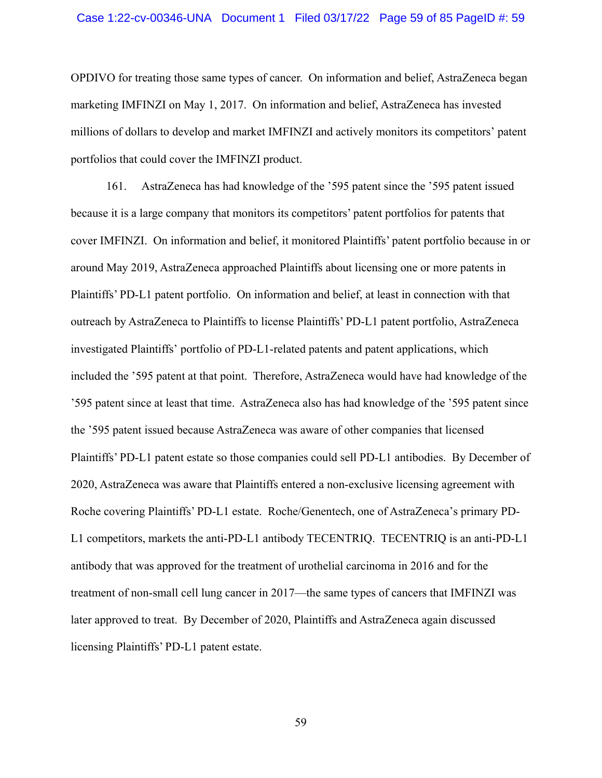## Case 1:22-cv-00346-UNA Document 1 Filed 03/17/22 Page 59 of 85 PageID #: 59

OPDIVO for treating those same types of cancer. On information and belief, AstraZeneca began marketing IMFINZI on May 1, 2017. On information and belief, AstraZeneca has invested millions of dollars to develop and market IMFINZI and actively monitors its competitors' patent portfolios that could cover the IMFINZI product.

161. AstraZeneca has had knowledge of the '595 patent since the '595 patent issued because it is a large company that monitors its competitors' patent portfolios for patents that cover IMFINZI. On information and belief, it monitored Plaintiffs' patent portfolio because in or around May 2019, AstraZeneca approached Plaintiffs about licensing one or more patents in Plaintiffs' PD-L1 patent portfolio. On information and belief, at least in connection with that outreach by AstraZeneca to Plaintiffs to license Plaintiffs' PD-L1 patent portfolio, AstraZeneca investigated Plaintiffs' portfolio of PD-L1-related patents and patent applications, which included the '595 patent at that point. Therefore, AstraZeneca would have had knowledge of the '595 patent since at least that time. AstraZeneca also has had knowledge of the '595 patent since the '595 patent issued because AstraZeneca was aware of other companies that licensed Plaintiffs' PD-L1 patent estate so those companies could sell PD-L1 antibodies. By December of 2020, AstraZeneca was aware that Plaintiffs entered a non-exclusive licensing agreement with Roche covering Plaintiffs' PD-L1 estate. Roche/Genentech, one of AstraZeneca's primary PD-L1 competitors, markets the anti-PD-L1 antibody TECENTRIQ. TECENTRIQ is an anti-PD-L1 antibody that was approved for the treatment of urothelial carcinoma in 2016 and for the treatment of non-small cell lung cancer in 2017—the same types of cancers that IMFINZI was later approved to treat. By December of 2020, Plaintiffs and AstraZeneca again discussed licensing Plaintiffs' PD-L1 patent estate.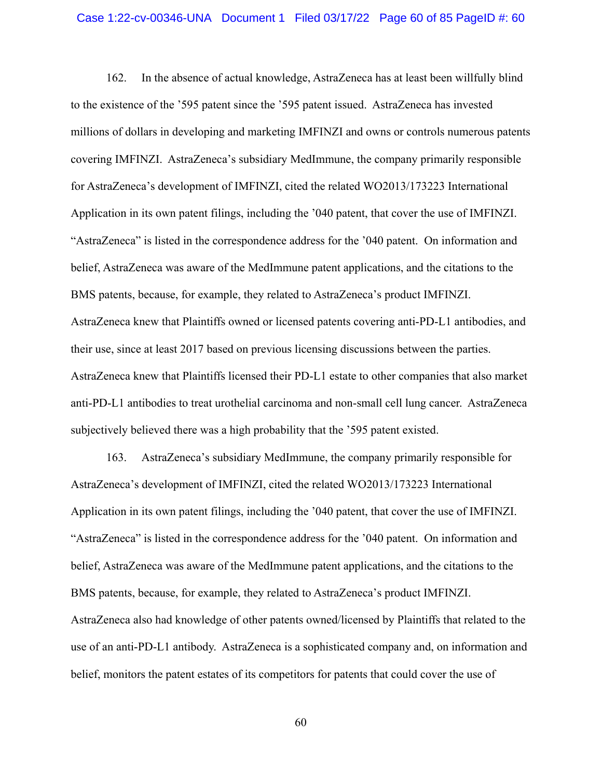## Case 1:22-cv-00346-UNA Document 1 Filed 03/17/22 Page 60 of 85 PageID #: 60

162. In the absence of actual knowledge, AstraZeneca has at least been willfully blind to the existence of the '595 patent since the '595 patent issued. AstraZeneca has invested millions of dollars in developing and marketing IMFINZI and owns or controls numerous patents covering IMFINZI. AstraZeneca's subsidiary MedImmune, the company primarily responsible for AstraZeneca's development of IMFINZI, cited the related WO2013/173223 International Application in its own patent filings, including the '040 patent, that cover the use of IMFINZI. "AstraZeneca" is listed in the correspondence address for the '040 patent. On information and belief, AstraZeneca was aware of the MedImmune patent applications, and the citations to the BMS patents, because, for example, they related to AstraZeneca's product IMFINZI. AstraZeneca knew that Plaintiffs owned or licensed patents covering anti-PD-L1 antibodies, and their use, since at least 2017 based on previous licensing discussions between the parties. AstraZeneca knew that Plaintiffs licensed their PD-L1 estate to other companies that also market anti-PD-L1 antibodies to treat urothelial carcinoma and non-small cell lung cancer. AstraZeneca subjectively believed there was a high probability that the '595 patent existed.

163. AstraZeneca's subsidiary MedImmune, the company primarily responsible for AstraZeneca's development of IMFINZI, cited the related WO2013/173223 International Application in its own patent filings, including the '040 patent, that cover the use of IMFINZI. "AstraZeneca" is listed in the correspondence address for the '040 patent. On information and belief, AstraZeneca was aware of the MedImmune patent applications, and the citations to the BMS patents, because, for example, they related to AstraZeneca's product IMFINZI. AstraZeneca also had knowledge of other patents owned/licensed by Plaintiffs that related to the use of an anti-PD-L1 antibody. AstraZeneca is a sophisticated company and, on information and belief, monitors the patent estates of its competitors for patents that could cover the use of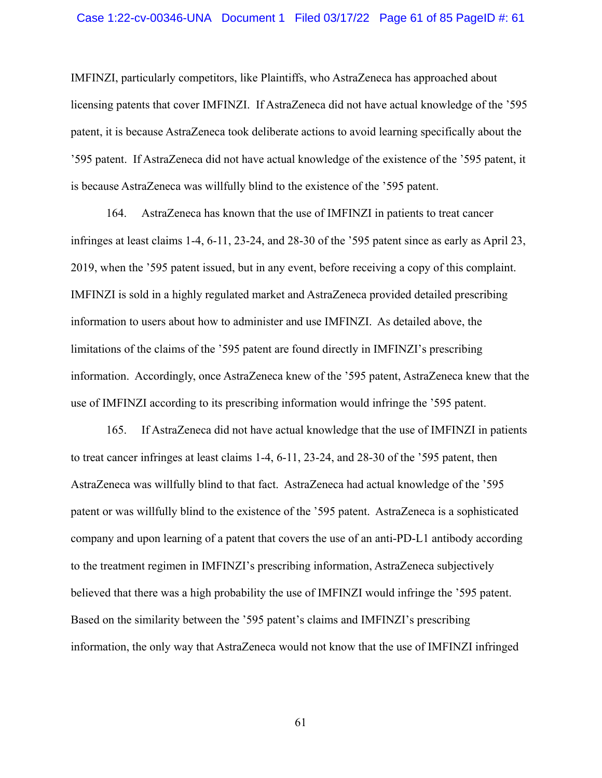## Case 1:22-cv-00346-UNA Document 1 Filed 03/17/22 Page 61 of 85 PageID #: 61

IMFINZI, particularly competitors, like Plaintiffs, who AstraZeneca has approached about licensing patents that cover IMFINZI. If AstraZeneca did not have actual knowledge of the '595 patent, it is because AstraZeneca took deliberate actions to avoid learning specifically about the '595 patent. If AstraZeneca did not have actual knowledge of the existence of the '595 patent, it is because AstraZeneca was willfully blind to the existence of the '595 patent.

164. AstraZeneca has known that the use of IMFINZI in patients to treat cancer infringes at least claims 1-4, 6-11, 23-24, and 28-30 of the '595 patent since as early as April 23, 2019, when the '595 patent issued, but in any event, before receiving a copy of this complaint. IMFINZI is sold in a highly regulated market and AstraZeneca provided detailed prescribing information to users about how to administer and use IMFINZI. As detailed above, the limitations of the claims of the '595 patent are found directly in IMFINZI's prescribing information. Accordingly, once AstraZeneca knew of the '595 patent, AstraZeneca knew that the use of IMFINZI according to its prescribing information would infringe the '595 patent.

165. If AstraZeneca did not have actual knowledge that the use of IMFINZI in patients to treat cancer infringes at least claims 1-4, 6-11, 23-24, and 28-30 of the '595 patent, then AstraZeneca was willfully blind to that fact. AstraZeneca had actual knowledge of the '595 patent or was willfully blind to the existence of the '595 patent. AstraZeneca is a sophisticated company and upon learning of a patent that covers the use of an anti-PD-L1 antibody according to the treatment regimen in IMFINZI's prescribing information, AstraZeneca subjectively believed that there was a high probability the use of IMFINZI would infringe the '595 patent. Based on the similarity between the '595 patent's claims and IMFINZI's prescribing information, the only way that AstraZeneca would not know that the use of IMFINZI infringed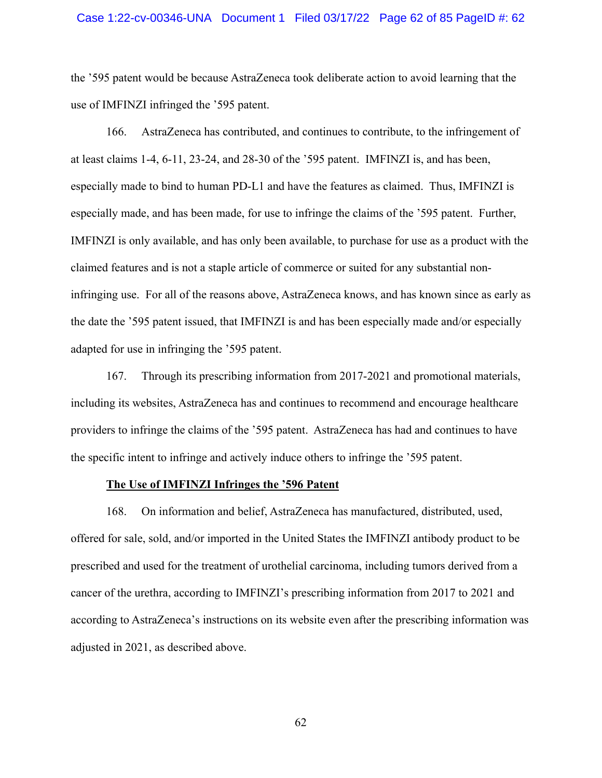## Case 1:22-cv-00346-UNA Document 1 Filed 03/17/22 Page 62 of 85 PageID #: 62

the '595 patent would be because AstraZeneca took deliberate action to avoid learning that the use of IMFINZI infringed the '595 patent.

166. AstraZeneca has contributed, and continues to contribute, to the infringement of at least claims 1-4, 6-11, 23-24, and 28-30 of the '595 patent. IMFINZI is, and has been, especially made to bind to human PD-L1 and have the features as claimed. Thus, IMFINZI is especially made, and has been made, for use to infringe the claims of the '595 patent. Further, IMFINZI is only available, and has only been available, to purchase for use as a product with the claimed features and is not a staple article of commerce or suited for any substantial noninfringing use. For all of the reasons above, AstraZeneca knows, and has known since as early as the date the '595 patent issued, that IMFINZI is and has been especially made and/or especially adapted for use in infringing the '595 patent.

167. Through its prescribing information from 2017-2021 and promotional materials, including its websites, AstraZeneca has and continues to recommend and encourage healthcare providers to infringe the claims of the '595 patent. AstraZeneca has had and continues to have the specific intent to infringe and actively induce others to infringe the '595 patent.

## **The Use of IMFINZI Infringes the '596 Patent**

168. On information and belief, AstraZeneca has manufactured, distributed, used, offered for sale, sold, and/or imported in the United States the IMFINZI antibody product to be prescribed and used for the treatment of urothelial carcinoma, including tumors derived from a cancer of the urethra, according to IMFINZI's prescribing information from 2017 to 2021 and according to AstraZeneca's instructions on its website even after the prescribing information was adjusted in 2021, as described above.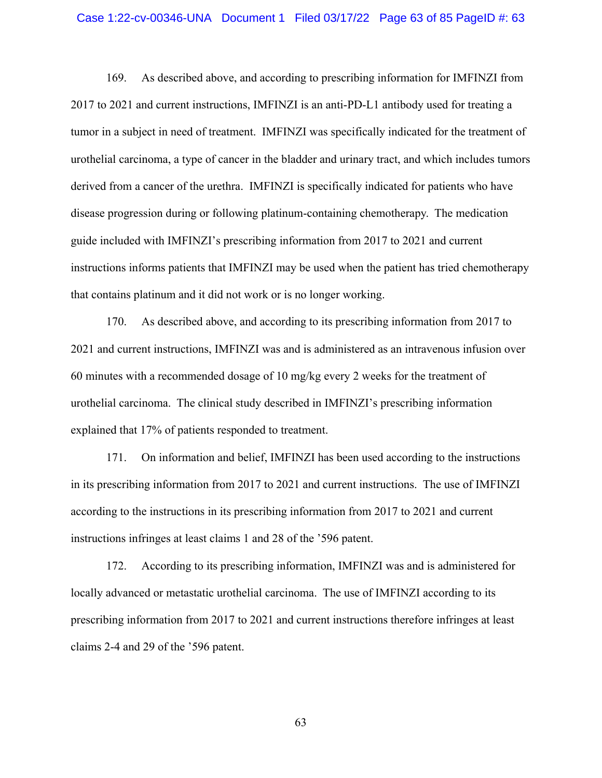### Case 1:22-cv-00346-UNA Document 1 Filed 03/17/22 Page 63 of 85 PageID #: 63

169. As described above, and according to prescribing information for IMFINZI from 2017 to 2021 and current instructions, IMFINZI is an anti-PD-L1 antibody used for treating a tumor in a subject in need of treatment. IMFINZI was specifically indicated for the treatment of urothelial carcinoma, a type of cancer in the bladder and urinary tract, and which includes tumors derived from a cancer of the urethra. IMFINZI is specifically indicated for patients who have disease progression during or following platinum-containing chemotherapy. The medication guide included with IMFINZI's prescribing information from 2017 to 2021 and current instructions informs patients that IMFINZI may be used when the patient has tried chemotherapy that contains platinum and it did not work or is no longer working.

170. As described above, and according to its prescribing information from 2017 to 2021 and current instructions, IMFINZI was and is administered as an intravenous infusion over 60 minutes with a recommended dosage of 10 mg/kg every 2 weeks for the treatment of urothelial carcinoma. The clinical study described in IMFINZI's prescribing information explained that 17% of patients responded to treatment.

171. On information and belief, IMFINZI has been used according to the instructions in its prescribing information from 2017 to 2021 and current instructions. The use of IMFINZI according to the instructions in its prescribing information from 2017 to 2021 and current instructions infringes at least claims 1 and 28 of the '596 patent.

172. According to its prescribing information, IMFINZI was and is administered for locally advanced or metastatic urothelial carcinoma. The use of IMFINZI according to its prescribing information from 2017 to 2021 and current instructions therefore infringes at least claims 2-4 and 29 of the '596 patent.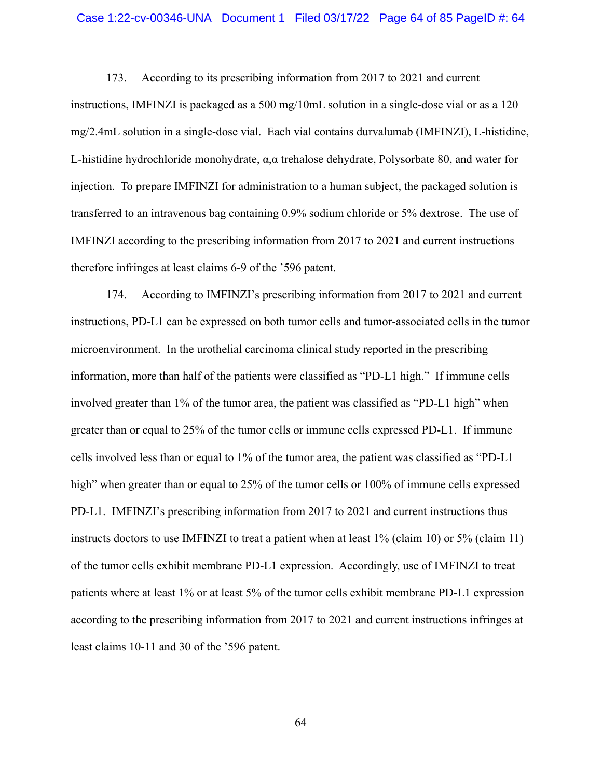## Case 1:22-cv-00346-UNA Document 1 Filed 03/17/22 Page 64 of 85 PageID #: 64

173. According to its prescribing information from 2017 to 2021 and current instructions, IMFINZI is packaged as a 500 mg/10mL solution in a single-dose vial or as a 120 mg/2.4mL solution in a single-dose vial. Each vial contains durvalumab (IMFINZI), L-histidine, L-histidine hydrochloride monohydrate, α,α trehalose dehydrate, Polysorbate 80, and water for injection. To prepare IMFINZI for administration to a human subject, the packaged solution is transferred to an intravenous bag containing 0.9% sodium chloride or 5% dextrose. The use of IMFINZI according to the prescribing information from 2017 to 2021 and current instructions therefore infringes at least claims 6-9 of the '596 patent.

174. According to IMFINZI's prescribing information from 2017 to 2021 and current instructions, PD-L1 can be expressed on both tumor cells and tumor-associated cells in the tumor microenvironment. In the urothelial carcinoma clinical study reported in the prescribing information, more than half of the patients were classified as "PD-L1 high." If immune cells involved greater than 1% of the tumor area, the patient was classified as "PD-L1 high" when greater than or equal to 25% of the tumor cells or immune cells expressed PD-L1. If immune cells involved less than or equal to 1% of the tumor area, the patient was classified as "PD-L1 high" when greater than or equal to 25% of the tumor cells or 100% of immune cells expressed PD-L1. IMFINZI's prescribing information from 2017 to 2021 and current instructions thus instructs doctors to use IMFINZI to treat a patient when at least 1% (claim 10) or 5% (claim 11) of the tumor cells exhibit membrane PD-L1 expression. Accordingly, use of IMFINZI to treat patients where at least 1% or at least 5% of the tumor cells exhibit membrane PD-L1 expression according to the prescribing information from 2017 to 2021 and current instructions infringes at least claims 10-11 and 30 of the '596 patent.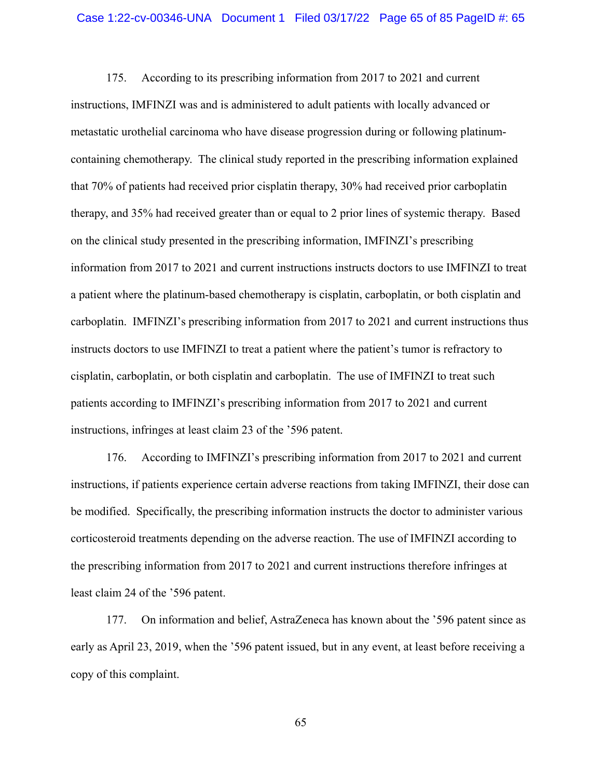175. According to its prescribing information from 2017 to 2021 and current instructions, IMFINZI was and is administered to adult patients with locally advanced or metastatic urothelial carcinoma who have disease progression during or following platinumcontaining chemotherapy. The clinical study reported in the prescribing information explained that 70% of patients had received prior cisplatin therapy, 30% had received prior carboplatin therapy, and 35% had received greater than or equal to 2 prior lines of systemic therapy. Based on the clinical study presented in the prescribing information, IMFINZI's prescribing information from 2017 to 2021 and current instructions instructs doctors to use IMFINZI to treat a patient where the platinum-based chemotherapy is cisplatin, carboplatin, or both cisplatin and carboplatin. IMFINZI's prescribing information from 2017 to 2021 and current instructions thus instructs doctors to use IMFINZI to treat a patient where the patient's tumor is refractory to cisplatin, carboplatin, or both cisplatin and carboplatin. The use of IMFINZI to treat such patients according to IMFINZI's prescribing information from 2017 to 2021 and current instructions, infringes at least claim 23 of the '596 patent.

176. According to IMFINZI's prescribing information from 2017 to 2021 and current instructions, if patients experience certain adverse reactions from taking IMFINZI, their dose can be modified. Specifically, the prescribing information instructs the doctor to administer various corticosteroid treatments depending on the adverse reaction. The use of IMFINZI according to the prescribing information from 2017 to 2021 and current instructions therefore infringes at least claim 24 of the '596 patent.

177. On information and belief, AstraZeneca has known about the '596 patent since as early as April 23, 2019, when the '596 patent issued, but in any event, at least before receiving a copy of this complaint.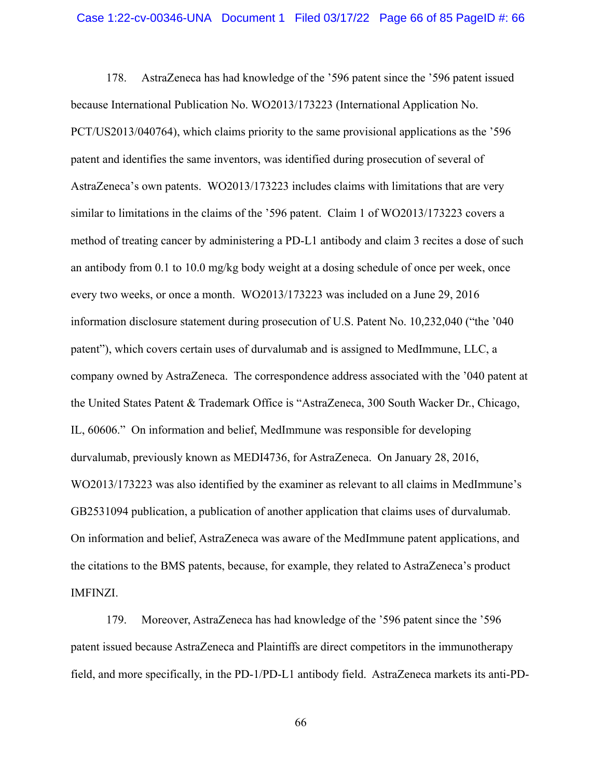178. AstraZeneca has had knowledge of the '596 patent since the '596 patent issued because International Publication No. WO2013/173223 (International Application No. PCT/US2013/040764), which claims priority to the same provisional applications as the '596 patent and identifies the same inventors, was identified during prosecution of several of AstraZeneca's own patents. WO2013/173223 includes claims with limitations that are very similar to limitations in the claims of the '596 patent. Claim 1 of WO2013/173223 covers a method of treating cancer by administering a PD-L1 antibody and claim 3 recites a dose of such an antibody from 0.1 to 10.0 mg/kg body weight at a dosing schedule of once per week, once every two weeks, or once a month. WO2013/173223 was included on a June 29, 2016 information disclosure statement during prosecution of U.S. Patent No. 10,232,040 ("the '040 patent"), which covers certain uses of durvalumab and is assigned to MedImmune, LLC, a company owned by AstraZeneca. The correspondence address associated with the '040 patent at the United States Patent & Trademark Office is "AstraZeneca, 300 South Wacker Dr., Chicago, IL, 60606." On information and belief, MedImmune was responsible for developing durvalumab, previously known as MEDI4736, for AstraZeneca. On January 28, 2016, WO2013/173223 was also identified by the examiner as relevant to all claims in MedImmune's GB2531094 publication, a publication of another application that claims uses of durvalumab. On information and belief, AstraZeneca was aware of the MedImmune patent applications, and the citations to the BMS patents, because, for example, they related to AstraZeneca's product IMFINZI.

179. Moreover, AstraZeneca has had knowledge of the '596 patent since the '596 patent issued because AstraZeneca and Plaintiffs are direct competitors in the immunotherapy field, and more specifically, in the PD-1/PD-L1 antibody field. AstraZeneca markets its anti-PD-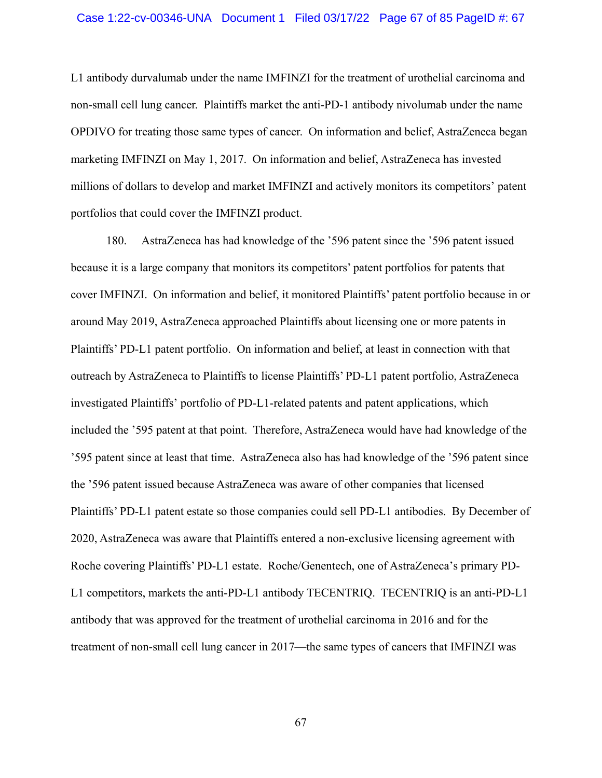L1 antibody durvalumab under the name IMFINZI for the treatment of urothelial carcinoma and non-small cell lung cancer. Plaintiffs market the anti-PD-1 antibody nivolumab under the name OPDIVO for treating those same types of cancer. On information and belief, AstraZeneca began marketing IMFINZI on May 1, 2017. On information and belief, AstraZeneca has invested millions of dollars to develop and market IMFINZI and actively monitors its competitors' patent portfolios that could cover the IMFINZI product.

180. AstraZeneca has had knowledge of the '596 patent since the '596 patent issued because it is a large company that monitors its competitors' patent portfolios for patents that cover IMFINZI. On information and belief, it monitored Plaintiffs' patent portfolio because in or around May 2019, AstraZeneca approached Plaintiffs about licensing one or more patents in Plaintiffs' PD-L1 patent portfolio. On information and belief, at least in connection with that outreach by AstraZeneca to Plaintiffs to license Plaintiffs' PD-L1 patent portfolio, AstraZeneca investigated Plaintiffs' portfolio of PD-L1-related patents and patent applications, which included the '595 patent at that point. Therefore, AstraZeneca would have had knowledge of the '595 patent since at least that time. AstraZeneca also has had knowledge of the '596 patent since the '596 patent issued because AstraZeneca was aware of other companies that licensed Plaintiffs' PD-L1 patent estate so those companies could sell PD-L1 antibodies. By December of 2020, AstraZeneca was aware that Plaintiffs entered a non-exclusive licensing agreement with Roche covering Plaintiffs' PD-L1 estate. Roche/Genentech, one of AstraZeneca's primary PD-L1 competitors, markets the anti-PD-L1 antibody TECENTRIQ. TECENTRIQ is an anti-PD-L1 antibody that was approved for the treatment of urothelial carcinoma in 2016 and for the treatment of non-small cell lung cancer in 2017—the same types of cancers that IMFINZI was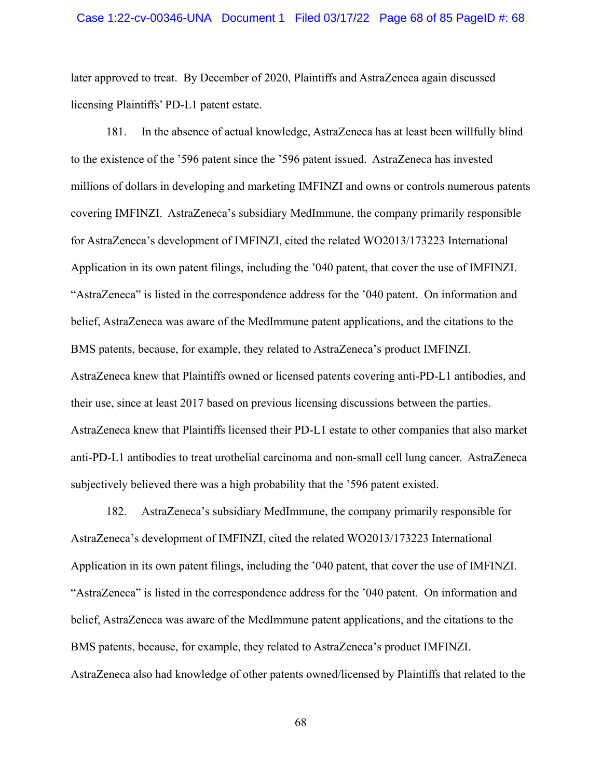later approved to treat. By December of 2020, Plaintiffs and AstraZeneca again discussed licensing Plaintiffs' PD-L1 patent estate.

181. In the absence of actual knowledge, AstraZeneca has at least been willfully blind to the existence of the '596 patent since the '596 patent issued. AstraZeneca has invested millions of dollars in developing and marketing IMFINZI and owns or controls numerous patents covering IMFINZI. AstraZeneca's subsidiary MedImmune, the company primarily responsible for AstraZeneca's development of IMFINZI, cited the related WO2013/173223 International Application in its own patent filings, including the '040 patent, that cover the use of IMFINZI. "AstraZeneca" is listed in the correspondence address for the '040 patent. On information and belief, AstraZeneca was aware of the MedImmune patent applications, and the citations to the BMS patents, because, for example, they related to AstraZeneca's product IMFINZI. AstraZeneca knew that Plaintiffs owned or licensed patents covering anti-PD-L1 antibodies, and their use, since at least 2017 based on previous licensing discussions between the parties. AstraZeneca knew that Plaintiffs licensed their PD-L1 estate to other companies that also market anti-PD-L1 antibodies to treat urothelial carcinoma and non-small cell lung cancer. AstraZeneca subjectively believed there was a high probability that the '596 patent existed.

182. AstraZeneca's subsidiary MedImmune, the company primarily responsible for AstraZeneca's development of IMFINZI, cited the related WO2013/173223 International Application in its own patent filings, including the '040 patent, that cover the use of IMFINZI. "AstraZeneca" is listed in the correspondence address for the '040 patent. On information and belief, AstraZeneca was aware of the MedImmune patent applications, and the citations to the BMS patents, because, for example, they related to AstraZeneca's product IMFINZI. AstraZeneca also had knowledge of other patents owned/licensed by Plaintiffs that related to the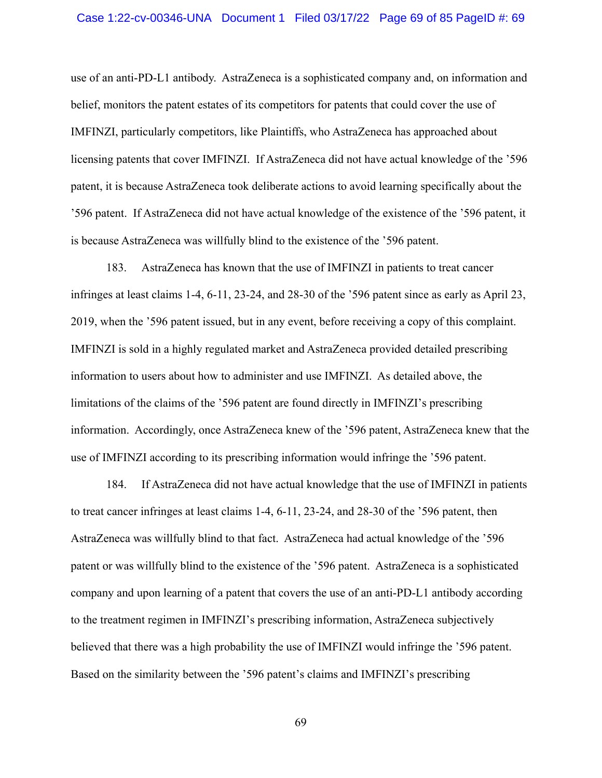## Case 1:22-cv-00346-UNA Document 1 Filed 03/17/22 Page 69 of 85 PageID #: 69

use of an anti-PD-L1 antibody. AstraZeneca is a sophisticated company and, on information and belief, monitors the patent estates of its competitors for patents that could cover the use of IMFINZI, particularly competitors, like Plaintiffs, who AstraZeneca has approached about licensing patents that cover IMFINZI. If AstraZeneca did not have actual knowledge of the '596 patent, it is because AstraZeneca took deliberate actions to avoid learning specifically about the '596 patent. If AstraZeneca did not have actual knowledge of the existence of the '596 patent, it is because AstraZeneca was willfully blind to the existence of the '596 patent.

183. AstraZeneca has known that the use of IMFINZI in patients to treat cancer infringes at least claims 1-4, 6-11, 23-24, and 28-30 of the '596 patent since as early as April 23, 2019, when the '596 patent issued, but in any event, before receiving a copy of this complaint. IMFINZI is sold in a highly regulated market and AstraZeneca provided detailed prescribing information to users about how to administer and use IMFINZI. As detailed above, the limitations of the claims of the '596 patent are found directly in IMFINZI's prescribing information. Accordingly, once AstraZeneca knew of the '596 patent, AstraZeneca knew that the use of IMFINZI according to its prescribing information would infringe the '596 patent.

184. If AstraZeneca did not have actual knowledge that the use of IMFINZI in patients to treat cancer infringes at least claims 1-4, 6-11, 23-24, and 28-30 of the '596 patent, then AstraZeneca was willfully blind to that fact. AstraZeneca had actual knowledge of the '596 patent or was willfully blind to the existence of the '596 patent. AstraZeneca is a sophisticated company and upon learning of a patent that covers the use of an anti-PD-L1 antibody according to the treatment regimen in IMFINZI's prescribing information, AstraZeneca subjectively believed that there was a high probability the use of IMFINZI would infringe the '596 patent. Based on the similarity between the '596 patent's claims and IMFINZI's prescribing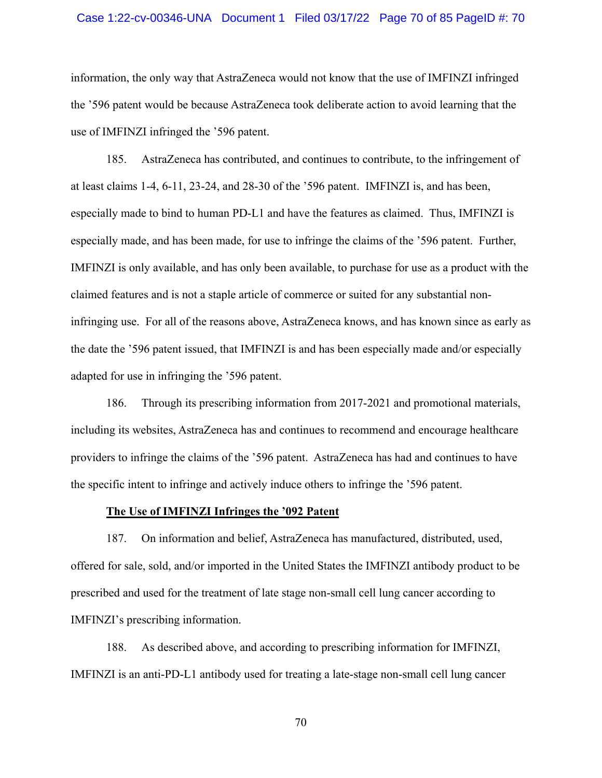## Case 1:22-cv-00346-UNA Document 1 Filed 03/17/22 Page 70 of 85 PageID #: 70

information, the only way that AstraZeneca would not know that the use of IMFINZI infringed the '596 patent would be because AstraZeneca took deliberate action to avoid learning that the use of IMFINZI infringed the '596 patent.

185. AstraZeneca has contributed, and continues to contribute, to the infringement of at least claims 1-4, 6-11, 23-24, and 28-30 of the '596 patent. IMFINZI is, and has been, especially made to bind to human PD-L1 and have the features as claimed. Thus, IMFINZI is especially made, and has been made, for use to infringe the claims of the '596 patent. Further, IMFINZI is only available, and has only been available, to purchase for use as a product with the claimed features and is not a staple article of commerce or suited for any substantial noninfringing use. For all of the reasons above, AstraZeneca knows, and has known since as early as the date the '596 patent issued, that IMFINZI is and has been especially made and/or especially adapted for use in infringing the '596 patent.

186. Through its prescribing information from 2017-2021 and promotional materials, including its websites, AstraZeneca has and continues to recommend and encourage healthcare providers to infringe the claims of the '596 patent. AstraZeneca has had and continues to have the specific intent to infringe and actively induce others to infringe the '596 patent.

## **The Use of IMFINZI Infringes the '092 Patent**

187. On information and belief, AstraZeneca has manufactured, distributed, used, offered for sale, sold, and/or imported in the United States the IMFINZI antibody product to be prescribed and used for the treatment of late stage non-small cell lung cancer according to IMFINZI's prescribing information.

188. As described above, and according to prescribing information for IMFINZI, IMFINZI is an anti-PD-L1 antibody used for treating a late-stage non-small cell lung cancer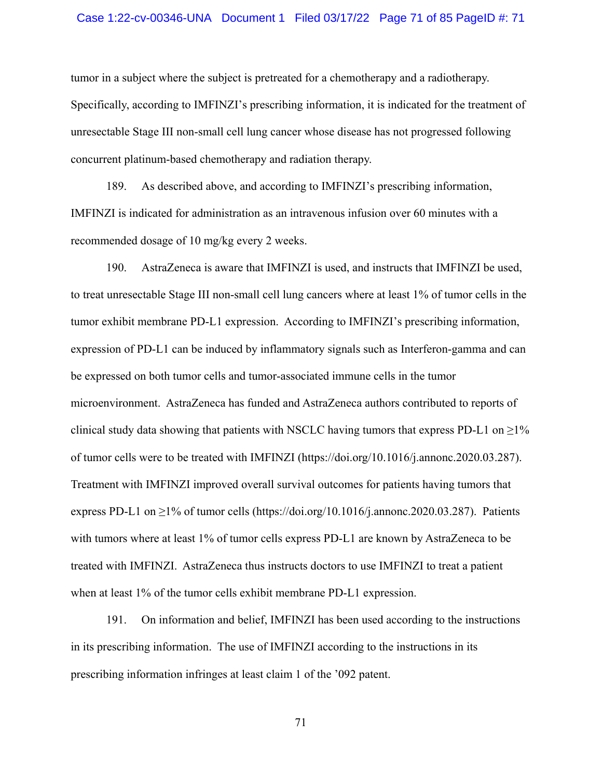## Case 1:22-cv-00346-UNA Document 1 Filed 03/17/22 Page 71 of 85 PageID #: 71

tumor in a subject where the subject is pretreated for a chemotherapy and a radiotherapy. Specifically, according to IMFINZI's prescribing information, it is indicated for the treatment of unresectable Stage III non-small cell lung cancer whose disease has not progressed following concurrent platinum-based chemotherapy and radiation therapy.

189. As described above, and according to IMFINZI's prescribing information, IMFINZI is indicated for administration as an intravenous infusion over 60 minutes with a recommended dosage of 10 mg/kg every 2 weeks.

190. AstraZeneca is aware that IMFINZI is used, and instructs that IMFINZI be used, to treat unresectable Stage III non-small cell lung cancers where at least 1% of tumor cells in the tumor exhibit membrane PD-L1 expression. According to IMFINZI's prescribing information, expression of PD-L1 can be induced by inflammatory signals such as Interferon-gamma and can be expressed on both tumor cells and tumor-associated immune cells in the tumor microenvironment. AstraZeneca has funded and AstraZeneca authors contributed to reports of clinical study data showing that patients with NSCLC having tumors that express PD-L1 on  $\geq$ 1% of tumor cells were to be treated with IMFINZI (https://doi.org/10.1016/j.annonc.2020.03.287). Treatment with IMFINZI improved overall survival outcomes for patients having tumors that express PD-L1 on  $\geq$ 1% of tumor cells (https://doi.org/10.1016/j.annonc.2020.03.287). Patients with tumors where at least 1% of tumor cells express PD-L1 are known by AstraZeneca to be treated with IMFINZI. AstraZeneca thus instructs doctors to use IMFINZI to treat a patient when at least 1% of the tumor cells exhibit membrane PD-L1 expression.

191. On information and belief, IMFINZI has been used according to the instructions in its prescribing information. The use of IMFINZI according to the instructions in its prescribing information infringes at least claim 1 of the '092 patent.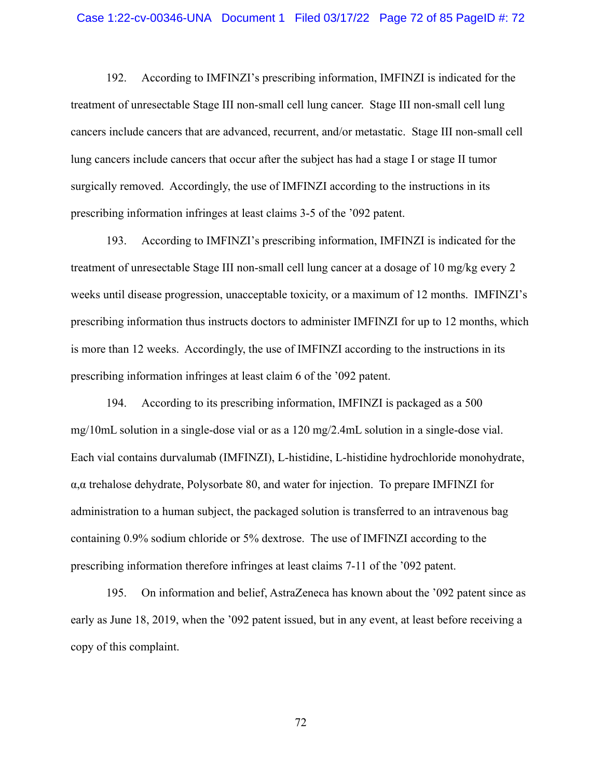192. According to IMFINZI's prescribing information, IMFINZI is indicated for the treatment of unresectable Stage III non-small cell lung cancer. Stage III non-small cell lung cancers include cancers that are advanced, recurrent, and/or metastatic. Stage III non-small cell lung cancers include cancers that occur after the subject has had a stage I or stage II tumor surgically removed. Accordingly, the use of IMFINZI according to the instructions in its prescribing information infringes at least claims 3-5 of the '092 patent.

193. According to IMFINZI's prescribing information, IMFINZI is indicated for the treatment of unresectable Stage III non-small cell lung cancer at a dosage of 10 mg/kg every 2 weeks until disease progression, unacceptable toxicity, or a maximum of 12 months. IMFINZI's prescribing information thus instructs doctors to administer IMFINZI for up to 12 months, which is more than 12 weeks. Accordingly, the use of IMFINZI according to the instructions in its prescribing information infringes at least claim 6 of the '092 patent.

194. According to its prescribing information, IMFINZI is packaged as a 500 mg/10mL solution in a single-dose vial or as a 120 mg/2.4mL solution in a single-dose vial. Each vial contains durvalumab (IMFINZI), L-histidine, L-histidine hydrochloride monohydrate, α,α trehalose dehydrate, Polysorbate 80, and water for injection. To prepare IMFINZI for administration to a human subject, the packaged solution is transferred to an intravenous bag containing 0.9% sodium chloride or 5% dextrose. The use of IMFINZI according to the prescribing information therefore infringes at least claims 7-11 of the '092 patent.

195. On information and belief, AstraZeneca has known about the '092 patent since as early as June 18, 2019, when the '092 patent issued, but in any event, at least before receiving a copy of this complaint.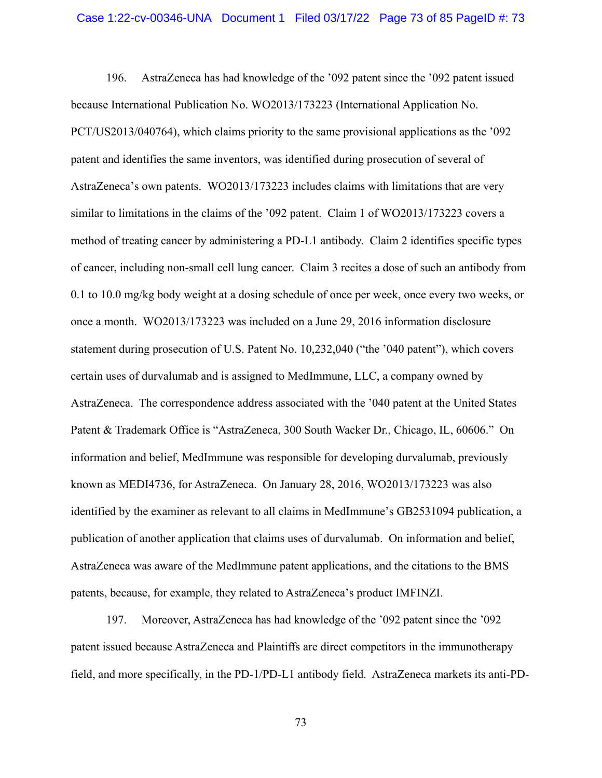196. AstraZeneca has had knowledge of the '092 patent since the '092 patent issued because International Publication No. WO2013/173223 (International Application No. PCT/US2013/040764), which claims priority to the same provisional applications as the '092 patent and identifies the same inventors, was identified during prosecution of several of AstraZeneca's own patents. WO2013/173223 includes claims with limitations that are very similar to limitations in the claims of the '092 patent. Claim 1 of WO2013/173223 covers a method of treating cancer by administering a PD-L1 antibody. Claim 2 identifies specific types of cancer, including non-small cell lung cancer. Claim 3 recites a dose of such an antibody from 0.1 to 10.0 mg/kg body weight at a dosing schedule of once per week, once every two weeks, or once a month. WO2013/173223 was included on a June 29, 2016 information disclosure statement during prosecution of U.S. Patent No. 10,232,040 ("the '040 patent"), which covers certain uses of durvalumab and is assigned to MedImmune, LLC, a company owned by AstraZeneca. The correspondence address associated with the '040 patent at the United States Patent & Trademark Office is "AstraZeneca, 300 South Wacker Dr., Chicago, IL, 60606." On information and belief, MedImmune was responsible for developing durvalumab, previously known as MEDI4736, for AstraZeneca. On January 28, 2016, WO2013/173223 was also identified by the examiner as relevant to all claims in MedImmune's GB2531094 publication, a publication of another application that claims uses of durvalumab. On information and belief, AstraZeneca was aware of the MedImmune patent applications, and the citations to the BMS patents, because, for example, they related to AstraZeneca's product IMFINZI.

197. Moreover, AstraZeneca has had knowledge of the '092 patent since the '092 patent issued because AstraZeneca and Plaintiffs are direct competitors in the immunotherapy field, and more specifically, in the PD-1/PD-L1 antibody field. AstraZeneca markets its anti-PD-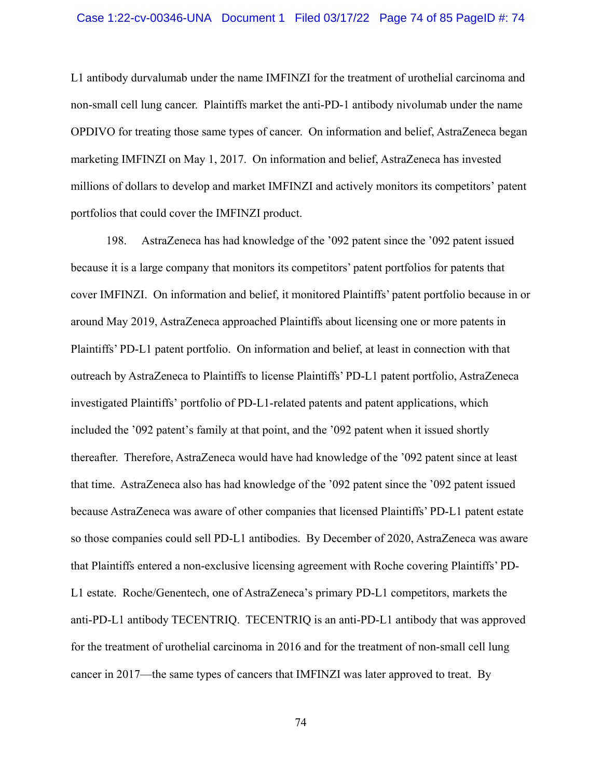L1 antibody durvalumab under the name IMFINZI for the treatment of urothelial carcinoma and non-small cell lung cancer. Plaintiffs market the anti-PD-1 antibody nivolumab under the name OPDIVO for treating those same types of cancer. On information and belief, AstraZeneca began marketing IMFINZI on May 1, 2017. On information and belief, AstraZeneca has invested millions of dollars to develop and market IMFINZI and actively monitors its competitors' patent portfolios that could cover the IMFINZI product.

198. AstraZeneca has had knowledge of the '092 patent since the '092 patent issued because it is a large company that monitors its competitors' patent portfolios for patents that cover IMFINZI. On information and belief, it monitored Plaintiffs' patent portfolio because in or around May 2019, AstraZeneca approached Plaintiffs about licensing one or more patents in Plaintiffs' PD-L1 patent portfolio. On information and belief, at least in connection with that outreach by AstraZeneca to Plaintiffs to license Plaintiffs' PD-L1 patent portfolio, AstraZeneca investigated Plaintiffs' portfolio of PD-L1-related patents and patent applications, which included the '092 patent's family at that point, and the '092 patent when it issued shortly thereafter. Therefore, AstraZeneca would have had knowledge of the '092 patent since at least that time. AstraZeneca also has had knowledge of the '092 patent since the '092 patent issued because AstraZeneca was aware of other companies that licensed Plaintiffs' PD-L1 patent estate so those companies could sell PD-L1 antibodies. By December of 2020, AstraZeneca was aware that Plaintiffs entered a non-exclusive licensing agreement with Roche covering Plaintiffs' PD-L1 estate. Roche/Genentech, one of AstraZeneca's primary PD-L1 competitors, markets the anti-PD-L1 antibody TECENTRIQ. TECENTRIQ is an anti-PD-L1 antibody that was approved for the treatment of urothelial carcinoma in 2016 and for the treatment of non-small cell lung cancer in 2017—the same types of cancers that IMFINZI was later approved to treat. By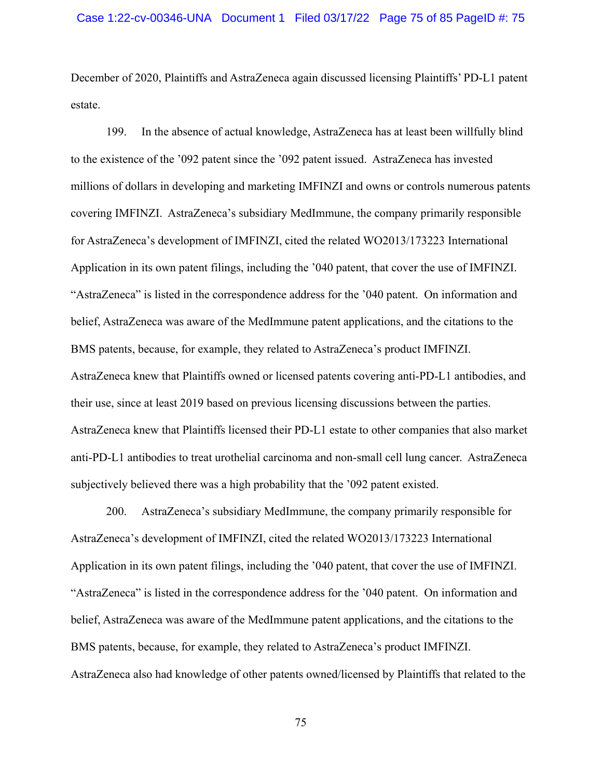December of 2020, Plaintiffs and AstraZeneca again discussed licensing Plaintiffs' PD-L1 patent estate.

199. In the absence of actual knowledge, AstraZeneca has at least been willfully blind to the existence of the '092 patent since the '092 patent issued. AstraZeneca has invested millions of dollars in developing and marketing IMFINZI and owns or controls numerous patents covering IMFINZI. AstraZeneca's subsidiary MedImmune, the company primarily responsible for AstraZeneca's development of IMFINZI, cited the related WO2013/173223 International Application in its own patent filings, including the '040 patent, that cover the use of IMFINZI. "AstraZeneca" is listed in the correspondence address for the '040 patent. On information and belief, AstraZeneca was aware of the MedImmune patent applications, and the citations to the BMS patents, because, for example, they related to AstraZeneca's product IMFINZI. AstraZeneca knew that Plaintiffs owned or licensed patents covering anti-PD-L1 antibodies, and their use, since at least 2019 based on previous licensing discussions between the parties. AstraZeneca knew that Plaintiffs licensed their PD-L1 estate to other companies that also market anti-PD-L1 antibodies to treat urothelial carcinoma and non-small cell lung cancer. AstraZeneca subjectively believed there was a high probability that the '092 patent existed.

200. AstraZeneca's subsidiary MedImmune, the company primarily responsible for AstraZeneca's development of IMFINZI, cited the related WO2013/173223 International Application in its own patent filings, including the '040 patent, that cover the use of IMFINZI. "AstraZeneca" is listed in the correspondence address for the '040 patent. On information and belief, AstraZeneca was aware of the MedImmune patent applications, and the citations to the BMS patents, because, for example, they related to AstraZeneca's product IMFINZI. AstraZeneca also had knowledge of other patents owned/licensed by Plaintiffs that related to the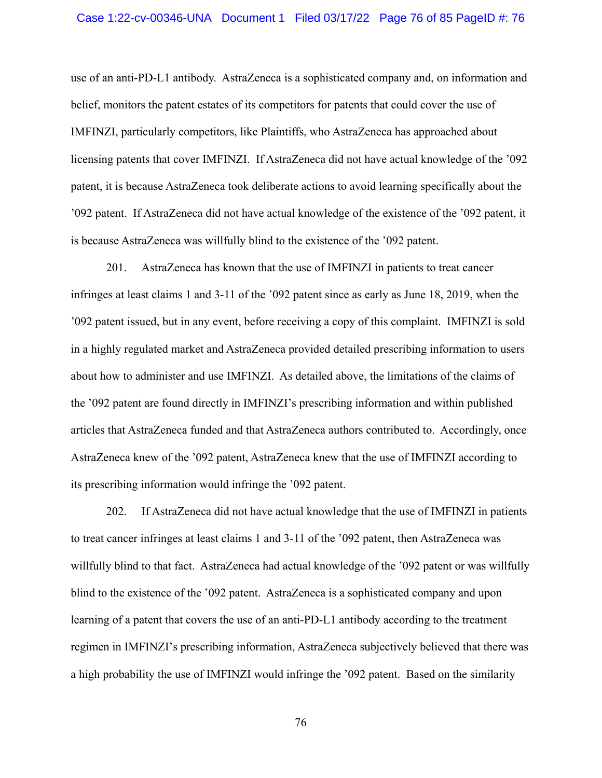#### Case 1:22-cv-00346-UNA Document 1 Filed 03/17/22 Page 76 of 85 PageID #: 76

use of an anti-PD-L1 antibody. AstraZeneca is a sophisticated company and, on information and belief, monitors the patent estates of its competitors for patents that could cover the use of IMFINZI, particularly competitors, like Plaintiffs, who AstraZeneca has approached about licensing patents that cover IMFINZI. If AstraZeneca did not have actual knowledge of the '092 patent, it is because AstraZeneca took deliberate actions to avoid learning specifically about the '092 patent. If AstraZeneca did not have actual knowledge of the existence of the '092 patent, it is because AstraZeneca was willfully blind to the existence of the '092 patent.

201. AstraZeneca has known that the use of IMFINZI in patients to treat cancer infringes at least claims 1 and 3-11 of the '092 patent since as early as June 18, 2019, when the '092 patent issued, but in any event, before receiving a copy of this complaint. IMFINZI is sold in a highly regulated market and AstraZeneca provided detailed prescribing information to users about how to administer and use IMFINZI. As detailed above, the limitations of the claims of the '092 patent are found directly in IMFINZI's prescribing information and within published articles that AstraZeneca funded and that AstraZeneca authors contributed to. Accordingly, once AstraZeneca knew of the '092 patent, AstraZeneca knew that the use of IMFINZI according to its prescribing information would infringe the '092 patent.

202. If AstraZeneca did not have actual knowledge that the use of IMFINZI in patients to treat cancer infringes at least claims 1 and 3-11 of the '092 patent, then AstraZeneca was willfully blind to that fact. AstraZeneca had actual knowledge of the '092 patent or was willfully blind to the existence of the '092 patent. AstraZeneca is a sophisticated company and upon learning of a patent that covers the use of an anti-PD-L1 antibody according to the treatment regimen in IMFINZI's prescribing information, AstraZeneca subjectively believed that there was a high probability the use of IMFINZI would infringe the '092 patent. Based on the similarity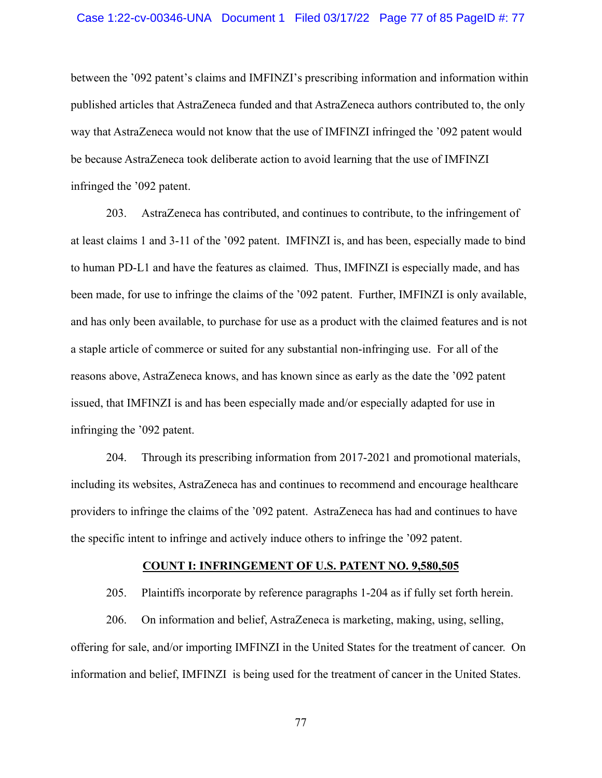between the '092 patent's claims and IMFINZI's prescribing information and information within published articles that AstraZeneca funded and that AstraZeneca authors contributed to, the only way that AstraZeneca would not know that the use of IMFINZI infringed the '092 patent would be because AstraZeneca took deliberate action to avoid learning that the use of IMFINZI infringed the '092 patent.

203. AstraZeneca has contributed, and continues to contribute, to the infringement of at least claims 1 and 3-11 of the '092 patent. IMFINZI is, and has been, especially made to bind to human PD-L1 and have the features as claimed. Thus, IMFINZI is especially made, and has been made, for use to infringe the claims of the '092 patent. Further, IMFINZI is only available, and has only been available, to purchase for use as a product with the claimed features and is not a staple article of commerce or suited for any substantial non-infringing use. For all of the reasons above, AstraZeneca knows, and has known since as early as the date the '092 patent issued, that IMFINZI is and has been especially made and/or especially adapted for use in infringing the '092 patent.

204. Through its prescribing information from 2017-2021 and promotional materials, including its websites, AstraZeneca has and continues to recommend and encourage healthcare providers to infringe the claims of the '092 patent. AstraZeneca has had and continues to have the specific intent to infringe and actively induce others to infringe the '092 patent.

#### **COUNT I: INFRINGEMENT OF U.S. PATENT NO. 9,580,505**

205. Plaintiffs incorporate by reference paragraphs 1-204 as if fully set forth herein.

206. On information and belief, AstraZeneca is marketing, making, using, selling, offering for sale, and/or importing IMFINZI in the United States for the treatment of cancer. On information and belief, IMFINZI is being used for the treatment of cancer in the United States.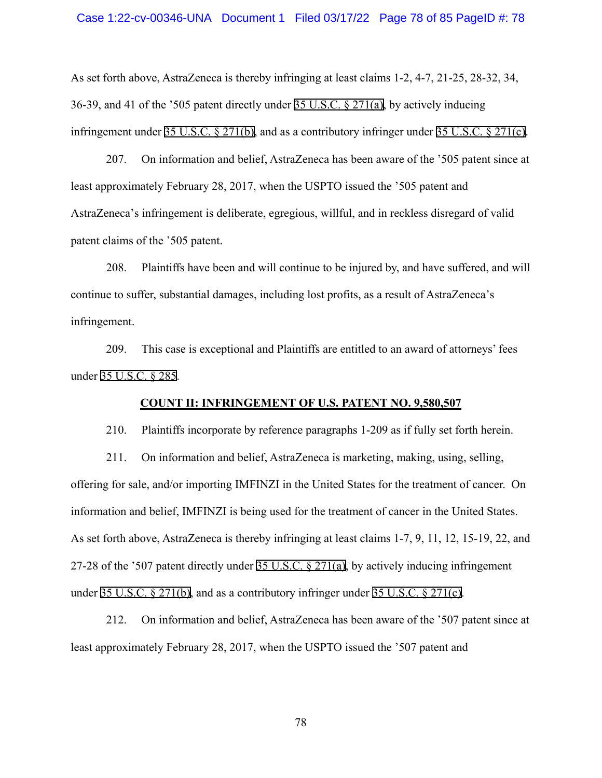As set forth above, AstraZeneca is thereby infringing at least claims 1-2, 4-7, 21-25, 28-32, 34, 36-39, and 41 of the '505 patent directly under [35 U.S.C. § 271\(a\)](http://www.google.com/search?q=35+u.s.c.++271(a)), by actively inducing infringement under [35 U.S.C. § 271\(b\),](http://www.google.com/search?q=35+u.s.c.++271(b)) and as a contributory infringer under [35 U.S.C. § 271\(c\).](http://www.google.com/search?q=35+u.s.c.++271(c))

207. On information and belief, AstraZeneca has been aware of the '505 patent since at least approximately February 28, 2017, when the USPTO issued the '505 patent and AstraZeneca's infringement is deliberate, egregious, willful, and in reckless disregard of valid patent claims of the '505 patent.

208. Plaintiffs have been and will continue to be injured by, and have suffered, and will continue to suffer, substantial damages, including lost profits, as a result of AstraZeneca's infringement.

209. This case is exceptional and Plaintiffs are entitled to an award of attorneys' fees under [35 U.S.C. § 285.](http://www.google.com/search?q=35+u.s.c.++285)

## **COUNT II: INFRINGEMENT OF U.S. PATENT NO. 9,580,507**

210. Plaintiffs incorporate by reference paragraphs 1-209 as if fully set forth herein.

211. On information and belief, AstraZeneca is marketing, making, using, selling, offering for sale, and/or importing IMFINZI in the United States for the treatment of cancer. On information and belief, IMFINZI is being used for the treatment of cancer in the United States. As set forth above, AstraZeneca is thereby infringing at least claims 1-7, 9, 11, 12, 15-19, 22, and 27-28 of the '507 patent directly under [35 U.S.C. § 271\(a\),](http://www.google.com/search?q=35+u.s.c.++271(a)) by actively inducing infringement under [35 U.S.C. § 271\(b\),](http://www.google.com/search?q=35+u.s.c.++271(b)) and as a contributory infringer under [35 U.S.C. § 271\(c\)](http://www.google.com/search?q=35+u.s.c.++271(c)).

212. On information and belief, AstraZeneca has been aware of the '507 patent since at least approximately February 28, 2017, when the USPTO issued the '507 patent and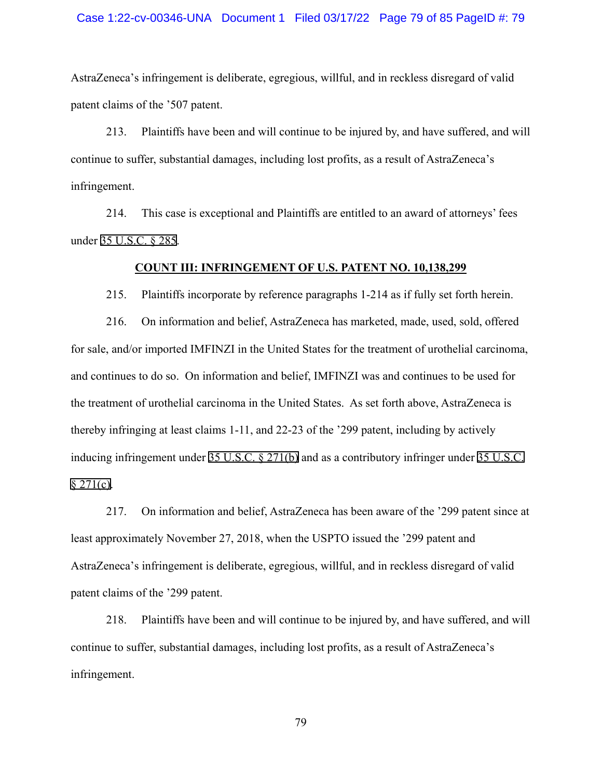#### Case 1:22-cv-00346-UNA Document 1 Filed 03/17/22 Page 79 of 85 PageID #: 79

AstraZeneca's infringement is deliberate, egregious, willful, and in reckless disregard of valid patent claims of the '507 patent.

213. Plaintiffs have been and will continue to be injured by, and have suffered, and will continue to suffer, substantial damages, including lost profits, as a result of AstraZeneca's infringement.

214. This case is exceptional and Plaintiffs are entitled to an award of attorneys' fees under [35 U.S.C. § 285.](http://www.google.com/search?q=35+u.s.c.++285)

### **COUNT III: INFRINGEMENT OF U.S. PATENT NO. 10,138,299**

215. Plaintiffs incorporate by reference paragraphs 1-214 as if fully set forth herein.

216. On information and belief, AstraZeneca has marketed, made, used, sold, offered for sale, and/or imported IMFINZI in the United States for the treatment of urothelial carcinoma, and continues to do so. On information and belief, IMFINZI was and continues to be used for the treatment of urothelial carcinoma in the United States. As set forth above, AstraZeneca is thereby infringing at least claims 1-11, and 22-23 of the '299 patent, including by actively inducing infringement under [35 U.S.C. § 271\(b\)](http://www.google.com/search?q=35+u.s.c.++271(b)) and as a contributory infringer under [35 U.S.C.](http://www.google.com/search?q=35+u.s.c.+++271(c))  $§$  271(c).

217. On information and belief, AstraZeneca has been aware of the '299 patent since at least approximately November 27, 2018, when the USPTO issued the '299 patent and AstraZeneca's infringement is deliberate, egregious, willful, and in reckless disregard of valid patent claims of the '299 patent.

218. Plaintiffs have been and will continue to be injured by, and have suffered, and will continue to suffer, substantial damages, including lost profits, as a result of AstraZeneca's infringement.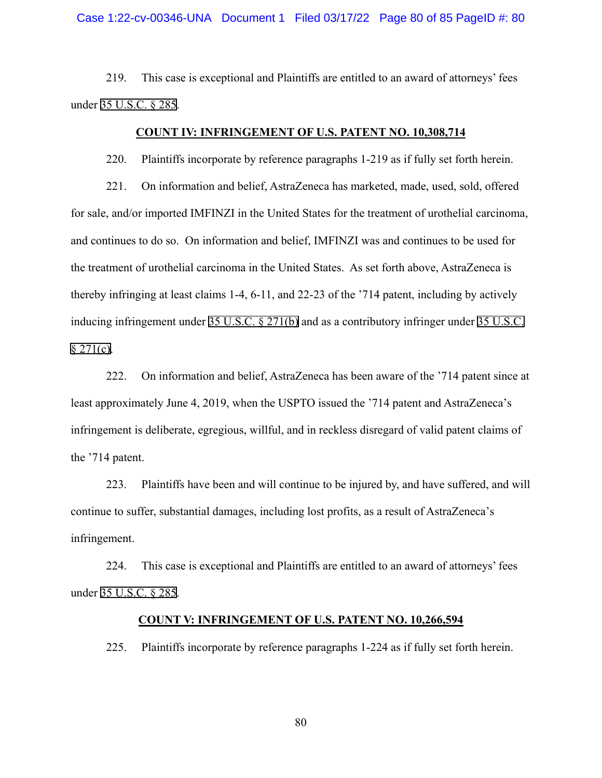#### Case 1:22-cv-00346-UNA Document 1 Filed 03/17/22 Page 80 of 85 PageID #: 80

219. This case is exceptional and Plaintiffs are entitled to an award of attorneys' fees under [35 U.S.C. § 285.](http://www.google.com/search?q=35+u.s.c.++285)

# **COUNT IV: INFRINGEMENT OF U.S. PATENT NO. 10,308,714**

220. Plaintiffs incorporate by reference paragraphs 1-219 as if fully set forth herein.

221. On information and belief, AstraZeneca has marketed, made, used, sold, offered for sale, and/or imported IMFINZI in the United States for the treatment of urothelial carcinoma, and continues to do so. On information and belief, IMFINZI was and continues to be used for the treatment of urothelial carcinoma in the United States. As set forth above, AstraZeneca is thereby infringing at least claims 1-4, 6-11, and 22-23 of the '714 patent, including by actively inducing infringement under [35 U.S.C. § 271\(b\)](http://www.google.com/search?q=35+u.s.c.++271(b)) and as a contributory infringer under [35 U.S.C.](http://www.google.com/search?q=35+u.s.c.+++271(c))  $§$  271(c).

222. On information and belief, AstraZeneca has been aware of the '714 patent since at least approximately June 4, 2019, when the USPTO issued the '714 patent and AstraZeneca's infringement is deliberate, egregious, willful, and in reckless disregard of valid patent claims of the '714 patent.

223. Plaintiffs have been and will continue to be injured by, and have suffered, and will continue to suffer, substantial damages, including lost profits, as a result of AstraZeneca's infringement.

224. This case is exceptional and Plaintiffs are entitled to an award of attorneys' fees under [35 U.S.C. § 285.](http://www.google.com/search?q=35+u.s.c.++285)

## **COUNT V: INFRINGEMENT OF U.S. PATENT NO. 10,266,594**

225. Plaintiffs incorporate by reference paragraphs 1-224 as if fully set forth herein.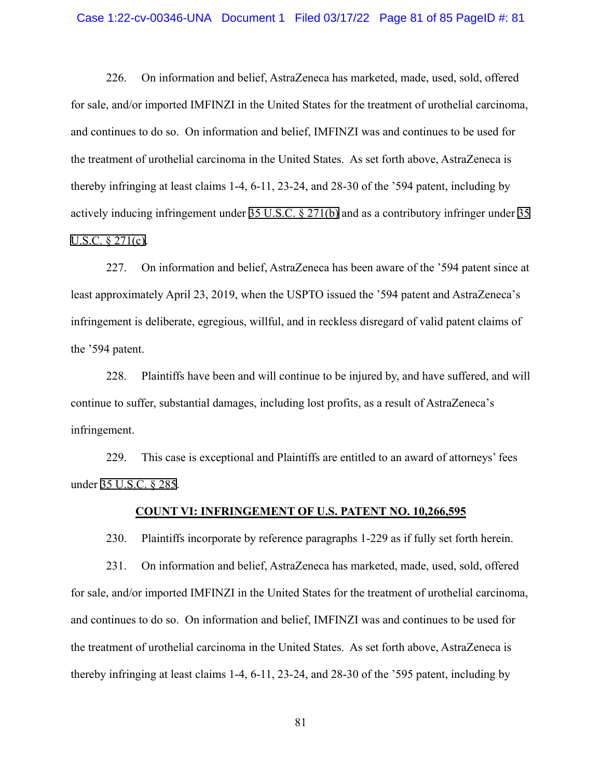#### Case 1:22-cv-00346-UNA Document 1 Filed 03/17/22 Page 81 of 85 PageID #: 81

226. On information and belief, AstraZeneca has marketed, made, used, sold, offered for sale, and/or imported IMFINZI in the United States for the treatment of urothelial carcinoma, and continues to do so. On information and belief, IMFINZI was and continues to be used for the treatment of urothelial carcinoma in the United States. As set forth above, AstraZeneca is thereby infringing at least claims 1-4, 6-11, 23-24, and 28-30 of the '594 patent, including by actively inducing infringement under [35 U.S.C. § 271\(b\)](http://www.google.com/search?q=35+u.s.c.++271(b)) and as a contributory infringer under [35](http://www.google.com/search?q=35++u.s.c.++271(c))  [U.S.C. § 271\(c\).](http://www.google.com/search?q=35++u.s.c.++271(c))

227. On information and belief, AstraZeneca has been aware of the '594 patent since at least approximately April 23, 2019, when the USPTO issued the '594 patent and AstraZeneca's infringement is deliberate, egregious, willful, and in reckless disregard of valid patent claims of the '594 patent.

228. Plaintiffs have been and will continue to be injured by, and have suffered, and will continue to suffer, substantial damages, including lost profits, as a result of AstraZeneca's infringement.

229. This case is exceptional and Plaintiffs are entitled to an award of attorneys' fees under [35 U.S.C. § 285.](http://www.google.com/search?q=35+u.s.c.++285)

### **COUNT VI: INFRINGEMENT OF U.S. PATENT NO. 10,266,595**

230. Plaintiffs incorporate by reference paragraphs 1-229 as if fully set forth herein.

231. On information and belief, AstraZeneca has marketed, made, used, sold, offered for sale, and/or imported IMFINZI in the United States for the treatment of urothelial carcinoma, and continues to do so. On information and belief, IMFINZI was and continues to be used for the treatment of urothelial carcinoma in the United States. As set forth above, AstraZeneca is thereby infringing at least claims 1-4, 6-11, 23-24, and 28-30 of the '595 patent, including by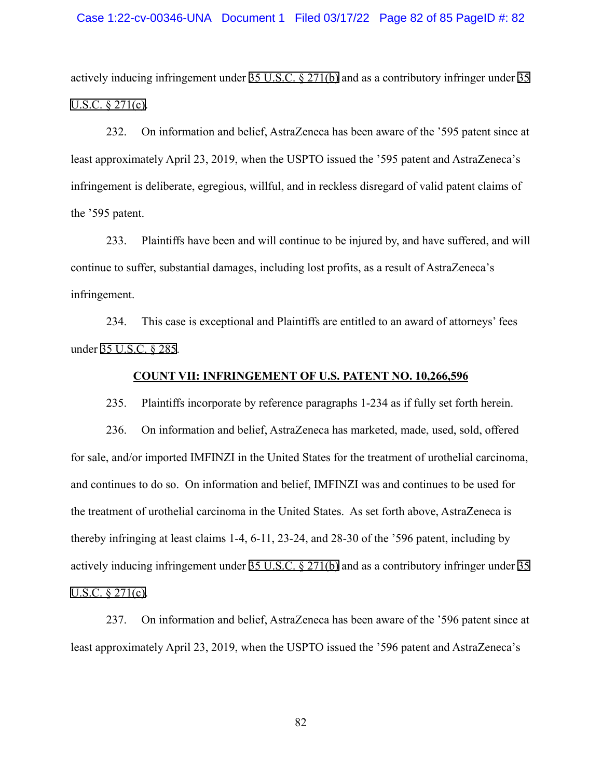#### Case 1:22-cv-00346-UNA Document 1 Filed 03/17/22 Page 82 of 85 PageID #: 82

actively inducing infringement under [35 U.S.C. § 271\(b\)](http://www.google.com/search?q=35+u.s.c.++271(b)) and as a contributory infringer under [35](http://www.google.com/search?q=35u.s.c.++271(c))  [U.S.C. § 271\(c\).](http://www.google.com/search?q=35u.s.c.++271(c))

232. On information and belief, AstraZeneca has been aware of the '595 patent since at least approximately April 23, 2019, when the USPTO issued the '595 patent and AstraZeneca's infringement is deliberate, egregious, willful, and in reckless disregard of valid patent claims of the '595 patent.

233. Plaintiffs have been and will continue to be injured by, and have suffered, and will continue to suffer, substantial damages, including lost profits, as a result of AstraZeneca's infringement.

234. This case is exceptional and Plaintiffs are entitled to an award of attorneys' fees under [35 U.S.C. § 285.](http://www.google.com/search?q=35+u.s.c.++285)

## **COUNT VII: INFRINGEMENT OF U.S. PATENT NO. 10,266,596**

235. Plaintiffs incorporate by reference paragraphs 1-234 as if fully set forth herein.

236. On information and belief, AstraZeneca has marketed, made, used, sold, offered for sale, and/or imported IMFINZI in the United States for the treatment of urothelial carcinoma, and continues to do so. On information and belief, IMFINZI was and continues to be used for the treatment of urothelial carcinoma in the United States. As set forth above, AstraZeneca is thereby infringing at least claims 1-4, 6-11, 23-24, and 28-30 of the '596 patent, including by actively inducing infringement under [35 U.S.C. § 271\(b\)](http://www.google.com/search?q=35+u.s.c.++271(b)) and as a contributory infringer under [35](http://www.google.com/search?q=35++u.s.c.++271(c))  [U.S.C. § 271\(c\).](http://www.google.com/search?q=35++u.s.c.++271(c))

237. On information and belief, AstraZeneca has been aware of the '596 patent since at least approximately April 23, 2019, when the USPTO issued the '596 patent and AstraZeneca's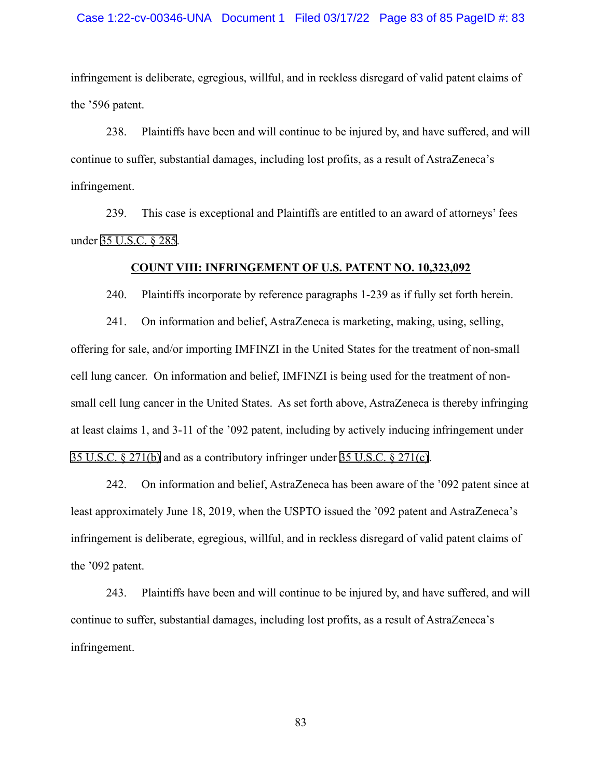#### Case 1:22-cv-00346-UNA Document 1 Filed 03/17/22 Page 83 of 85 PageID #: 83

infringement is deliberate, egregious, willful, and in reckless disregard of valid patent claims of the '596 patent.

238. Plaintiffs have been and will continue to be injured by, and have suffered, and will continue to suffer, substantial damages, including lost profits, as a result of AstraZeneca's infringement.

239. This case is exceptional and Plaintiffs are entitled to an award of attorneys' fees under [35 U.S.C. § 285.](http://www.google.com/search?q=35+u.s.c.++285)

### **COUNT VIII: INFRINGEMENT OF U.S. PATENT NO. 10,323,092**

240. Plaintiffs incorporate by reference paragraphs 1-239 as if fully set forth herein.

241. On information and belief, AstraZeneca is marketing, making, using, selling, offering for sale, and/or importing IMFINZI in the United States for the treatment of non-small cell lung cancer. On information and belief, IMFINZI is being used for the treatment of nonsmall cell lung cancer in the United States. As set forth above, AstraZeneca is thereby infringing at least claims 1, and 3-11 of the '092 patent, including by actively inducing infringement under [35 U.S.C. § 271\(b\)](http://www.google.com/search?q=35+u.s.c.++271(b)) and as a contributory infringer under [35 U.S.C. § 271\(c\)](http://www.google.com/search?q=35+u.s.c.++271(c)).

242. On information and belief, AstraZeneca has been aware of the '092 patent since at least approximately June 18, 2019, when the USPTO issued the '092 patent and AstraZeneca's infringement is deliberate, egregious, willful, and in reckless disregard of valid patent claims of the '092 patent.

243. Plaintiffs have been and will continue to be injured by, and have suffered, and will continue to suffer, substantial damages, including lost profits, as a result of AstraZeneca's infringement.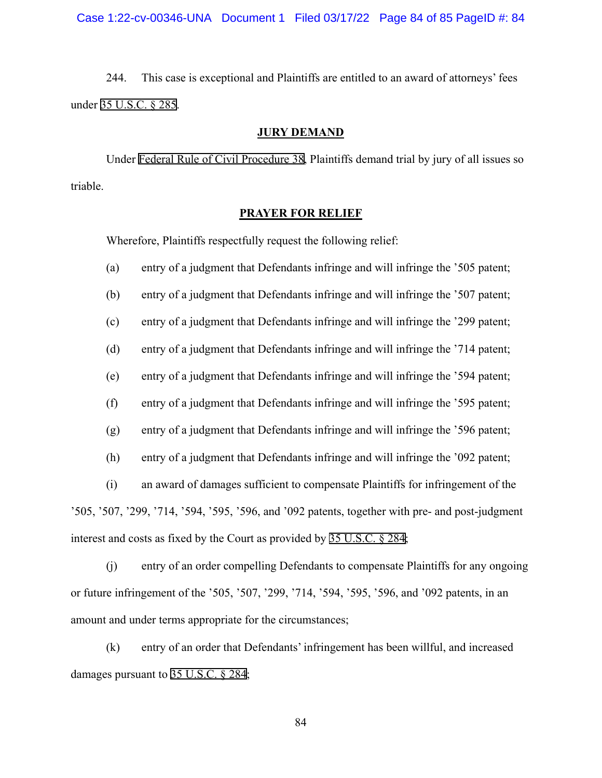244. This case is exceptional and Plaintiffs are entitled to an award of attorneys' fees under [35 U.S.C. § 285.](http://www.google.com/search?q=35+u.s.c.++285)

## **JURY DEMAND**

 Under [Federal Rule of Civil Procedure 38](http://www.google.com/search?q=FRCP+38), Plaintiffs demand trial by jury of all issues so triable.

## **PRAYER FOR RELIEF**

Wherefore, Plaintiffs respectfully request the following relief:

(a) entry of a judgment that Defendants infringe and will infringe the '505 patent;

(b) entry of a judgment that Defendants infringe and will infringe the '507 patent;

(c) entry of a judgment that Defendants infringe and will infringe the '299 patent;

(d) entry of a judgment that Defendants infringe and will infringe the '714 patent;

(e) entry of a judgment that Defendants infringe and will infringe the '594 patent;

(f) entry of a judgment that Defendants infringe and will infringe the '595 patent;

(g) entry of a judgment that Defendants infringe and will infringe the '596 patent;

(h) entry of a judgment that Defendants infringe and will infringe the '092 patent;

(i) an award of damages sufficient to compensate Plaintiffs for infringement of the '505, '507, '299, '714, '594, '595, '596, and '092 patents, together with pre- and post-judgment interest and costs as fixed by the Court as provided by [35 U.S.C. § 284](http://www.google.com/search?q=35+u.s.c.++284);

(j) entry of an order compelling Defendants to compensate Plaintiffs for any ongoing or future infringement of the '505, '507, '299, '714, '594, '595, '596, and '092 patents, in an amount and under terms appropriate for the circumstances;

(k) entry of an order that Defendants' infringement has been willful, and increased damages pursuant to [35 U.S.C. § 284](http://www.google.com/search?q=35+u.s.c.++284);